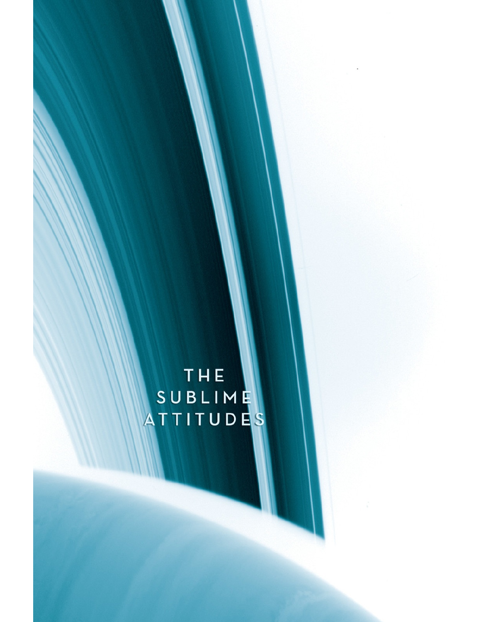# THE<br>SUBLIME<br>ATTITUDES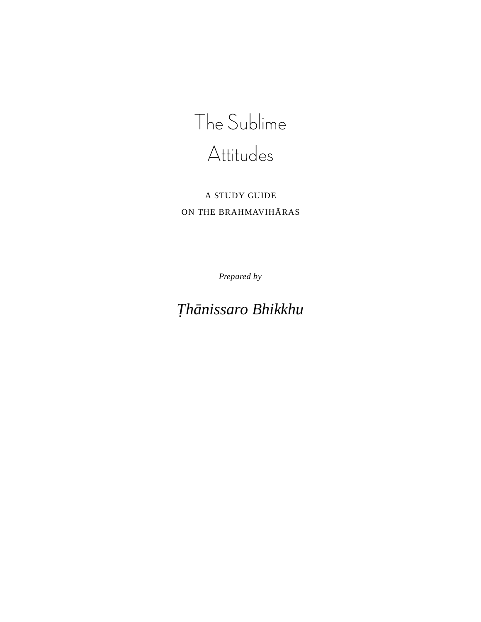

## A STUDY GUIDE ON THE BRAHMAVIHĀRAS

*Prepared by*

## *Ṭhānissaro Bhikkhu*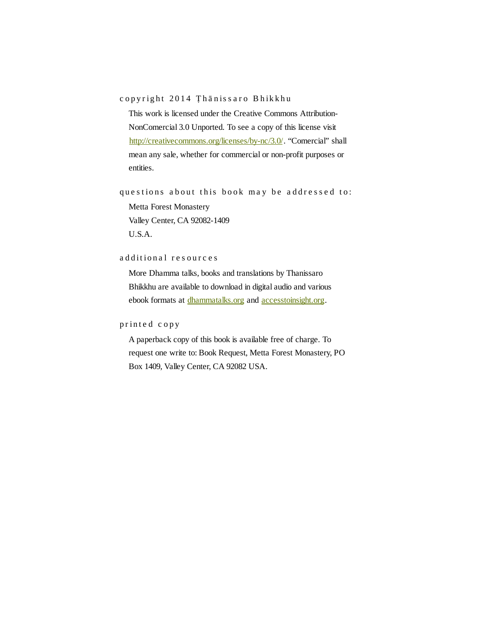#### <span id="page-2-0"></span>copyright 2014 Thanissaro Bhikkhu

This work is licensed under the Creative Commons Attribution-NonComercial 3.0 Unported. To see a copy of this license visit [http://creativecommons.org/licenses/by-nc/3.0/](#page-2-0). "Comercial" shall mean any sale, whether for commercial or non-profit purposes or entities.

questions about this book may be addressed to:

Metta Forest Monastery Valley Center, CA 92082-1409 U.S.A.

#### additional resources

More Dhamma talks, books and translations by Thanissaro Bhikkhu are available to download in digital audio and various ebook formats at *[dhammatalks.org](#page-2-0)* and **accesstoinsight.org**.

#### printed copy

A paperback copy of this book is available free of charge. To request one write to: Book Request, Metta Forest Monastery, PO Box 1409, Valley Center, CA 92082 USA.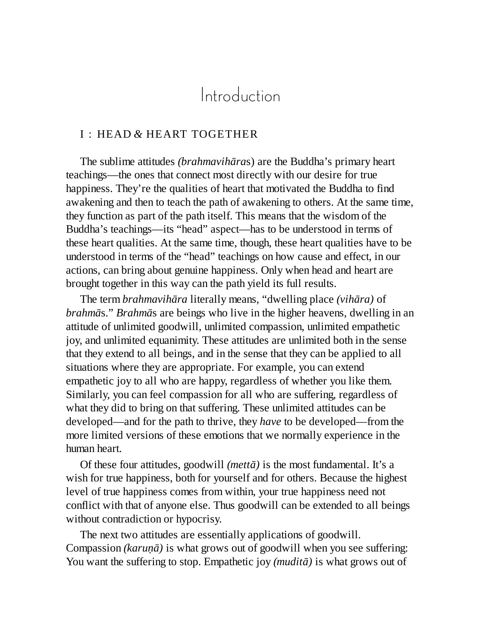# Introduction

#### I : HEAD *&* HEART TOGETHER

The sublime attitudes *(brahmavihāra*s) are the Buddha's primary heart teachings—the ones that connect most directly with our desire for true happiness. They're the qualities of heart that motivated the Buddha to find awakening and then to teach the path of awakening to others. At the same time, they function as part of the path itself. This means that the wisdom of the Buddha's teachings—its "head" aspect—has to be understood in terms of these heart qualities. At the same time, though, these heart qualities have to be understood in terms of the "head" teachings on how cause and effect, in our actions, can bring about genuine happiness. Only when head and heart are brought together in this way can the path yield its full results.

The term *brahmavihāra* literally means, "dwelling place *(vihāra)* of *brahmā*s." *Brahmā*s are beings who live in the higher heavens, dwelling in an attitude of unlimited goodwill, unlimited compassion, unlimited empathetic joy, and unlimited equanimity. These attitudes are unlimited both in the sense that they extend to all beings, and in the sense that they can be applied to all situations where they are appropriate. For example, you can extend empathetic joy to all who are happy, regardless of whether you like them. Similarly, you can feel compassion for all who are suffering, regardless of what they did to bring on that suffering. These unlimited attitudes can be developed—and for the path to thrive, they *have* to be developed—from the more limited versions of these emotions that we normally experience in the human heart.

Of these four attitudes, goodwill *(mettā)* is the most fundamental. It's a wish for true happiness, both for yourself and for others. Because the highest level of true happiness comes from within, your true happiness need not conflict with that of anyone else. Thus goodwill can be extended to all beings without contradiction or hypocrisy.

The next two attitudes are essentially applications of goodwill. Compassion *(karuṇā)* is what grows out of goodwill when you see suffering: You want the suffering to stop. Empathetic joy *(muditā)* is what grows out of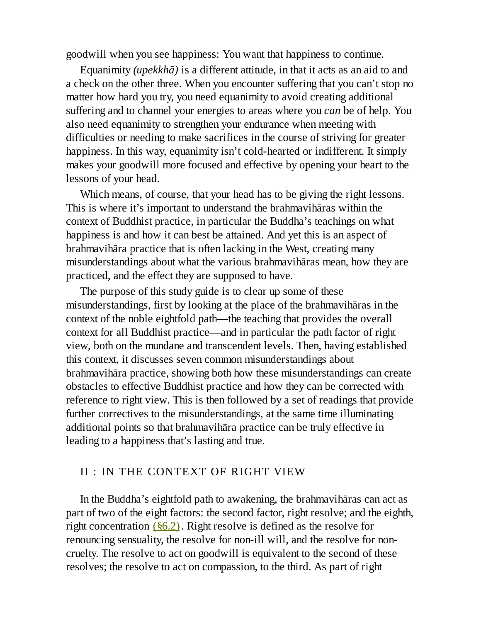goodwill when you see happiness: You want that happiness to continue.

Equanimity *(upekkhā)* is a different attitude, in that it acts as an aid to and a check on the other three. When you encounter suffering that you can't stop no matter how hard you try, you need equanimity to avoid creating additional suffering and to channel your energies to areas where you *can* be of help. You also need equanimity to strengthen your endurance when meeting with difficulties or needing to make sacrifices in the course of striving for greater happiness. In this way, equanimity isn't cold-hearted or indifferent. It simply makes your goodwill more focused and effective by opening your heart to the lessons of your head.

Which means, of course, that your head has to be giving the right lessons. This is where it's important to understand the brahmavihāras within the context of Buddhist practice, in particular the Buddha's teachings on what happiness is and how it can best be attained. And yet this is an aspect of brahmavihāra practice that is often lacking in the West, creating many misunderstandings about what the various brahmavihāras mean, how they are practiced, and the effect they are supposed to have.

The purpose of this study guide is to clear up some of these misunderstandings, first by looking at the place of the brahmavihāras in the context of the noble eightfold path—the teaching that provides the overall context for all Buddhist practice—and in particular the path factor of right view, both on the mundane and transcendent levels. Then, having established this context, it discusses seven common misunderstandings about brahmavihāra practice, showing both how these misunderstandings can create obstacles to effective Buddhist practice and how they can be corrected with reference to right view. This is then followed by a set of readings that provide further correctives to the misunderstandings, at the same time illuminating additional points so that brahmavihāra practice can be truly effective in leading to a happiness that's lasting and true.

#### II : IN THE CONTEXT OF RIGHT VIEW

In the Buddha's eightfold path to awakening, the brahmavihāras can act as part of two of the eight factors: the second factor, right resolve; and the eighth, right concentration  $(S6.2)$ . Right resolve is defined as the resolve for renouncing sensuality, the resolve for non-ill will, and the resolve for noncruelty. The resolve to act on goodwill is equivalent to the second of these resolves; the resolve to act on compassion, to the third. As part of right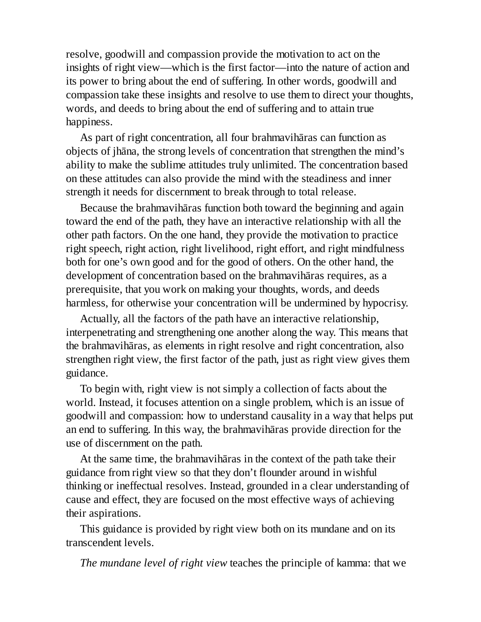resolve, goodwill and compassion provide the motivation to act on the insights of right view—which is the first factor—into the nature of action and its power to bring about the end of suffering. In other words, goodwill and compassion take these insights and resolve to use them to direct your thoughts, words, and deeds to bring about the end of suffering and to attain true happiness.

As part of right concentration, all four brahmavihāras can function as objects of jhāna, the strong levels of concentration that strengthen the mind's ability to make the sublime attitudes truly unlimited. The concentration based on these attitudes can also provide the mind with the steadiness and inner strength it needs for discernment to break through to total release.

Because the brahmavihāras function both toward the beginning and again toward the end of the path, they have an interactive relationship with all the other path factors. On the one hand, they provide the motivation to practice right speech, right action, right livelihood, right effort, and right mindfulness both for one's own good and for the good of others. On the other hand, the development of concentration based on the brahmavihāras requires, as a prerequisite, that you work on making your thoughts, words, and deeds harmless, for otherwise your concentration will be undermined by hypocrisy.

Actually, all the factors of the path have an interactive relationship, interpenetrating and strengthening one another along the way. This means that the brahmavihāras, as elements in right resolve and right concentration, also strengthen right view, the first factor of the path, just as right view gives them guidance.

To begin with, right view is not simply a collection of facts about the world. Instead, it focuses attention on a single problem, which is an issue of goodwill and compassion: how to understand causality in a way that helps put an end to suffering. In this way, the brahmavihāras provide direction for the use of discernment on the path.

At the same time, the brahmavihāras in the context of the path take their guidance from right view so that they don't flounder around in wishful thinking or ineffectual resolves. Instead, grounded in a clear understanding of cause and effect, they are focused on the most effective ways of achieving their aspirations.

This guidance is provided by right view both on its mundane and on its transcendent levels.

*The mundane level of right view* teaches the principle of kamma: that we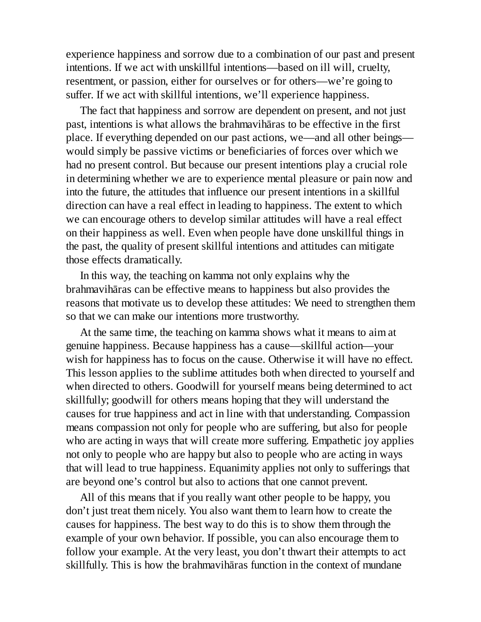experience happiness and sorrow due to a combination of our past and present intentions. If we act with unskillful intentions—based on ill will, cruelty, resentment, or passion, either for ourselves or for others—we're going to suffer. If we act with skillful intentions, we'll experience happiness.

The fact that happiness and sorrow are dependent on present, and not just past, intentions is what allows the brahmavihāras to be effective in the first place. If everything depended on our past actions, we—and all other beings would simply be passive victims or beneficiaries of forces over which we had no present control. But because our present intentions play a crucial role in determining whether we are to experience mental pleasure or pain now and into the future, the attitudes that influence our present intentions in a skillful direction can have a real effect in leading to happiness. The extent to which we can encourage others to develop similar attitudes will have a real effect on their happiness as well. Even when people have done unskillful things in the past, the quality of present skillful intentions and attitudes can mitigate those effects dramatically.

In this way, the teaching on kamma not only explains why the brahmavihāras can be effective means to happiness but also provides the reasons that motivate us to develop these attitudes: We need to strengthen them so that we can make our intentions more trustworthy.

At the same time, the teaching on kamma shows what it means to aim at genuine happiness. Because happiness has a cause—skillful action—your wish for happiness has to focus on the cause. Otherwise it will have no effect. This lesson applies to the sublime attitudes both when directed to yourself and when directed to others. Goodwill for yourself means being determined to act skillfully; goodwill for others means hoping that they will understand the causes for true happiness and act in line with that understanding. Compassion means compassion not only for people who are suffering, but also for people who are acting in ways that will create more suffering. Empathetic joy applies not only to people who are happy but also to people who are acting in ways that will lead to true happiness. Equanimity applies not only to sufferings that are beyond one's control but also to actions that one cannot prevent.

All of this means that if you really want other people to be happy, you don't just treat them nicely. You also want them to learn how to create the causes for happiness. The best way to do this is to show them through the example of your own behavior. If possible, you can also encourage them to follow your example. At the very least, you don't thwart their attempts to act skillfully. This is how the brahmavihāras function in the context of mundane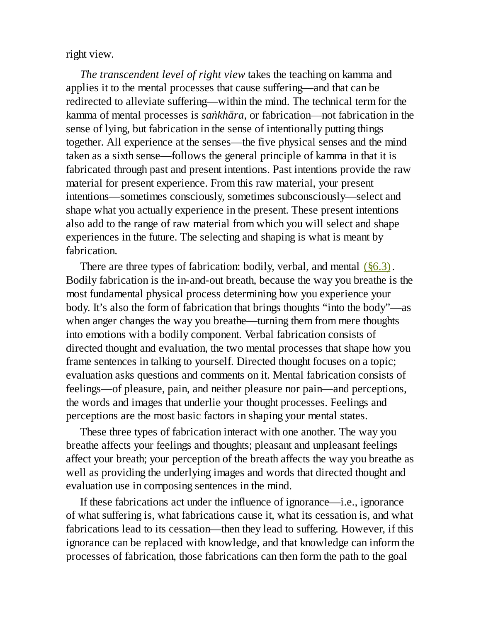right view.

*The transcendent level of right view* takes the teaching on kamma and applies it to the mental processes that cause suffering—and that can be redirected to alleviate suffering—within the mind. The technical term for the kamma of mental processes is *saṅkhāra,* or fabrication—not fabrication in the sense of lying, but fabrication in the sense of intentionally putting things together. All experience at the senses—the five physical senses and the mind taken as a sixth sense—follows the general principle of kamma in that it is fabricated through past and present intentions. Past intentions provide the raw material for present experience. From this raw material, your present intentions—sometimes consciously, sometimes subconsciously—select and shape what you actually experience in the present. These present intentions also add to the range of raw material from which you will select and shape experiences in the future. The selecting and shaping is what is meant by fabrication.

There are three types of fabrication: bodily, verbal, and mental  $(S6.3)$ . Bodily fabrication is the in-and-out breath, because the way you breathe is the most fundamental physical process determining how you experience your body. It's also the form of fabrication that brings thoughts "into the body"—as when anger changes the way you breathe—turning them from mere thoughts into emotions with a bodily component. Verbal fabrication consists of directed thought and evaluation, the two mental processes that shape how you frame sentences in talking to yourself. Directed thought focuses on a topic; evaluation asks questions and comments on it. Mental fabrication consists of feelings—of pleasure, pain, and neither pleasure nor pain—and perceptions, the words and images that underlie your thought processes. Feelings and perceptions are the most basic factors in shaping your mental states.

These three types of fabrication interact with one another. The way you breathe affects your feelings and thoughts; pleasant and unpleasant feelings affect your breath; your perception of the breath affects the way you breathe as well as providing the underlying images and words that directed thought and evaluation use in composing sentences in the mind.

If these fabrications act under the influence of ignorance—i.e., ignorance of what suffering is, what fabrications cause it, what its cessation is, and what fabrications lead to its cessation—then they lead to suffering. However, if this ignorance can be replaced with knowledge, and that knowledge can inform the processes of fabrication, those fabrications can then form the path to the goal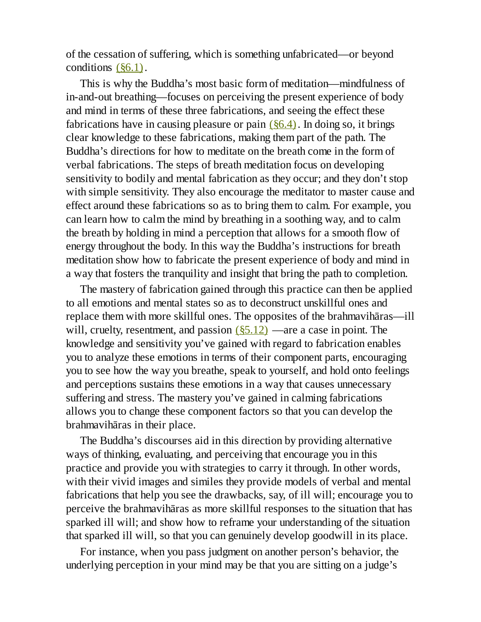of the cessation of suffering, which is something unfabricated—or beyond conditions  $(§6.1)$ .

This is why the Buddha's most basic form of meditation—mindfulness of in-and-out breathing—focuses on perceiving the present experience of body and mind in terms of these three fabrications, and seeing the effect these fabrications have in causing pleasure or pain  $(S6.4)$ . In doing so, it brings clear knowledge to these fabrications, making them part of the path. The Buddha's directions for how to meditate on the breath come in the form of verbal fabrications. The steps of breath meditation focus on developing sensitivity to bodily and mental fabrication as they occur; and they don't stop with simple sensitivity. They also encourage the meditator to master cause and effect around these fabrications so as to bring them to calm. For example, you can learn how to calm the mind by breathing in a soothing way, and to calm the breath by holding in mind a perception that allows for a smooth flow of energy throughout the body. In this way the Buddha's instructions for breath meditation show how to fabricate the present experience of body and mind in a way that fosters the tranquility and insight that bring the path to completion.

The mastery of fabrication gained through this practice can then be applied to all emotions and mental states so as to deconstruct unskillful ones and replace them with more skillful ones. The opposites of the brahmavihāras—ill will, cruelty, resentment, and passion  $(S5.12)$  —are a case in point. The knowledge and sensitivity you've gained with regard to fabrication enables you to analyze these emotions in terms of their component parts, encouraging you to see how the way you breathe, speak to yourself, and hold onto feelings and perceptions sustains these emotions in a way that causes unnecessary suffering and stress. The mastery you've gained in calming fabrications allows you to change these component factors so that you can develop the brahmavihāras in their place.

The Buddha's discourses aid in this direction by providing alternative ways of thinking, evaluating, and perceiving that encourage you in this practice and provide you with strategies to carry it through. In other words, with their vivid images and similes they provide models of verbal and mental fabrications that help you see the drawbacks, say, of ill will; encourage you to perceive the brahmavihāras as more skillful responses to the situation that has sparked ill will; and show how to reframe your understanding of the situation that sparked ill will, so that you can genuinely develop goodwill in its place.

For instance, when you pass judgment on another person's behavior, the underlying perception in your mind may be that you are sitting on a judge's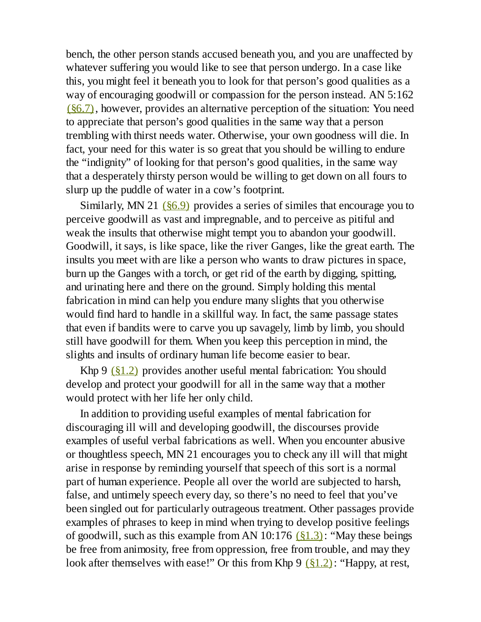bench, the other person stands accused beneath you, and you are unaffected by whatever suffering you would like to see that person undergo. In a case like this, you might feel it beneath you to look for that person's good qualities as a way of encouraging goodwill or compassion for the person instead. AN 5:162 [\(§6.7\)](#page-70-0), however, provides an alternative perception of the situation: You need to appreciate that person's good qualities in the same way that a person trembling with thirst needs water. Otherwise, your own goodness will die. In fact, your need for this water is so great that you should be willing to endure the "indignity" of looking for that person's good qualities, in the same way that a desperately thirsty person would be willing to get down on all fours to slurp up the puddle of water in a cow's footprint.

Similarly, MN 21  $(S6.9)$  provides a series of similes that encourage you to perceive goodwill as vast and impregnable, and to perceive as pitiful and weak the insults that otherwise might tempt you to abandon your goodwill. Goodwill, it says, is like space, like the river Ganges, like the great earth. The insults you meet with are like a person who wants to draw pictures in space, burn up the Ganges with a torch, or get rid of the earth by digging, spitting, and urinating here and there on the ground. Simply holding this mental fabrication in mind can help you endure many slights that you otherwise would find hard to handle in a skillful way. In fact, the same passage states that even if bandits were to carve you up savagely, limb by limb, you should still have goodwill for them. When you keep this perception in mind, the slights and insults of ordinary human life become easier to bear.

Khp 9 [\(§1.2\)](#page-31-0) provides another useful mental fabrication: You should develop and protect your goodwill for all in the same way that a mother would protect with her life her only child.

In addition to providing useful examples of mental fabrication for discouraging ill will and developing goodwill, the discourses provide examples of useful verbal fabrications as well. When you encounter abusive or thoughtless speech, MN 21 encourages you to check any ill will that might arise in response by reminding yourself that speech of this sort is a normal part of human experience. People all over the world are subjected to harsh, false, and untimely speech every day, so there's no need to feel that you've been singled out for particularly outrageous treatment. Other passages provide examples of phrases to keep in mind when trying to develop positive feelings of goodwill, such as this example from AN  $10:176$  ( $\S1.3$ ): "May these beings be free from animosity, free from oppression, free from trouble, and may they look after themselves with ease!" Or this from Khp  $9 \left( \frac{12}{2} \right)$ : "Happy, at rest,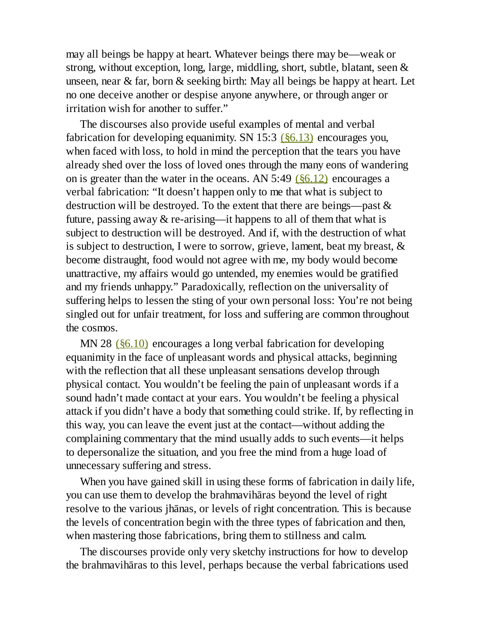may all beings be happy at heart. Whatever beings there may be—weak or strong, without exception, long, large, middling, short, subtle, blatant, seen & unseen, near & far, born & seeking birth: May all beings be happy at heart. Let no one deceive another or despise anyone anywhere, or through anger or irritation wish for another to suffer."

The discourses also provide useful examples of mental and verbal fabrication for developing equanimity. SN 15:3  $(S6.13)$  encourages you, when faced with loss, to hold in mind the perception that the tears you have already shed over the loss of loved ones through the many eons of wandering on is greater than the water in the oceans. AN  $5:49$  ( $\S6.12$ ) encourages a verbal fabrication: "It doesn't happen only to me that what is subject to destruction will be destroyed. To the extent that there are beings—past & future, passing away & re-arising—it happens to all of them that what is subject to destruction will be destroyed. And if, with the destruction of what is subject to destruction, I were to sorrow, grieve, lament, beat my breast, & become distraught, food would not agree with me, my body would become unattractive, my affairs would go untended, my enemies would be gratified and my friends unhappy." Paradoxically, reflection on the universality of suffering helps to lessen the sting of your own personal loss: You're not being singled out for unfair treatment, for loss and suffering are common throughout the cosmos.

MN 28 [\(§6.10\)](#page-75-0) encourages a long verbal fabrication for developing equanimity in the face of unpleasant words and physical attacks, beginning with the reflection that all these unpleasant sensations develop through physical contact. You wouldn't be feeling the pain of unpleasant words if a sound hadn't made contact at your ears. You wouldn't be feeling a physical attack if you didn't have a body that something could strike. If, by reflecting in this way, you can leave the event just at the contact—without adding the complaining commentary that the mind usually adds to such events—it helps to depersonalize the situation, and you free the mind from a huge load of unnecessary suffering and stress.

When you have gained skill in using these forms of fabrication in daily life, you can use them to develop the brahmavihāras beyond the level of right resolve to the various jhānas, or levels of right concentration. This is because the levels of concentration begin with the three types of fabrication and then, when mastering those fabrications, bring them to stillness and calm.

The discourses provide only very sketchy instructions for how to develop the brahmavihāras to this level, perhaps because the verbal fabrications used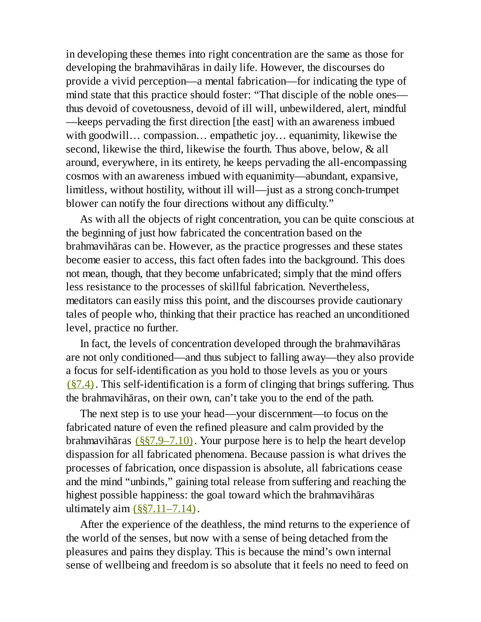in developing these themes into right concentration are the same as those for developing the brahmavihāras in daily life. However, the discourses do provide a vivid perception—a mental fabrication—for indicating the type of mind state that this practice should foster: "That disciple of the noble ones thus devoid of covetousness, devoid of ill will, unbewildered, alert, mindful —keeps pervading the first direction [the east] with an awareness imbued with goodwill… compassion… empathetic joy… equanimity, likewise the second, likewise the third, likewise the fourth. Thus above, below, & all around, everywhere, in its entirety, he keeps pervading the all-encompassing cosmos with an awareness imbued with equanimity—abundant, expansive, limitless, without hostility, without ill will—just as a strong conch-trumpet blower can notify the four directions without any difficulty."

As with all the objects of right concentration, you can be quite conscious at the beginning of just how fabricated the concentration based on the brahmavihāras can be. However, as the practice progresses and these states become easier to access, this fact often fades into the background. This does not mean, though, that they become unfabricated; simply that the mind offers less resistance to the processes of skillful fabrication. Nevertheless, meditators can easily miss this point, and the discourses provide cautionary tales of people who, thinking that their practice has reached an unconditioned level, practice no further.

In fact, the levels of concentration developed through the brahmavihāras are not only conditioned—and thus subject to falling away—they also provide a focus for self-identification as you hold to those levels as you or yours  $(S7.4)$ . This self-identification is a form of clinging that brings suffering. Thus the brahmavihāras, on their own, can't take you to the end of the path.

The next step is to use your head—your discernment—to focus on the fabricated nature of even the refined pleasure and calm provided by the brahmavihāras  $($ §§ $7.9-7.10)$ . Your purpose here is to help the heart develop dispassion for all fabricated phenomena. Because passion is what drives the processes of fabrication, once dispassion is absolute, all fabrications cease and the mind "unbinds," gaining total release from suffering and reaching the highest possible happiness: the goal toward which the brahmavihāras ultimately aim  $(S_{\frac{5}{27}}.11-7.14)$ .

After the experience of the deathless, the mind returns to the experience of the world of the senses, but now with a sense of being detached from the pleasures and pains they display. This is because the mind's own internal sense of wellbeing and freedom is so absolute that it feels no need to feed on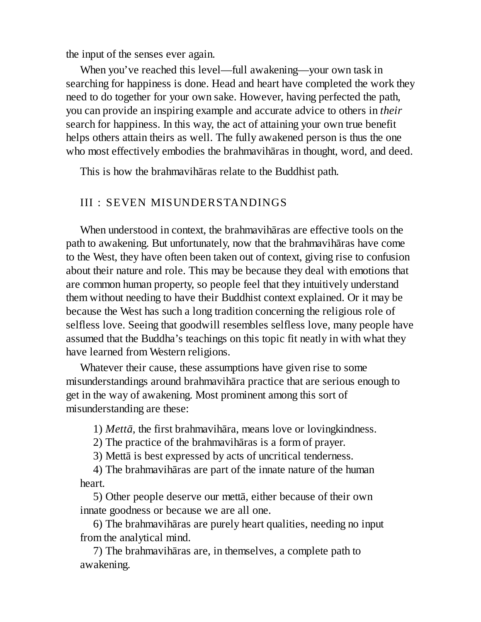the input of the senses ever again.

When you've reached this level—full awakening—your own task in searching for happiness is done. Head and heart have completed the work they need to do together for your own sake. However, having perfected the path, you can provide an inspiring example and accurate advice to others in *their* search for happiness. In this way, the act of attaining your own true benefit helps others attain theirs as well. The fully awakened person is thus the one who most effectively embodies the brahmavihāras in thought, word, and deed.

This is how the brahmavihāras relate to the Buddhist path.

## III : SEVEN MISUNDERSTANDINGS

When understood in context, the brahmavihāras are effective tools on the path to awakening. But unfortunately, now that the brahmavihāras have come to the West, they have often been taken out of context, giving rise to confusion about their nature and role. This may be because they deal with emotions that are common human property, so people feel that they intuitively understand them without needing to have their Buddhist context explained. Or it may be because the West has such a long tradition concerning the religious role of selfless love. Seeing that goodwill resembles selfless love, many people have assumed that the Buddha's teachings on this topic fit neatly in with what they have learned from Western religions.

Whatever their cause, these assumptions have given rise to some misunderstandings around brahmavihāra practice that are serious enough to get in the way of awakening. Most prominent among this sort of misunderstanding are these:

1) *Mettā,* the first brahmavihāra, means love or lovingkindness.

2) The practice of the brahmavihāras is a form of prayer.

3) Mettā is best expressed by acts of uncritical tenderness.

4) The brahmavihāras are part of the innate nature of the human heart.

5) Other people deserve our mettā, either because of their own innate goodness or because we are all one.

6) The brahmavihāras are purely heart qualities, needing no input from the analytical mind.

7) The brahmavihāras are, in themselves, a complete path to awakening.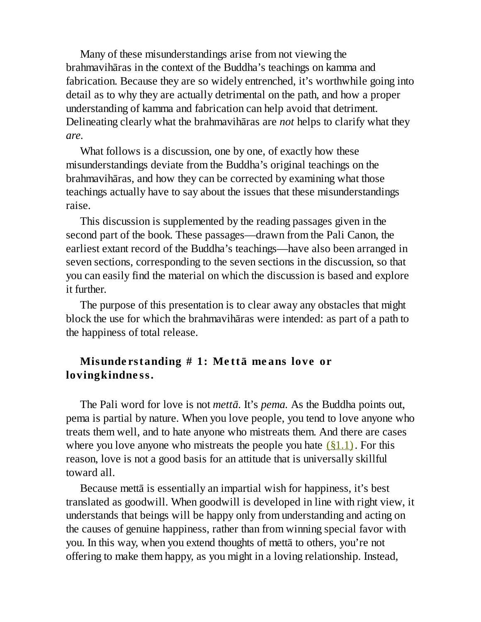Many of these misunderstandings arise from not viewing the brahmavihāras in the context of the Buddha's teachings on kamma and fabrication. Because they are so widely entrenched, it's worthwhile going into detail as to why they are actually detrimental on the path, and how a proper understanding of kamma and fabrication can help avoid that detriment. Delineating clearly what the brahmavihāras are *not* helps to clarify what they *are.*

What follows is a discussion, one by one, of exactly how these misunderstandings deviate from the Buddha's original teachings on the brahmavihāras, and how they can be corrected by examining what those teachings actually have to say about the issues that these misunderstandings raise.

This discussion is supplemented by the reading passages given in the second part of the book. These passages—drawn from the Pali Canon, the earliest extant record of the Buddha's teachings—have also been arranged in seven sections, corresponding to the seven sections in the discussion, so that you can easily find the material on which the discussion is based and explore it further.

The purpose of this presentation is to clear away any obstacles that might block the use for which the brahmavihāras were intended: as part of a path to the happiness of total release.

#### **Misunde rstanding # 1: Me ttā me ans love or lovingkindne ss.**

The Pali word for love is not *mettā.* It's *pema.* As the Buddha points out, pema is partial by nature. When you love people, you tend to love anyone who treats them well, and to hate anyone who mistreats them. And there are cases where you love anyone who mistreats the people you hate  $(\S1.1)$ . For this reason, love is not a good basis for an attitude that is universally skillful toward all.

Because mettā is essentially an impartial wish for happiness, it's best translated as goodwill. When goodwill is developed in line with right view, it understands that beings will be happy only from understanding and acting on the causes of genuine happiness, rather than from winning special favor with you. In this way, when you extend thoughts of mettā to others, you're not offering to make them happy, as you might in a loving relationship. Instead,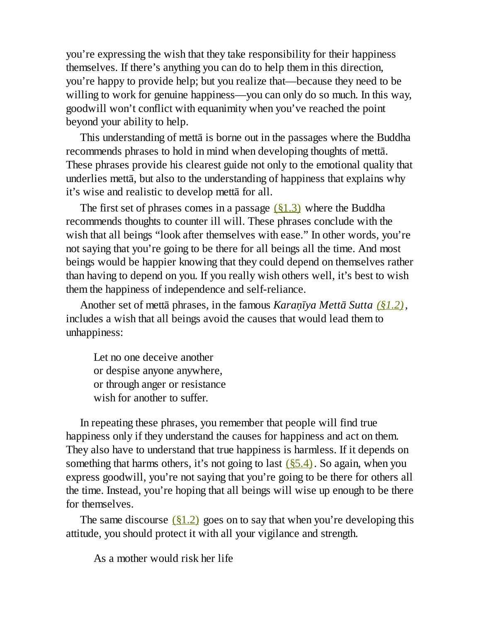you're expressing the wish that they take responsibility for their happiness themselves. If there's anything you can do to help them in this direction, you're happy to provide help; but you realize that—because they need to be willing to work for genuine happiness—you can only do so much. In this way, goodwill won't conflict with equanimity when you've reached the point beyond your ability to help.

This understanding of mettā is borne out in the passages where the Buddha recommends phrases to hold in mind when developing thoughts of mettā. These phrases provide his clearest guide not only to the emotional quality that underlies mettā, but also to the understanding of happiness that explains why it's wise and realistic to develop mettā for all.

The first set of phrases comes in a passage  $(§1.3)$  where the Buddha recommends thoughts to counter ill will. These phrases conclude with the wish that all beings "look after themselves with ease." In other words, you're not saying that you're going to be there for all beings all the time. And most beings would be happier knowing that they could depend on themselves rather than having to depend on you. If you really wish others well, it's best to wish them the happiness of independence and self-reliance.

Another set of mettā phrases, in the famous *Karaṇīya Mettā Sutta [\(§1.2\),](#page-31-0)* includes a wish that all beings avoid the causes that would lead them to unhappiness:

Let no one deceive another or despise anyone anywhere, or through anger or resistance wish for another to suffer.

In repeating these phrases, you remember that people will find true happiness only if they understand the causes for happiness and act on them. They also have to understand that true happiness is harmless. If it depends on something that harms others, it's not going to last  $(§5.4)$ . So again, when you express goodwill, you're not saying that you're going to be there for others all the time. Instead, you're hoping that all beings will wise up enough to be there for themselves.

The same discourse  $(81.2)$  goes on to say that when you're developing this attitude, you should protect it with all your vigilance and strength.

As a mother would risk her life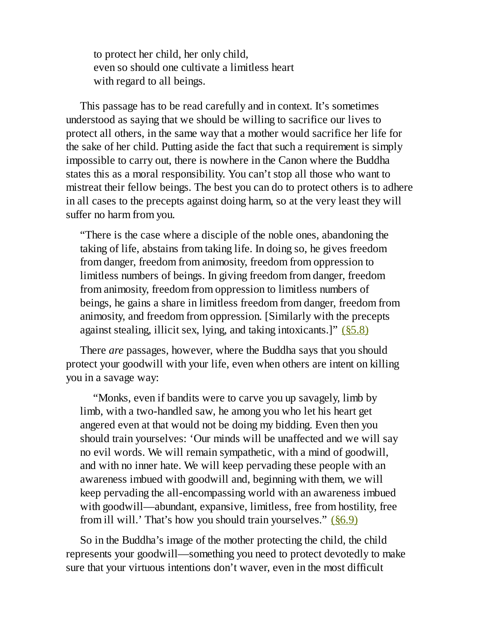to protect her child, her only child, even so should one cultivate a limitless heart with regard to all beings.

This passage has to be read carefully and in context. It's sometimes understood as saying that we should be willing to sacrifice our lives to protect all others, in the same way that a mother would sacrifice her life for the sake of her child. Putting aside the fact that such a requirement is simply impossible to carry out, there is nowhere in the Canon where the Buddha states this as a moral responsibility. You can't stop all those who want to mistreat their fellow beings. The best you can do to protect others is to adhere in all cases to the precepts against doing harm, so at the very least they will suffer no harm from you.

"There is the case where a disciple of the noble ones, abandoning the taking of life, abstains from taking life. In doing so, he gives freedom from danger, freedom from animosity, freedom from oppression to limitless numbers of beings. In giving freedom from danger, freedom from animosity, freedom from oppression to limitless numbers of beings, he gains a share in limitless freedom from danger, freedom from animosity, and freedom from oppression. [Similarly with the precepts against stealing, illicit sex, lying, and taking intoxicants.]" [\(§5.8\)](#page-58-0)

There *are* passages, however, where the Buddha says that you should protect your goodwill with your life, even when others are intent on killing you in a savage way:

"Monks, even if bandits were to carve you up savagely, limb by limb, with a two-handled saw, he among you who let his heart get angered even at that would not be doing my bidding. Even then you should train yourselves: 'Our minds will be unaffected and we will say no evil words. We will remain sympathetic, with a mind of goodwill, and with no inner hate. We will keep pervading these people with an awareness imbued with goodwill and, beginning with them, we will keep pervading the all-encompassing world with an awareness imbued with goodwill—abundant, expansive, limitless, free from hostility, free from ill will.' That's how you should train yourselves." [\(§6.9\)](#page-72-0)

So in the Buddha's image of the mother protecting the child, the child represents your goodwill—something you need to protect devotedly to make sure that your virtuous intentions don't waver, even in the most difficult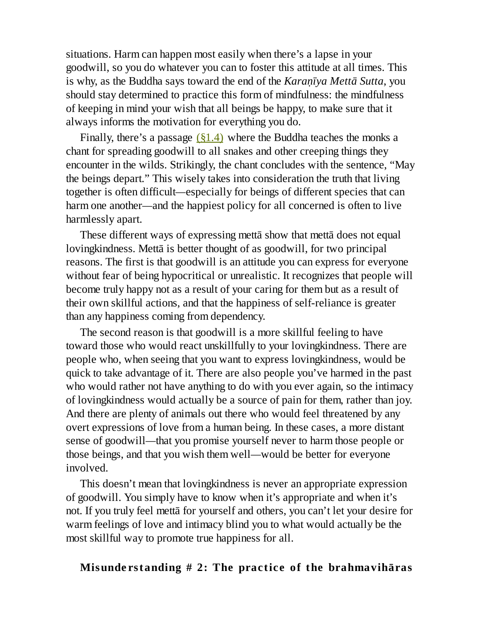situations. Harm can happen most easily when there's a lapse in your goodwill, so you do whatever you can to foster this attitude at all times. This is why, as the Buddha says toward the end of the *Karaṇīya Mettā Sutta*, you should stay determined to practice this form of mindfulness: the mindfulness of keeping in mind your wish that all beings be happy, to make sure that it always informs the motivation for everything you do.

Finally, there's a passage  $(§1.4)$  where the Buddha teaches the monks a chant for spreading goodwill to all snakes and other creeping things they encounter in the wilds. Strikingly, the chant concludes with the sentence, "May the beings depart." This wisely takes into consideration the truth that living together is often difficult*—*especially for beings of different species that can harm one another*—*and the happiest policy for all concerned is often to live harmlessly apart.

These different ways of expressing mettā show that mettā does not equal lovingkindness. Mettā is better thought of as goodwill, for two principal reasons. The first is that goodwill is an attitude you can express for everyone without fear of being hypocritical or unrealistic. It recognizes that people will become truly happy not as a result of your caring for them but as a result of their own skillful actions, and that the happiness of self-reliance is greater than any happiness coming from dependency.

The second reason is that goodwill is a more skillful feeling to have toward those who would react unskillfully to your lovingkindness. There are people who, when seeing that you want to express lovingkindness, would be quick to take advantage of it. There are also people you've harmed in the past who would rather not have anything to do with you ever again, so the intimacy of lovingkindness would actually be a source of pain for them, rather than joy. And there are plenty of animals out there who would feel threatened by any overt expressions of love from a human being. In these cases, a more distant sense of goodwill*—*that you promise yourself never to harm those people or those beings, and that you wish them well*—*would be better for everyone involved.

This doesn't mean that lovingkindness is never an appropriate expression of goodwill. You simply have to know when it's appropriate and when it's not. If you truly feel mettā for yourself and others, you can't let your desire for warm feelings of love and intimacy blind you to what would actually be the most skillful way to promote true happiness for all.

#### **Misunde rstanding # 2: The practice of the brahmavihāras**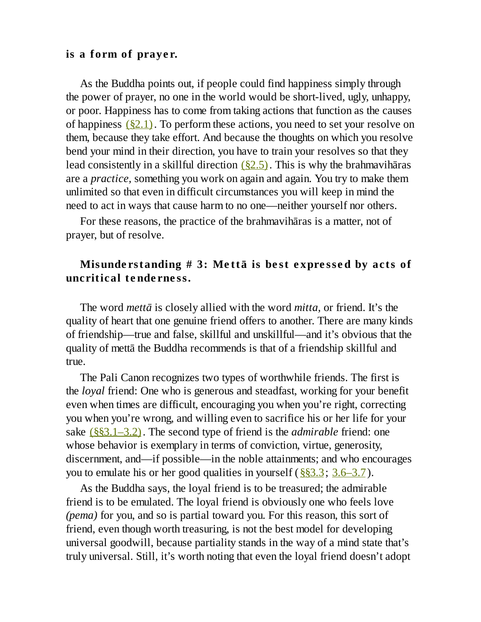#### **is a form of praye r.**

As the Buddha points out, if people could find happiness simply through the power of prayer, no one in the world would be short-lived, ugly, unhappy, or poor. Happiness has to come from taking actions that function as the causes of happiness  $(S_2, 1)$ . To perform these actions, you need to set your resolve on them, because they take effort. And because the thoughts on which you resolve bend your mind in their direction, you have to train your resolves so that they lead consistently in a skillful direction  $(S2.5)$ . This is why the brahmaviharas are a *practice,* something you work on again and again. You try to make them unlimited so that even in difficult circumstances you will keep in mind the need to act in ways that cause harm to no one—neither yourself nor others.

For these reasons, the practice of the brahmavihāras is a matter, not of prayer, but of resolve.

#### **Misunde rstanding # 3: Me ttā is be st e xpre ss e d by acts of uncritical t e nde rne ss.**

The word *mettā* is closely allied with the word *mitta,* or friend. It's the quality of heart that one genuine friend offers to another. There are many kinds of friendship—true and false, skillful and unskillful—and it's obvious that the quality of mettā the Buddha recommends is that of a friendship skillful and true.

The Pali Canon recognizes two types of worthwhile friends. The first is the *loyal* friend: One who is generous and steadfast, working for your benefit even when times are difficult, encouraging you when you're right, correcting you when you're wrong, and willing even to sacrifice his or her life for your sake [\(§§3.1–3.2\).](#page-47-0) The second type of friend is the *admirable* friend: one whose behavior is exemplary in terms of conviction, virtue, generosity, discernment, and—if possible—in the noble attainments; and who encourages you to emulate his or her good qualities in yourself  $(\frac{883.3}{3.6}$ ;  $3.6-3.7)$ .

As the Buddha says, the loyal friend is to be treasured; the admirable friend is to be emulated. The loyal friend is obviously one who feels love *(pema)* for you, and so is partial toward you. For this reason, this sort of friend, even though worth treasuring, is not the best model for developing universal goodwill, because partiality stands in the way of a mind state that's truly universal. Still, it's worth noting that even the loyal friend doesn't adopt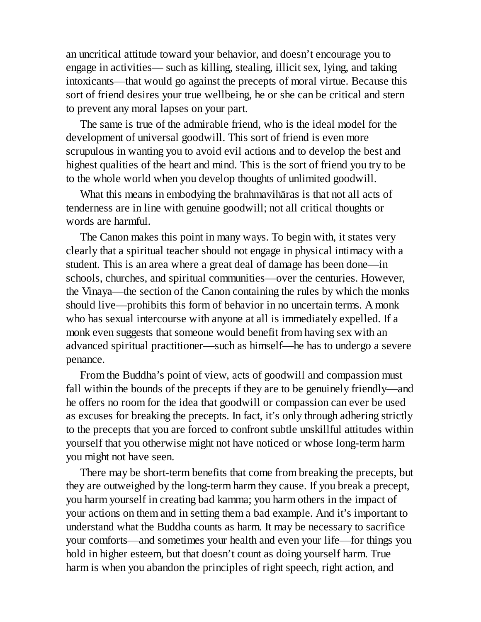an uncritical attitude toward your behavior, and doesn't encourage you to engage in activities— such as killing, stealing, illicit sex, lying, and taking intoxicants—that would go against the precepts of moral virtue. Because this sort of friend desires your true wellbeing, he or she can be critical and stern to prevent any moral lapses on your part.

The same is true of the admirable friend, who is the ideal model for the development of universal goodwill. This sort of friend is even more scrupulous in wanting you to avoid evil actions and to develop the best and highest qualities of the heart and mind. This is the sort of friend you try to be to the whole world when you develop thoughts of unlimited goodwill.

What this means in embodying the brahmavihāras is that not all acts of tenderness are in line with genuine goodwill; not all critical thoughts or words are harmful.

The Canon makes this point in many ways. To begin with, it states very clearly that a spiritual teacher should not engage in physical intimacy with a student. This is an area where a great deal of damage has been done—in schools, churches, and spiritual communities—over the centuries. However, the Vinaya—the section of the Canon containing the rules by which the monks should live—prohibits this form of behavior in no uncertain terms. A monk who has sexual intercourse with anyone at all is immediately expelled. If a monk even suggests that someone would benefit from having sex with an advanced spiritual practitioner—such as himself—he has to undergo a severe penance.

From the Buddha's point of view, acts of goodwill and compassion must fall within the bounds of the precepts if they are to be genuinely friendly—and he offers no room for the idea that goodwill or compassion can ever be used as excuses for breaking the precepts. In fact, it's only through adhering strictly to the precepts that you are forced to confront subtle unskillful attitudes within yourself that you otherwise might not have noticed or whose long-term harm you might not have seen.

There may be short-term benefits that come from breaking the precepts, but they are outweighed by the long-term harm they cause. If you break a precept, you harm yourself in creating bad kamma; you harm others in the impact of your actions on them and in setting them a bad example. And it's important to understand what the Buddha counts as harm. It may be necessary to sacrifice your comforts—and sometimes your health and even your life—for things you hold in higher esteem, but that doesn't count as doing yourself harm. True harm is when you abandon the principles of right speech, right action, and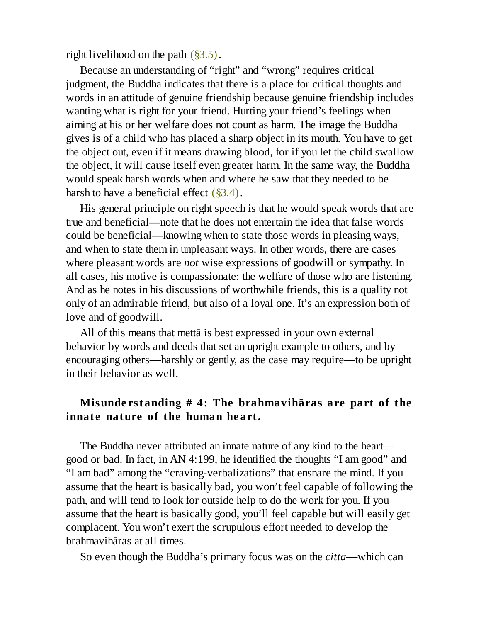right livelihood on the path  $(§3.5)$ .

Because an understanding of "right" and "wrong" requires critical judgment, the Buddha indicates that there is a place for critical thoughts and words in an attitude of genuine friendship because genuine friendship includes wanting what is right for your friend. Hurting your friend's feelings when aiming at his or her welfare does not count as harm. The image the Buddha gives is of a child who has placed a sharp object in its mouth. You have to get the object out, even if it means drawing blood, for if you let the child swallow the object, it will cause itself even greater harm. In the same way, the Buddha would speak harsh words when and where he saw that they needed to be harsh to have a beneficial effect  $(§3.4)$ .

His general principle on right speech is that he would speak words that are true and beneficial—note that he does not entertain the idea that false words could be beneficial—knowing when to state those words in pleasing ways, and when to state them in unpleasant ways. In other words, there are cases where pleasant words are *not* wise expressions of goodwill or sympathy. In all cases, his motive is compassionate: the welfare of those who are listening. And as he notes in his discussions of worthwhile friends, this is a quality not only of an admirable friend, but also of a loyal one. It's an expression both of love and of goodwill.

All of this means that mettā is best expressed in your own external behavior by words and deeds that set an upright example to others, and by encouraging others—harshly or gently, as the case may require—to be upright in their behavior as well.

### **Misunde rstanding # 4: The brahmavihāras are part of the innat e nature of the human he art.**

The Buddha never attributed an innate nature of any kind to the heart good or bad. In fact, in AN 4:199, he identified the thoughts "I am good" and "I am bad" among the "craving-verbalizations" that ensnare the mind. If you assume that the heart is basically bad, you won't feel capable of following the path, and will tend to look for outside help to do the work for you. If you assume that the heart is basically good, you'll feel capable but will easily get complacent. You won't exert the scrupulous effort needed to develop the brahmavihāras at all times.

So even though the Buddha's primary focus was on the *citta*—which can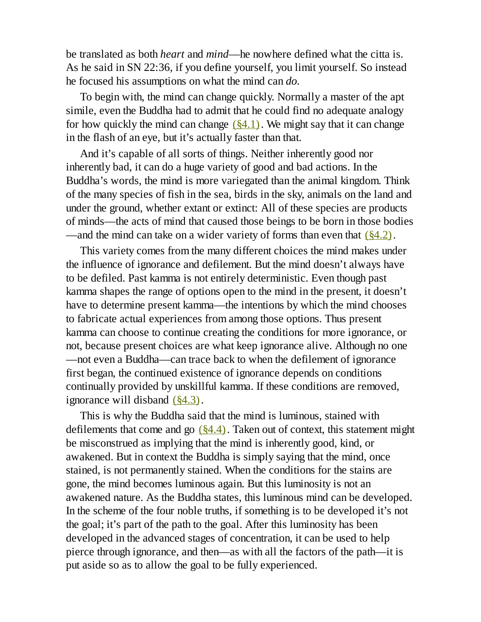be translated as both *heart* and *mind*—he nowhere defined what the citta is. As he said in SN 22:36, if you define yourself, you limit yourself. So instead he focused his assumptions on what the mind can *do.*

To begin with, the mind can change quickly. Normally a master of the apt simile, even the Buddha had to admit that he could find no adequate analogy for how quickly the mind can change  $(\S4.1)$ . We might say that it can change in the flash of an eye, but it's actually faster than that.

And it's capable of all sorts of things. Neither inherently good nor inherently bad, it can do a huge variety of good and bad actions. In the Buddha's words, the mind is more variegated than the animal kingdom. Think of the many species of fish in the sea, birds in the sky, animals on the land and under the ground, whether extant or extinct: All of these species are products of minds—the acts of mind that caused those beings to be born in those bodies —and the mind can take on a wider variety of forms than even that  $(\frac{24.2}{3})$ .

This variety comes from the many different choices the mind makes under the influence of ignorance and defilement. But the mind doesn't always have to be defiled. Past kamma is not entirely deterministic. Even though past kamma shapes the range of options open to the mind in the present, it doesn't have to determine present kamma—the intentions by which the mind chooses to fabricate actual experiences from among those options. Thus present kamma can choose to continue creating the conditions for more ignorance, or not, because present choices are what keep ignorance alive. Although no one —not even a Buddha—can trace back to when the defilement of ignorance first began, the continued existence of ignorance depends on conditions continually provided by unskillful kamma. If these conditions are removed, ignorance will disband  $(§4.3)$ .

This is why the Buddha said that the mind is luminous, stained with defilements that come and go  $(\frac{64.4}{9})$ . Taken out of context, this statement might be misconstrued as implying that the mind is inherently good, kind, or awakened. But in context the Buddha is simply saying that the mind, once stained, is not permanently stained. When the conditions for the stains are gone, the mind becomes luminous again. But this luminosity is not an awakened nature. As the Buddha states, this luminous mind can be developed. In the scheme of the four noble truths, if something is to be developed it's not the goal; it's part of the path to the goal. After this luminosity has been developed in the advanced stages of concentration, it can be used to help pierce through ignorance, and then—as with all the factors of the path—it is put aside so as to allow the goal to be fully experienced.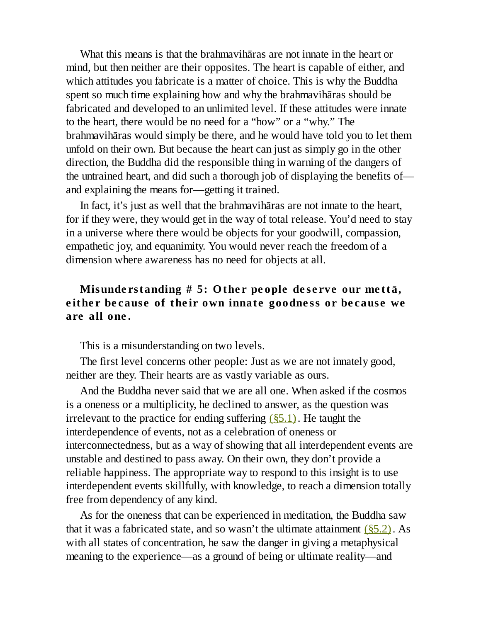What this means is that the brahmavihāras are not innate in the heart or mind, but then neither are their opposites. The heart is capable of either, and which attitudes you fabricate is a matter of choice. This is why the Buddha spent so much time explaining how and why the brahmavihāras should be fabricated and developed to an unlimited level. If these attitudes were innate to the heart, there would be no need for a "how" or a "why." The brahmavihāras would simply be there, and he would have told you to let them unfold on their own. But because the heart can just as simply go in the other direction, the Buddha did the responsible thing in warning of the dangers of the untrained heart, and did such a thorough job of displaying the benefits of and explaining the means for—getting it trained.

In fact, it's just as well that the brahmavihāras are not innate to the heart, for if they were, they would get in the way of total release. You'd need to stay in a universe where there would be objects for your goodwill, compassion, empathetic joy, and equanimity. You would never reach the freedom of a dimension where awareness has no need for objects at all.

### **Misunde rstanding # 5: Othe r pe ople de s e rve our me ttā, e ithe r be caus e of the ir own innat e goodne ss or be caus e we are all one .**

This is a misunderstanding on two levels.

The first level concerns other people: Just as we are not innately good, neither are they. Their hearts are as vastly variable as ours.

And the Buddha never said that we are all one. When asked if the cosmos is a oneness or a multiplicity, he declined to answer, as the question was irrelevant to the practice for ending suffering  $(\S5.1)$ . He taught the interdependence of events, not as a celebration of oneness or interconnectedness, but as a way of showing that all interdependent events are unstable and destined to pass away. On their own, they don't provide a reliable happiness. The appropriate way to respond to this insight is to use interdependent events skillfully, with knowledge, to reach a dimension totally free from dependency of any kind.

As for the oneness that can be experienced in meditation, the Buddha saw that it was a fabricated state, and so wasn't the ultimate attainment  $(\xi_5, 2)$ . As with all states of concentration, he saw the danger in giving a metaphysical meaning to the experience—as a ground of being or ultimate reality—and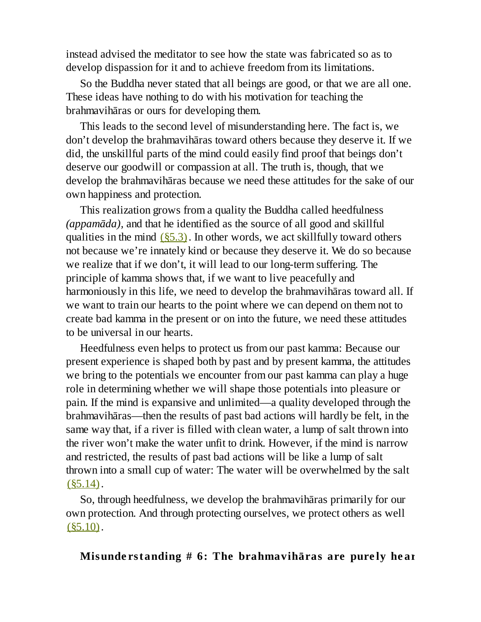instead advised the meditator to see how the state was fabricated so as to develop dispassion for it and to achieve freedom from its limitations.

So the Buddha never stated that all beings are good, or that we are all one. These ideas have nothing to do with his motivation for teaching the brahmavihāras or ours for developing them.

This leads to the second level of misunderstanding here. The fact is, we don't develop the brahmavihāras toward others because they deserve it. If we did, the unskillful parts of the mind could easily find proof that beings don't deserve our goodwill or compassion at all. The truth is, though, that we develop the brahmavihāras because we need these attitudes for the sake of our own happiness and protection.

This realization grows from a quality the Buddha called heedfulness *(appamāda),* and that he identified as the source of all good and skillful qualities in the mind  $(\S5.3)$ . In other words, we act skillfully toward others not because we're innately kind or because they deserve it. We do so because we realize that if we don't, it will lead to our long-term suffering. The principle of kamma shows that, if we want to live peacefully and harmoniously in this life, we need to develop the brahmavihāras toward all. If we want to train our hearts to the point where we can depend on them not to create bad kamma in the present or on into the future, we need these attitudes to be universal in our hearts.

Heedfulness even helps to protect us from our past kamma: Because our present experience is shaped both by past and by present kamma, the attitudes we bring to the potentials we encounter from our past kamma can play a huge role in determining whether we will shape those potentials into pleasure or pain. If the mind is expansive and unlimited—a quality developed through the brahmavihāras—then the results of past bad actions will hardly be felt, in the same way that, if a river is filled with clean water, a lump of salt thrown into the river won't make the water unfit to drink. However, if the mind is narrow and restricted, the results of past bad actions will be like a lump of salt thrown into a small cup of water: The water will be overwhelmed by the salt  $($ §5.14).

So, through heedfulness, we develop the brahmavihāras primarily for our own protection. And through protecting ourselves, we protect others as well  $($ §5.10).

#### **Misunde rstanding # 6: The brahmavihāras are pure ly he art**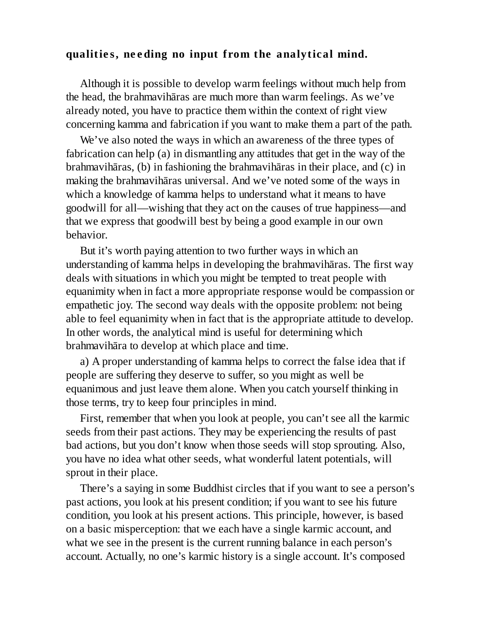#### **qualitie s, ne e ding no input f rom the analytical mind.**

Although it is possible to develop warm feelings without much help from the head, the brahmavihāras are much more than warm feelings. As we've already noted, you have to practice them within the context of right view concerning kamma and fabrication if you want to make them a part of the path.

We've also noted the ways in which an awareness of the three types of fabrication can help (a) in dismantling any attitudes that get in the way of the brahmavihāras, (b) in fashioning the brahmavihāras in their place, and (c) in making the brahmavihāras universal. And we've noted some of the ways in which a knowledge of kamma helps to understand what it means to have goodwill for all—wishing that they act on the causes of true happiness—and that we express that goodwill best by being a good example in our own behavior.

But it's worth paying attention to two further ways in which an understanding of kamma helps in developing the brahmavihāras. The first way deals with situations in which you might be tempted to treat people with equanimity when in fact a more appropriate response would be compassion or empathetic joy. The second way deals with the opposite problem: not being able to feel equanimity when in fact that is the appropriate attitude to develop. In other words, the analytical mind is useful for determining which brahmavihāra to develop at which place and time.

a) A proper understanding of kamma helps to correct the false idea that if people are suffering they deserve to suffer, so you might as well be equanimous and just leave them alone. When you catch yourself thinking in those terms, try to keep four principles in mind.

First, remember that when you look at people, you can't see all the karmic seeds from their past actions. They may be experiencing the results of past bad actions, but you don't know when those seeds will stop sprouting. Also, you have no idea what other seeds, what wonderful latent potentials, will sprout in their place.

There's a saying in some Buddhist circles that if you want to see a person's past actions, you look at his present condition; if you want to see his future condition, you look at his present actions. This principle, however, is based on a basic misperception: that we each have a single karmic account, and what we see in the present is the current running balance in each person's account. Actually, no one's karmic history is a single account. It's composed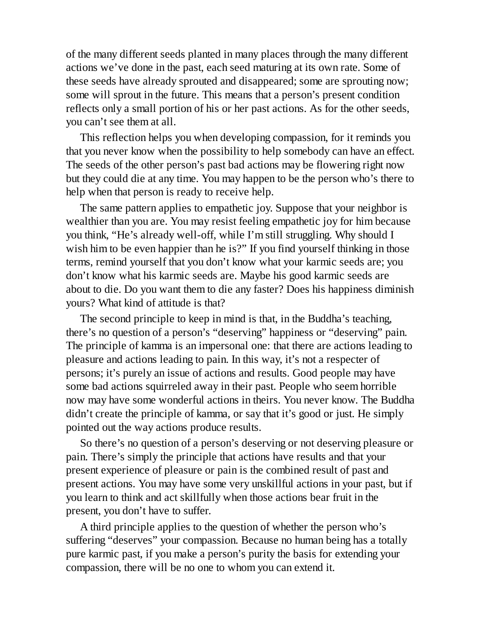of the many different seeds planted in many places through the many different actions we've done in the past, each seed maturing at its own rate. Some of these seeds have already sprouted and disappeared; some are sprouting now; some will sprout in the future. This means that a person's present condition reflects only a small portion of his or her past actions. As for the other seeds, you can't see them at all.

This reflection helps you when developing compassion, for it reminds you that you never know when the possibility to help somebody can have an effect. The seeds of the other person's past bad actions may be flowering right now but they could die at any time. You may happen to be the person who's there to help when that person is ready to receive help.

The same pattern applies to empathetic joy. Suppose that your neighbor is wealthier than you are. You may resist feeling empathetic joy for him because you think, "He's already well-off, while I'm still struggling. Why should I wish him to be even happier than he is?" If you find yourself thinking in those terms, remind yourself that you don't know what your karmic seeds are; you don't know what his karmic seeds are. Maybe his good karmic seeds are about to die. Do you want them to die any faster? Does his happiness diminish yours? What kind of attitude is that?

The second principle to keep in mind is that, in the Buddha's teaching, there's no question of a person's "deserving" happiness or "deserving" pain. The principle of kamma is an impersonal one: that there are actions leading to pleasure and actions leading to pain. In this way, it's not a respecter of persons; it's purely an issue of actions and results. Good people may have some bad actions squirreled away in their past. People who seem horrible now may have some wonderful actions in theirs. You never know. The Buddha didn't create the principle of kamma, or say that it's good or just. He simply pointed out the way actions produce results.

So there's no question of a person's deserving or not deserving pleasure or pain. There's simply the principle that actions have results and that your present experience of pleasure or pain is the combined result of past and present actions. You may have some very unskillful actions in your past, but if you learn to think and act skillfully when those actions bear fruit in the present, you don't have to suffer.

A third principle applies to the question of whether the person who's suffering "deserves" your compassion. Because no human being has a totally pure karmic past, if you make a person's purity the basis for extending your compassion, there will be no one to whom you can extend it.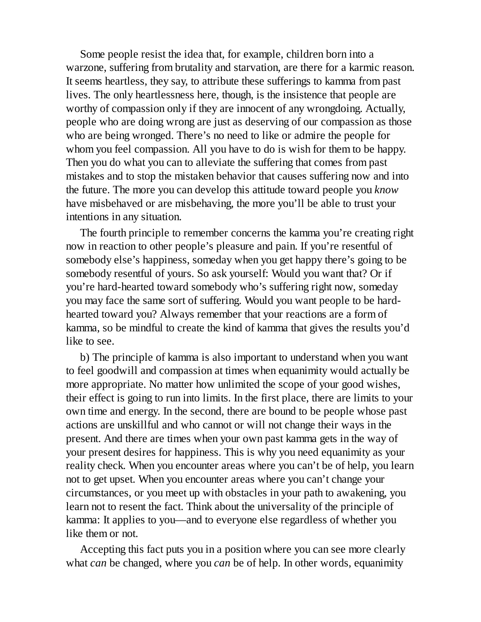Some people resist the idea that, for example, children born into a warzone, suffering from brutality and starvation, are there for a karmic reason. It seems heartless, they say, to attribute these sufferings to kamma from past lives. The only heartlessness here, though, is the insistence that people are worthy of compassion only if they are innocent of any wrongdoing. Actually, people who are doing wrong are just as deserving of our compassion as those who are being wronged. There's no need to like or admire the people for whom you feel compassion. All you have to do is wish for them to be happy. Then you do what you can to alleviate the suffering that comes from past mistakes and to stop the mistaken behavior that causes suffering now and into the future. The more you can develop this attitude toward people you *know* have misbehaved or are misbehaving, the more you'll be able to trust your intentions in any situation.

The fourth principle to remember concerns the kamma you're creating right now in reaction to other people's pleasure and pain. If you're resentful of somebody else's happiness, someday when you get happy there's going to be somebody resentful of yours. So ask yourself: Would you want that? Or if you're hard-hearted toward somebody who's suffering right now, someday you may face the same sort of suffering. Would you want people to be hardhearted toward you? Always remember that your reactions are a form of kamma, so be mindful to create the kind of kamma that gives the results you'd like to see.

b) The principle of kamma is also important to understand when you want to feel goodwill and compassion at times when equanimity would actually be more appropriate. No matter how unlimited the scope of your good wishes, their effect is going to run into limits. In the first place, there are limits to your own time and energy. In the second, there are bound to be people whose past actions are unskillful and who cannot or will not change their ways in the present. And there are times when your own past kamma gets in the way of your present desires for happiness. This is why you need equanimity as your reality check. When you encounter areas where you can't be of help, you learn not to get upset. When you encounter areas where you can't change your circumstances, or you meet up with obstacles in your path to awakening, you learn not to resent the fact. Think about the universality of the principle of kamma: It applies to you—and to everyone else regardless of whether you like them or not.

Accepting this fact puts you in a position where you can see more clearly what *can* be changed, where you *can* be of help. In other words, equanimity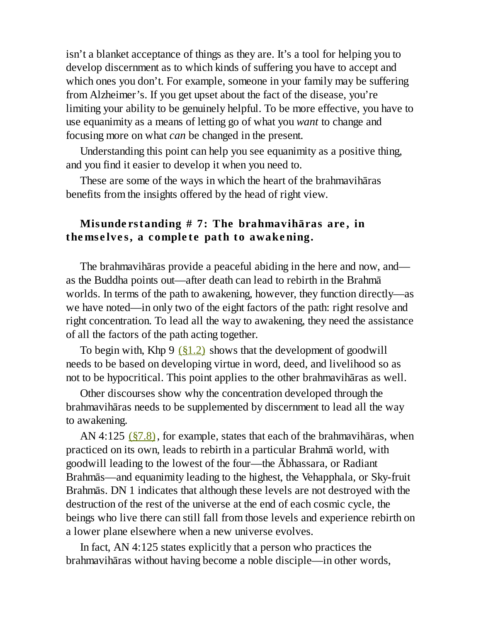isn't a blanket acceptance of things as they are. It's a tool for helping you to develop discernment as to which kinds of suffering you have to accept and which ones you don't. For example, someone in your family may be suffering from Alzheimer's. If you get upset about the fact of the disease, you're limiting your ability to be genuinely helpful. To be more effective, you have to use equanimity as a means of letting go of what you *want* to change and focusing more on what *can* be changed in the present.

Understanding this point can help you see equanimity as a positive thing, and you find it easier to develop it when you need to.

These are some of the ways in which the heart of the brahmavihāras benefits from the insights offered by the head of right view.

#### **Misunde rstanding # 7: The brahmavihāras are , in the mse lve s, a comple t e path to awake ning.**

The brahmavihāras provide a peaceful abiding in the here and now, and as the Buddha points out—after death can lead to rebirth in the Brahmā worlds. In terms of the path to awakening, however, they function directly—as we have noted—in only two of the eight factors of the path: right resolve and right concentration. To lead all the way to awakening, they need the assistance of all the factors of the path acting together.

To begin with, Khp  $9 \left( \frac{12}{2} \right)$  shows that the development of goodwill needs to be based on developing virtue in word, deed, and livelihood so as not to be hypocritical. This point applies to the other brahmavihāras as well.

Other discourses show why the concentration developed through the brahmavihāras needs to be supplemented by discernment to lead all the way to awakening.

AN 4:125  $(S7.8)$ , for example, states that each of the brahmaviharas, when practiced on its own, leads to rebirth in a particular Brahmā world, with goodwill leading to the lowest of the four—the Ābhassara, or Radiant Brahmās—and equanimity leading to the highest, the Vehapphala, or Sky-fruit Brahmās. DN 1 indicates that although these levels are not destroyed with the destruction of the rest of the universe at the end of each cosmic cycle, the beings who live there can still fall from those levels and experience rebirth on a lower plane elsewhere when a new universe evolves.

In fact, AN 4:125 states explicitly that a person who practices the brahmavihāras without having become a noble disciple—in other words,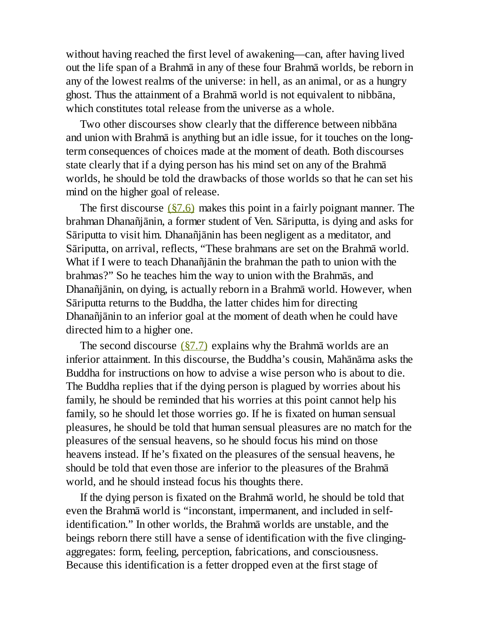without having reached the first level of awakening—can, after having lived out the life span of a Brahmā in any of these four Brahmā worlds, be reborn in any of the lowest realms of the universe: in hell, as an animal, or as a hungry ghost. Thus the attainment of a Brahmā world is not equivalent to nibbāna, which constitutes total release from the universe as a whole.

Two other discourses show clearly that the difference between nibbāna and union with Brahmā is anything but an idle issue, for it touches on the longterm consequences of choices made at the moment of death. Both discourses state clearly that if a dying person has his mind set on any of the Brahmā worlds, he should be told the drawbacks of those worlds so that he can set his mind on the higher goal of release.

The first discourse  $(\sqrt{87.6})$  makes this point in a fairly poignant manner. The brahman Dhanañjānin, a former student of Ven. Sāriputta, is dying and asks for Sāriputta to visit him. Dhanañjānin has been negligent as a meditator, and Sāriputta, on arrival, reflects, "These brahmans are set on the Brahmā world. What if I were to teach Dhanañjānin the brahman the path to union with the brahmas?" So he teaches him the way to union with the Brahmās, and Dhanañjānin, on dying, is actually reborn in a Brahmā world. However, when Sāriputta returns to the Buddha, the latter chides him for directing Dhanañjānin to an inferior goal at the moment of death when he could have directed him to a higher one.

The second discourse  $(\frac{87.7}{8})$  explains why the Brahma worlds are an inferior attainment. In this discourse, the Buddha's cousin, Mahānāma asks the Buddha for instructions on how to advise a wise person who is about to die. The Buddha replies that if the dying person is plagued by worries about his family, he should be reminded that his worries at this point cannot help his family, so he should let those worries go. If he is fixated on human sensual pleasures, he should be told that human sensual pleasures are no match for the pleasures of the sensual heavens, so he should focus his mind on those heavens instead. If he's fixated on the pleasures of the sensual heavens, he should be told that even those are inferior to the pleasures of the Brahmā world, and he should instead focus his thoughts there.

If the dying person is fixated on the Brahmā world, he should be told that even the Brahmā world is "inconstant, impermanent, and included in selfidentification." In other worlds, the Brahmā worlds are unstable, and the beings reborn there still have a sense of identification with the five clingingaggregates: form, feeling, perception, fabrications, and consciousness. Because this identification is a fetter dropped even at the first stage of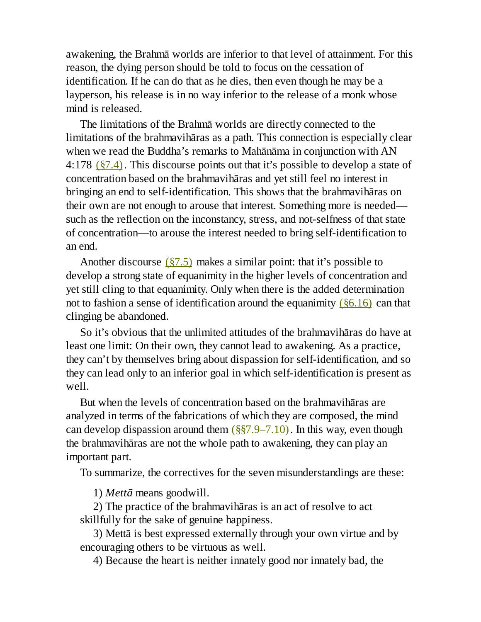awakening, the Brahmā worlds are inferior to that level of attainment. For this reason, the dying person should be told to focus on the cessation of identification. If he can do that as he dies, then even though he may be a layperson, his release is in no way inferior to the release of a monk whose mind is released.

The limitations of the Brahmā worlds are directly connected to the limitations of the brahmavihāras as a path. This connection is especially clear when we read the Buddha's remarks to Mahānāma in conjunction with AN 4:178  $(S7.4)$ . This discourse points out that it's possible to develop a state of concentration based on the brahmavihāras and yet still feel no interest in bringing an end to self-identification. This shows that the brahmavihāras on their own are not enough to arouse that interest. Something more is needed such as the reflection on the inconstancy, stress, and not-selfness of that state of concentration—to arouse the interest needed to bring self-identification to an end.

Another discourse  $(\frac{57.5}{2})$  makes a similar point: that it's possible to develop a strong state of equanimity in the higher levels of concentration and yet still cling to that equanimity. Only when there is the added determination not to fashion a sense of identification around the equanimity  $(S6.16)$  can that clinging be abandoned.

So it's obvious that the unlimited attitudes of the brahmavihāras do have at least one limit: On their own, they cannot lead to awakening. As a practice, they can't by themselves bring about dispassion for self-identification, and so they can lead only to an inferior goal in which self-identification is present as well.

But when the levels of concentration based on the brahmavihāras are analyzed in terms of the fabrications of which they are composed, the mind can develop dispassion around them  $(S\{-9, 7, 10\})$ . In this way, even though the brahmavihāras are not the whole path to awakening, they can play an important part.

To summarize, the correctives for the seven misunderstandings are these:

1) *Mettā* means goodwill.

2) The practice of the brahmavihāras is an act of resolve to act skillfully for the sake of genuine happiness.

3) Mettā is best expressed externally through your own virtue and by encouraging others to be virtuous as well.

4) Because the heart is neither innately good nor innately bad, the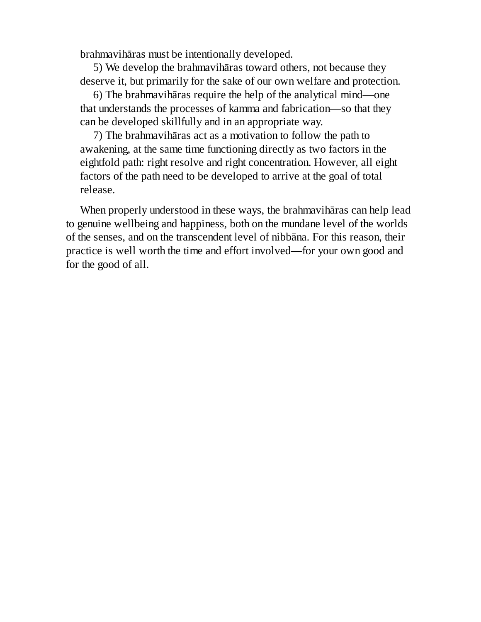brahmavihāras must be intentionally developed.

5) We develop the brahmavihāras toward others, not because they deserve it, but primarily for the sake of our own welfare and protection.

6) The brahmavihāras require the help of the analytical mind—one that understands the processes of kamma and fabrication—so that they can be developed skillfully and in an appropriate way.

7) The brahmavihāras act as a motivation to follow the path to awakening, at the same time functioning directly as two factors in the eightfold path: right resolve and right concentration. However, all eight factors of the path need to be developed to arrive at the goal of total release.

When properly understood in these ways, the brahmavihāras can help lead to genuine wellbeing and happiness, both on the mundane level of the worlds of the senses, and on the transcendent level of nibbāna. For this reason, their practice is well worth the time and effort involved—for your own good and for the good of all.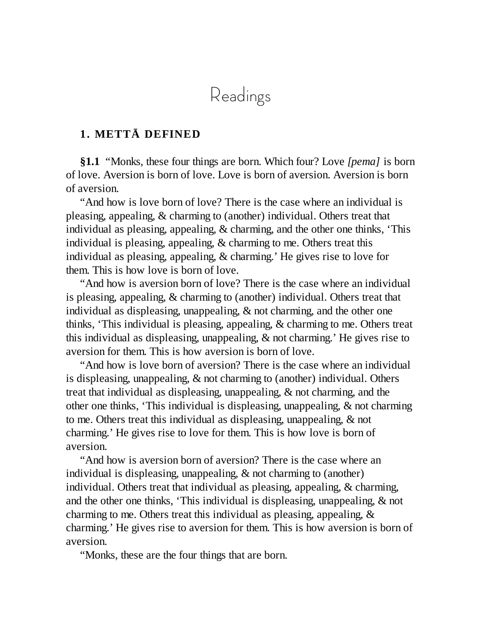# Readings

#### **1. METTĀ DEFINED**

<span id="page-30-0"></span>**§1.1** "Monks, these four things are born. Which four? Love *[pema]* is born of love. Aversion is born of love. Love is born of aversion. Aversion is born of aversion.

"And how is love born of love? There is the case where an individual is pleasing, appealing, & charming to (another) individual. Others treat that individual as pleasing, appealing, & charming, and the other one thinks, 'This individual is pleasing, appealing, & charming to me. Others treat this individual as pleasing, appealing, & charming.' He gives rise to love for them. This is how love is born of love.

"And how is aversion born of love? There is the case where an individual is pleasing, appealing, & charming to (another) individual. Others treat that individual as displeasing, unappealing, & not charming, and the other one thinks, 'This individual is pleasing, appealing, & charming to me. Others treat this individual as displeasing, unappealing, & not charming.' He gives rise to aversion for them. This is how aversion is born of love.

"And how is love born of aversion? There is the case where an individual is displeasing, unappealing, & not charming to (another) individual. Others treat that individual as displeasing, unappealing, & not charming, and the other one thinks, 'This individual is displeasing, unappealing, & not charming to me. Others treat this individual as displeasing, unappealing, & not charming.' He gives rise to love for them. This is how love is born of aversion.

"And how is aversion born of aversion? There is the case where an individual is displeasing, unappealing, & not charming to (another) individual. Others treat that individual as pleasing, appealing, & charming, and the other one thinks, 'This individual is displeasing, unappealing, & not charming to me. Others treat this individual as pleasing, appealing, & charming.' He gives rise to aversion for them. This is how aversion is born of aversion.

"Monks, these are the four things that are born.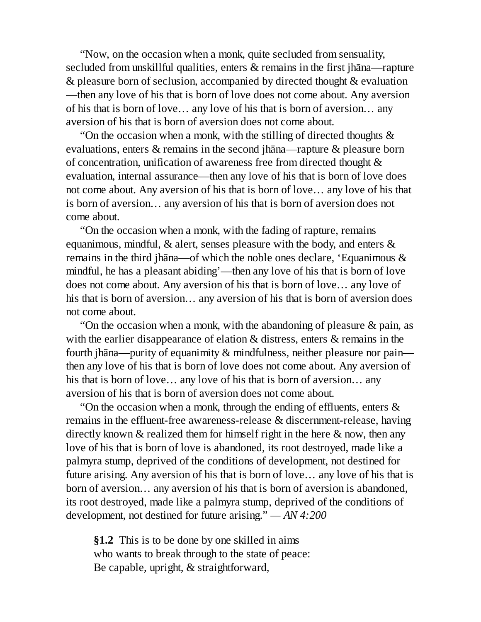"Now, on the occasion when a monk, quite secluded from sensuality, secluded from unskillful qualities, enters & remains in the first jhāna—rapture & pleasure born of seclusion, accompanied by directed thought & evaluation —then any love of his that is born of love does not come about. Any aversion of his that is born of love… any love of his that is born of aversion… any aversion of his that is born of aversion does not come about.

"On the occasion when a monk, with the stilling of directed thoughts & evaluations, enters & remains in the second jhāna—rapture & pleasure born of concentration, unification of awareness free from directed thought & evaluation, internal assurance—then any love of his that is born of love does not come about. Any aversion of his that is born of love… any love of his that is born of aversion… any aversion of his that is born of aversion does not come about.

"On the occasion when a monk, with the fading of rapture, remains equanimous, mindful, & alert, senses pleasure with the body, and enters & remains in the third jhāna—of which the noble ones declare, 'Equanimous & mindful, he has a pleasant abiding'—then any love of his that is born of love does not come about. Any aversion of his that is born of love… any love of his that is born of aversion… any aversion of his that is born of aversion does not come about.

"On the occasion when a monk, with the abandoning of pleasure & pain, as with the earlier disappearance of elation & distress, enters & remains in the fourth jhāna—purity of equanimity & mindfulness, neither pleasure nor pain then any love of his that is born of love does not come about. Any aversion of his that is born of love... any love of his that is born of aversion... any aversion of his that is born of aversion does not come about.

"On the occasion when a monk, through the ending of effluents, enters & remains in the effluent-free awareness-release & discernment-release, having directly known & realized them for himself right in the here & now, then any love of his that is born of love is abandoned, its root destroyed, made like a palmyra stump, deprived of the conditions of development, not destined for future arising. Any aversion of his that is born of love… any love of his that is born of aversion… any aversion of his that is born of aversion is abandoned, its root destroyed, made like a palmyra stump, deprived of the conditions of development, not destined for future arising." *— AN 4:200*

<span id="page-31-0"></span>**§1.2** This is to be done by one skilled in aims who wants to break through to the state of peace: Be capable, upright, & straightforward,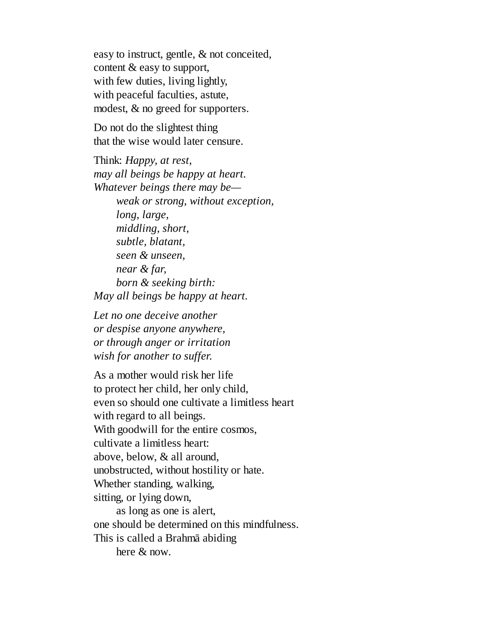easy to instruct, gentle, & not conceited, content & easy to support, with few duties, living lightly, with peaceful faculties, astute, modest, & no greed for supporters.

Do not do the slightest thing that the wise would later censure.

Think: *Happy, at rest, may all beings be happy at heart. Whatever beings there may be weak or strong, without exception, long, large, middling, short, subtle, blatant, seen & unseen, near & far, born & seeking birth: May all beings be happy at heart.*

*Let no one deceive another or despise anyone anywhere, or through anger or irritation wish for another to suffer.*

As a mother would risk her life to protect her child, her only child, even so should one cultivate a limitless heart with regard to all beings. With goodwill for the entire cosmos, cultivate a limitless heart: above, below, & all around, unobstructed, without hostility or hate. Whether standing, walking, sitting, or lying down, as long as one is alert, one should be determined on this mindfulness. This is called a Brahmā abiding

here & now.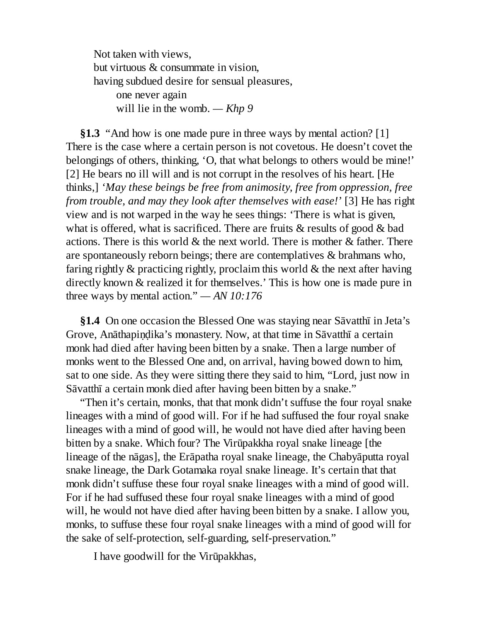Not taken with views, but virtuous & consummate in vision, having subdued desire for sensual pleasures, one never again will lie in the womb. *— Khp 9*

<span id="page-33-0"></span>**§1.3** "And how is one made pure in three ways by mental action? [1] There is the case where a certain person is not covetous. He doesn't covet the belongings of others, thinking, 'O, that what belongs to others would be mine!' [2] He bears no ill will and is not corrupt in the resolves of his heart. [He thinks,] *'May these beings be free from animosity, free from oppression, free from trouble, and may they look after themselves with ease!'* [3] He has right view and is not warped in the way he sees things: 'There is what is given, what is offered, what is sacrificed. There are fruits & results of good & bad actions. There is this world & the next world. There is mother & father. There are spontaneously reborn beings; there are contemplatives & brahmans who, faring rightly & practicing rightly, proclaim this world & the next after having directly known & realized it for themselves.' This is how one is made pure in three ways by mental action." *— AN 10:176*

<span id="page-33-1"></span>**§1.4** On one occasion the Blessed One was staying near Sāvatthī in Jeta's Grove, Anāthapiṇḍika's monastery. Now, at that time in Sāvatthī a certain monk had died after having been bitten by a snake. Then a large number of monks went to the Blessed One and, on arrival, having bowed down to him, sat to one side. As they were sitting there they said to him, "Lord, just now in Sāvatthī a certain monk died after having been bitten by a snake."

"Then it's certain, monks, that that monk didn't suffuse the four royal snake lineages with a mind of good will. For if he had suffused the four royal snake lineages with a mind of good will, he would not have died after having been bitten by a snake. Which four? The Virūpakkha royal snake lineage [the lineage of the nāgas], the Erāpatha royal snake lineage, the Chabyāputta royal snake lineage, the Dark Gotamaka royal snake lineage. It's certain that that monk didn't suffuse these four royal snake lineages with a mind of good will. For if he had suffused these four royal snake lineages with a mind of good will, he would not have died after having been bitten by a snake. I allow you, monks, to suffuse these four royal snake lineages with a mind of good will for the sake of self-protection, self-guarding, self-preservation."

I have goodwill for the Virūpakkhas,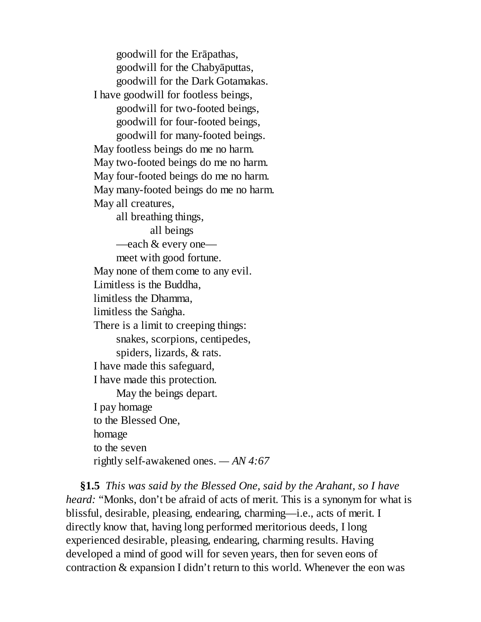goodwill for the Erāpathas, goodwill for the Chabyāputtas, goodwill for the Dark Gotamakas. I have goodwill for footless beings, goodwill for two-footed beings, goodwill for four-footed beings, goodwill for many-footed beings. May footless beings do me no harm. May two-footed beings do me no harm. May four-footed beings do me no harm. May many-footed beings do me no harm. May all creatures, all breathing things, all beings —each & every one meet with good fortune. May none of them come to any evil. Limitless is the Buddha, limitless the Dhamma, limitless the Saṅgha. There is a limit to creeping things: snakes, scorpions, centipedes, spiders, lizards, & rats. I have made this safeguard, I have made this protection. May the beings depart. I pay homage to the Blessed One, homage to the seven rightly self-awakened ones. *— AN 4:67*

**§1.5** *This was said by the Blessed One, said by the Arahant, so I have heard:* "Monks, don't be afraid of acts of merit. This is a synonym for what is blissful, desirable, pleasing, endearing, charming—i.e., acts of merit. I directly know that, having long performed meritorious deeds, I long experienced desirable, pleasing, endearing, charming results. Having developed a mind of good will for seven years, then for seven eons of contraction & expansion I didn't return to this world. Whenever the eon was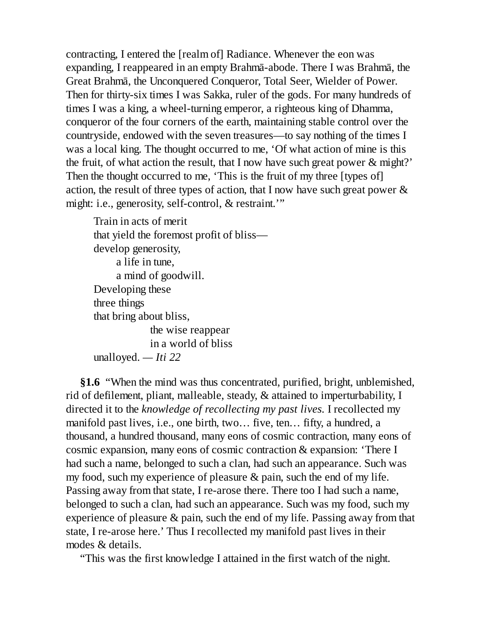contracting, I entered the [realm of] Radiance. Whenever the eon was expanding, I reappeared in an empty Brahmā-abode. There I was Brahmā, the Great Brahmā, the Unconquered Conqueror, Total Seer, Wielder of Power. Then for thirty-six times I was Sakka, ruler of the gods. For many hundreds of times I was a king, a wheel-turning emperor, a righteous king of Dhamma, conqueror of the four corners of the earth, maintaining stable control over the countryside, endowed with the seven treasures—to say nothing of the times I was a local king. The thought occurred to me, 'Of what action of mine is this the fruit, of what action the result, that I now have such great power & might?' Then the thought occurred to me, 'This is the fruit of my three [types of] action, the result of three types of action, that I now have such great power & might: i.e., generosity, self-control, & restraint.'"

Train in acts of merit that yield the foremost profit of bliss develop generosity, a life in tune, a mind of goodwill. Developing these three things that bring about bliss, the wise reappear in a world of bliss unalloyed. *— Iti 22*

**§1.6** "When the mind was thus concentrated, purified, bright, unblemished, rid of defilement, pliant, malleable, steady, & attained to imperturbability, I directed it to the *knowledge of recollecting my past lives.* I recollected my manifold past lives, i.e., one birth, two… five, ten… fifty, a hundred, a thousand, a hundred thousand, many eons of cosmic contraction, many eons of cosmic expansion, many eons of cosmic contraction & expansion: 'There I had such a name, belonged to such a clan, had such an appearance. Such was my food, such my experience of pleasure & pain, such the end of my life. Passing away from that state, I re-arose there. There too I had such a name, belonged to such a clan, had such an appearance. Such was my food, such my experience of pleasure & pain, such the end of my life. Passing away from that state, I re-arose here.' Thus I recollected my manifold past lives in their modes & details.

"This was the first knowledge I attained in the first watch of the night.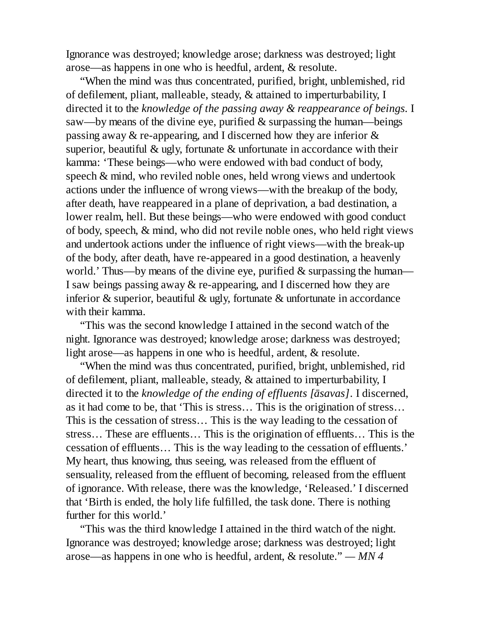Ignorance was destroyed; knowledge arose; darkness was destroyed; light arose—as happens in one who is heedful, ardent, & resolute.

"When the mind was thus concentrated, purified, bright, unblemished, rid of defilement, pliant, malleable, steady, & attained to imperturbability, I directed it to the *knowledge of the passing away & reappearance of beings.* I saw—by means of the divine eye, purified & surpassing the human—beings passing away & re-appearing, and I discerned how they are inferior & superior, beautiful & ugly, fortunate & unfortunate in accordance with their kamma: 'These beings—who were endowed with bad conduct of body, speech & mind, who reviled noble ones, held wrong views and undertook actions under the influence of wrong views—with the breakup of the body, after death, have reappeared in a plane of deprivation, a bad destination, a lower realm, hell. But these beings—who were endowed with good conduct of body, speech, & mind, who did not revile noble ones, who held right views and undertook actions under the influence of right views—with the break-up of the body, after death, have re-appeared in a good destination, a heavenly world.' Thus—by means of the divine eye, purified & surpassing the human— I saw beings passing away & re-appearing, and I discerned how they are inferior & superior, beautiful & ugly, fortunate & unfortunate in accordance with their kamma.

"This was the second knowledge I attained in the second watch of the night. Ignorance was destroyed; knowledge arose; darkness was destroyed; light arose—as happens in one who is heedful, ardent, & resolute.

"When the mind was thus concentrated, purified, bright, unblemished, rid of defilement, pliant, malleable, steady, & attained to imperturbability, I directed it to the *knowledge of the ending of effluents [āsavas].* I discerned, as it had come to be, that 'This is stress… This is the origination of stress… This is the cessation of stress… This is the way leading to the cessation of stress… These are effluents… This is the origination of effluents… This is the cessation of effluents… This is the way leading to the cessation of effluents.' My heart, thus knowing, thus seeing, was released from the effluent of sensuality, released from the effluent of becoming, released from the effluent of ignorance. With release, there was the knowledge, 'Released.' I discerned that 'Birth is ended, the holy life fulfilled, the task done. There is nothing further for this world.'

"This was the third knowledge I attained in the third watch of the night. Ignorance was destroyed; knowledge arose; darkness was destroyed; light arose—as happens in one who is heedful, ardent, & resolute." *— MN 4*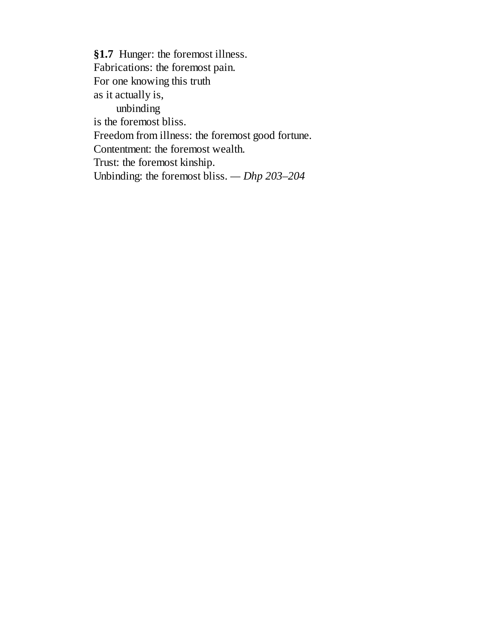**§1.7** Hunger: the foremost illness. Fabrications: the foremost pain. For one knowing this truth as it actually is, unbinding is the foremost bliss. Freedom from illness: the foremost good fortune. Contentment: the foremost wealth. Trust: the foremost kinship. Unbinding: the foremost bliss. *— Dhp 203–204*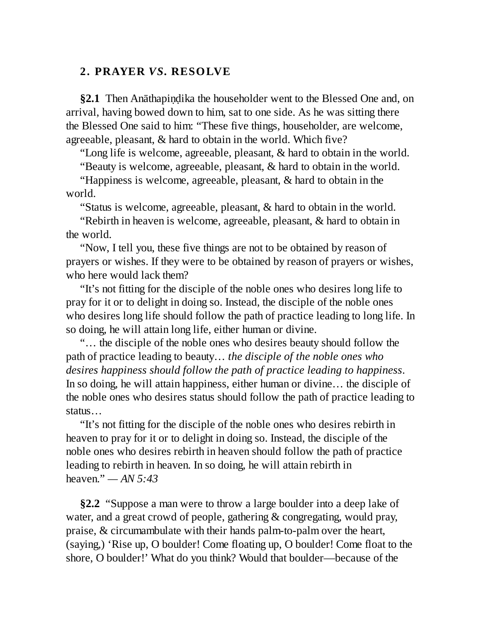### **2. PRAYER** *VS.* **RESOLVE**

**§2.1** Then Anāthapiṇḍika the householder went to the Blessed One and, on arrival, having bowed down to him, sat to one side. As he was sitting there the Blessed One said to him: "These five things, householder, are welcome, agreeable, pleasant, & hard to obtain in the world. Which five?

"Long life is welcome, agreeable, pleasant, & hard to obtain in the world.

"Beauty is welcome, agreeable, pleasant, & hard to obtain in the world.

"Happiness is welcome, agreeable, pleasant, & hard to obtain in the world.

"Status is welcome, agreeable, pleasant, & hard to obtain in the world.

"Rebirth in heaven is welcome, agreeable, pleasant, & hard to obtain in the world.

"Now, I tell you, these five things are not to be obtained by reason of prayers or wishes. If they were to be obtained by reason of prayers or wishes, who here would lack them?

"It's not fitting for the disciple of the noble ones who desires long life to pray for it or to delight in doing so. Instead, the disciple of the noble ones who desires long life should follow the path of practice leading to long life. In so doing, he will attain long life, either human or divine.

"… the disciple of the noble ones who desires beauty should follow the path of practice leading to beauty… *the disciple of the noble ones who desires happiness should follow the path of practice leading to happiness*. In so doing, he will attain happiness, either human or divine… the disciple of the noble ones who desires status should follow the path of practice leading to status…

"It's not fitting for the disciple of the noble ones who desires rebirth in heaven to pray for it or to delight in doing so. Instead, the disciple of the noble ones who desires rebirth in heaven should follow the path of practice leading to rebirth in heaven. In so doing, he will attain rebirth in heaven." *— AN 5:43*

**§2.2** "Suppose a man were to throw a large boulder into a deep lake of water, and a great crowd of people, gathering & congregating, would pray, praise, & circumambulate with their hands palm-to-palm over the heart, (saying,) 'Rise up, O boulder! Come floating up, O boulder! Come float to the shore, O boulder!' What do you think? Would that boulder—because of the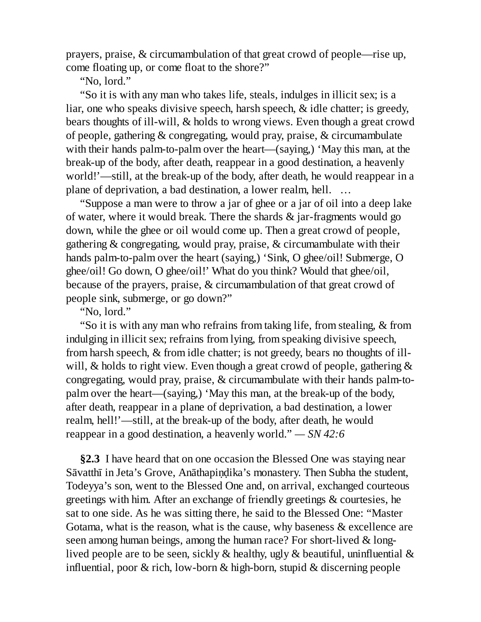prayers, praise, & circumambulation of that great crowd of people—rise up, come floating up, or come float to the shore?"

"No, lord."

"So it is with any man who takes life, steals, indulges in illicit sex; is a liar, one who speaks divisive speech, harsh speech, & idle chatter; is greedy, bears thoughts of ill-will, & holds to wrong views. Even though a great crowd of people, gathering & congregating, would pray, praise, & circumambulate with their hands palm-to-palm over the heart—(saying,) 'May this man, at the break-up of the body, after death, reappear in a good destination, a heavenly world!'—still, at the break-up of the body, after death, he would reappear in a plane of deprivation, a bad destination, a lower realm, hell. …

"Suppose a man were to throw a jar of ghee or a jar of oil into a deep lake of water, where it would break. There the shards & jar-fragments would go down, while the ghee or oil would come up. Then a great crowd of people, gathering & congregating, would pray, praise, & circumambulate with their hands palm-to-palm over the heart (saying,) 'Sink, O ghee/oil! Submerge, O ghee/oil! Go down, O ghee/oil!' What do you think? Would that ghee/oil, because of the prayers, praise, & circumambulation of that great crowd of people sink, submerge, or go down?"

"No, lord."

"So it is with any man who refrains from taking life, from stealing, & from indulging in illicit sex; refrains from lying, from speaking divisive speech, from harsh speech, & from idle chatter; is not greedy, bears no thoughts of illwill, & holds to right view. Even though a great crowd of people, gathering & congregating, would pray, praise, & circumambulate with their hands palm-topalm over the heart—(saying,) 'May this man, at the break-up of the body, after death, reappear in a plane of deprivation, a bad destination, a lower realm, hell!'—still, at the break-up of the body, after death, he would reappear in a good destination, a heavenly world." *— SN 42:6*

**§2.3** I have heard that on one occasion the Blessed One was staying near Sāvatthī in Jeta's Grove, Anāthapiṇḍika's monastery. Then Subha the student, Todeyya's son, went to the Blessed One and, on arrival, exchanged courteous greetings with him. After an exchange of friendly greetings & courtesies, he sat to one side. As he was sitting there, he said to the Blessed One: "Master Gotama, what is the reason, what is the cause, why baseness & excellence are seen among human beings, among the human race? For short-lived & longlived people are to be seen, sickly & healthy, ugly & beautiful, uninfluential & influential, poor & rich, low-born & high-born, stupid & discerning people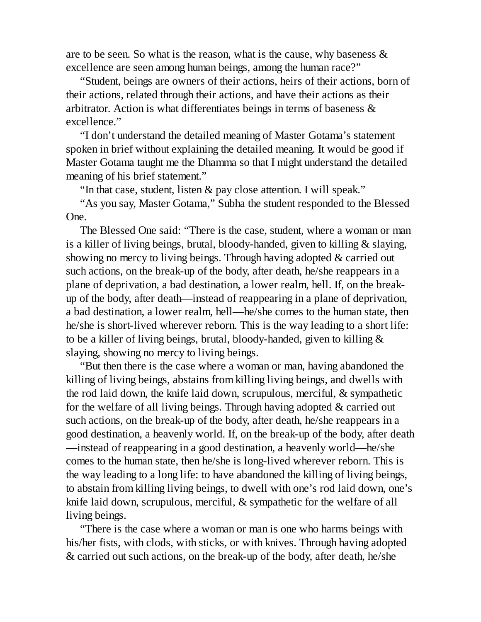are to be seen. So what is the reason, what is the cause, why baseness & excellence are seen among human beings, among the human race?"

"Student, beings are owners of their actions, heirs of their actions, born of their actions, related through their actions, and have their actions as their arbitrator. Action is what differentiates beings in terms of baseness & excellence."

"I don't understand the detailed meaning of Master Gotama's statement spoken in brief without explaining the detailed meaning. It would be good if Master Gotama taught me the Dhamma so that I might understand the detailed meaning of his brief statement."

"In that case, student, listen & pay close attention. I will speak."

"As you say, Master Gotama," Subha the student responded to the Blessed One.

The Blessed One said: "There is the case, student, where a woman or man is a killer of living beings, brutal, bloody-handed, given to killing & slaying, showing no mercy to living beings. Through having adopted & carried out such actions, on the break-up of the body, after death, he/she reappears in a plane of deprivation, a bad destination, a lower realm, hell. If, on the breakup of the body, after death—instead of reappearing in a plane of deprivation, a bad destination, a lower realm, hell—he/she comes to the human state, then he/she is short-lived wherever reborn. This is the way leading to a short life: to be a killer of living beings, brutal, bloody-handed, given to killing & slaying, showing no mercy to living beings.

"But then there is the case where a woman or man, having abandoned the killing of living beings, abstains from killing living beings, and dwells with the rod laid down, the knife laid down, scrupulous, merciful, & sympathetic for the welfare of all living beings. Through having adopted & carried out such actions, on the break-up of the body, after death, he/she reappears in a good destination, a heavenly world. If, on the break-up of the body, after death —instead of reappearing in a good destination, a heavenly world—he/she comes to the human state, then he/she is long-lived wherever reborn. This is the way leading to a long life: to have abandoned the killing of living beings, to abstain from killing living beings, to dwell with one's rod laid down, one's knife laid down, scrupulous, merciful, & sympathetic for the welfare of all living beings.

"There is the case where a woman or man is one who harms beings with his/her fists, with clods, with sticks, or with knives. Through having adopted & carried out such actions, on the break-up of the body, after death, he/she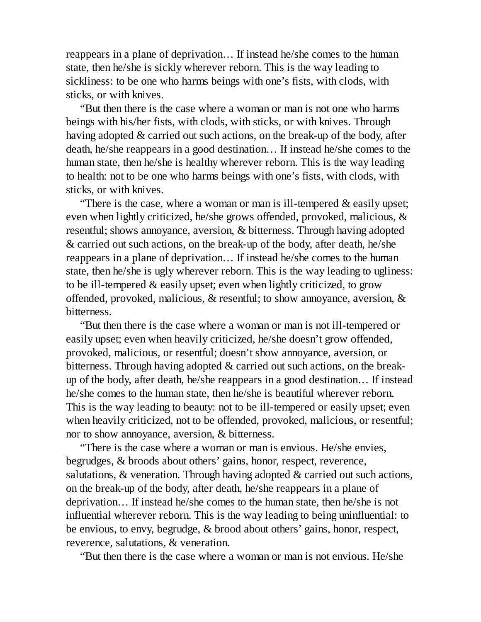reappears in a plane of deprivation… If instead he/she comes to the human state, then he/she is sickly wherever reborn. This is the way leading to sickliness: to be one who harms beings with one's fists, with clods, with sticks, or with knives.

"But then there is the case where a woman or man is not one who harms beings with his/her fists, with clods, with sticks, or with knives. Through having adopted & carried out such actions, on the break-up of the body, after death, he/she reappears in a good destination… If instead he/she comes to the human state, then he/she is healthy wherever reborn. This is the way leading to health: not to be one who harms beings with one's fists, with clods, with sticks, or with knives.

"There is the case, where a woman or man is ill-tempered & easily upset; even when lightly criticized, he/she grows offended, provoked, malicious, & resentful; shows annoyance, aversion, & bitterness. Through having adopted & carried out such actions, on the break-up of the body, after death, he/she reappears in a plane of deprivation… If instead he/she comes to the human state, then he/she is ugly wherever reborn. This is the way leading to ugliness: to be ill-tempered & easily upset; even when lightly criticized, to grow offended, provoked, malicious, & resentful; to show annoyance, aversion, & bitterness.

"But then there is the case where a woman or man is not ill-tempered or easily upset; even when heavily criticized, he/she doesn't grow offended, provoked, malicious, or resentful; doesn't show annoyance, aversion, or bitterness. Through having adopted & carried out such actions, on the breakup of the body, after death, he/she reappears in a good destination… If instead he/she comes to the human state, then he/she is beautiful wherever reborn. This is the way leading to beauty: not to be ill-tempered or easily upset; even when heavily criticized, not to be offended, provoked, malicious, or resentful; nor to show annoyance, aversion, & bitterness.

"There is the case where a woman or man is envious. He/she envies, begrudges, & broods about others' gains, honor, respect, reverence, salutations, & veneration. Through having adopted & carried out such actions, on the break-up of the body, after death, he/she reappears in a plane of deprivation… If instead he/she comes to the human state, then he/she is not influential wherever reborn. This is the way leading to being uninfluential: to be envious, to envy, begrudge, & brood about others' gains, honor, respect, reverence, salutations, & veneration.

"But then there is the case where a woman or man is not envious. He/she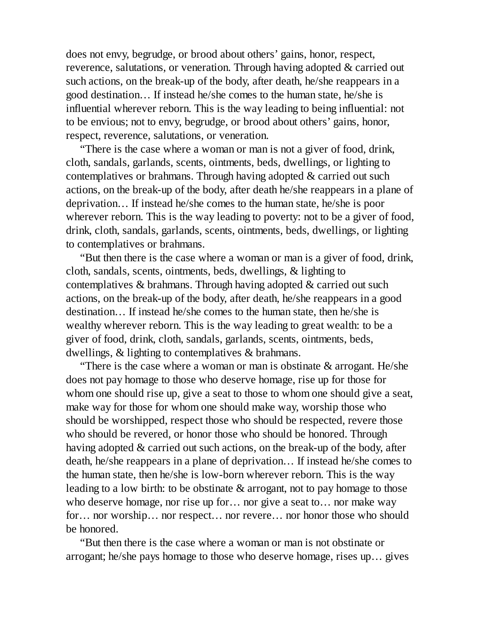does not envy, begrudge, or brood about others' gains, honor, respect, reverence, salutations, or veneration. Through having adopted & carried out such actions, on the break-up of the body, after death, he/she reappears in a good destination… If instead he/she comes to the human state, he/she is influential wherever reborn. This is the way leading to being influential: not to be envious; not to envy, begrudge, or brood about others' gains, honor, respect, reverence, salutations, or veneration.

"There is the case where a woman or man is not a giver of food, drink, cloth, sandals, garlands, scents, ointments, beds, dwellings, or lighting to contemplatives or brahmans. Through having adopted & carried out such actions, on the break-up of the body, after death he/she reappears in a plane of deprivation… If instead he/she comes to the human state, he/she is poor wherever reborn. This is the way leading to poverty: not to be a giver of food, drink, cloth, sandals, garlands, scents, ointments, beds, dwellings, or lighting to contemplatives or brahmans.

"But then there is the case where a woman or man is a giver of food, drink, cloth, sandals, scents, ointments, beds, dwellings, & lighting to contemplatives & brahmans. Through having adopted & carried out such actions, on the break-up of the body, after death, he/she reappears in a good destination… If instead he/she comes to the human state, then he/she is wealthy wherever reborn. This is the way leading to great wealth: to be a giver of food, drink, cloth, sandals, garlands, scents, ointments, beds, dwellings, & lighting to contemplatives & brahmans.

"There is the case where a woman or man is obstinate & arrogant. He/she does not pay homage to those who deserve homage, rise up for those for whom one should rise up, give a seat to those to whom one should give a seat, make way for those for whom one should make way, worship those who should be worshipped, respect those who should be respected, revere those who should be revered, or honor those who should be honored. Through having adopted & carried out such actions, on the break-up of the body, after death, he/she reappears in a plane of deprivation… If instead he/she comes to the human state, then he/she is low-born wherever reborn. This is the way leading to a low birth: to be obstinate & arrogant, not to pay homage to those who deserve homage, nor rise up for… nor give a seat to… nor make way for… nor worship… nor respect… nor revere… nor honor those who should be honored.

"But then there is the case where a woman or man is not obstinate or arrogant; he/she pays homage to those who deserve homage, rises up… gives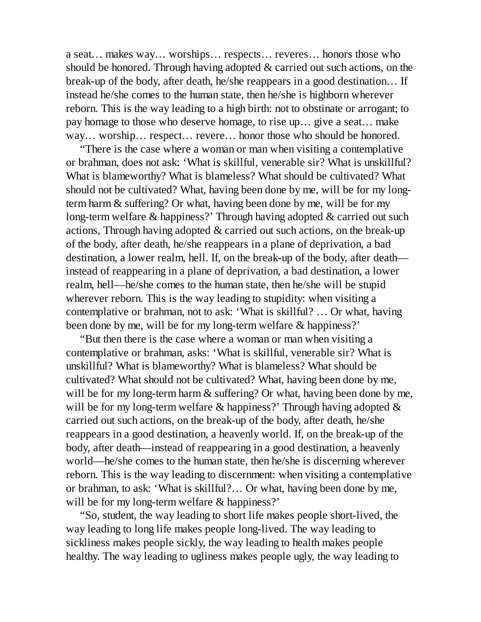a seat… makes way… worships… respects… reveres… honors those who should be honored. Through having adopted & carried out such actions, on the break-up of the body, after death, he/she reappears in a good destination… If instead he/she comes to the human state, then he/she is highborn wherever reborn. This is the way leading to a high birth: not to obstinate or arrogant; to pay homage to those who deserve homage, to rise up… give a seat… make way… worship… respect… revere… honor those who should be honored.

"There is the case where a woman or man when visiting a contemplative or brahman, does not ask: 'What is skillful, venerable sir? What is unskillful? What is blameworthy? What is blameless? What should be cultivated? What should not be cultivated? What, having been done by me, will be for my longterm harm & suffering? Or what, having been done by me, will be for my long-term welfare & happiness?' Through having adopted & carried out such actions, Through having adopted & carried out such actions, on the break-up of the body, after death, he/she reappears in a plane of deprivation, a bad destination, a lower realm, hell. If, on the break-up of the body, after death instead of reappearing in a plane of deprivation, a bad destination, a lower realm, hell—he/she comes to the human state, then he/she will be stupid wherever reborn. This is the way leading to stupidity: when visiting a contemplative or brahman, not to ask: 'What is skillful? … Or what, having been done by me, will be for my long-term welfare & happiness?'

"But then there is the case where a woman or man when visiting a contemplative or brahman, asks: 'What is skillful, venerable sir? What is unskillful? What is blameworthy? What is blameless? What should be cultivated? What should not be cultivated? What, having been done by me, will be for my long-term harm & suffering? Or what, having been done by me, will be for my long-term welfare & happiness?' Through having adopted & carried out such actions, on the break-up of the body, after death, he/she reappears in a good destination, a heavenly world. If, on the break-up of the body, after death—instead of reappearing in a good destination, a heavenly world—he/she comes to the human state, then he/she is discerning wherever reborn. This is the way leading to discernment: when visiting a contemplative or brahman, to ask: 'What is skillful?… Or what, having been done by me, will be for my long-term welfare & happiness?'

"So, student, the way leading to short life makes people short-lived, the way leading to long life makes people long-lived. The way leading to sickliness makes people sickly, the way leading to health makes people healthy. The way leading to ugliness makes people ugly, the way leading to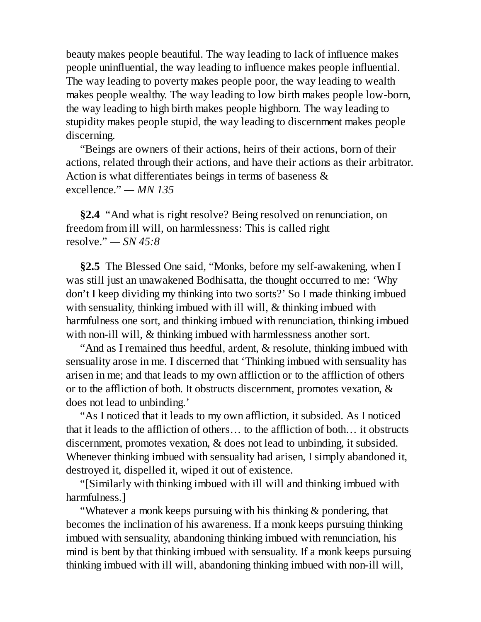beauty makes people beautiful. The way leading to lack of influence makes people uninfluential, the way leading to influence makes people influential. The way leading to poverty makes people poor, the way leading to wealth makes people wealthy. The way leading to low birth makes people low-born, the way leading to high birth makes people highborn. The way leading to stupidity makes people stupid, the way leading to discernment makes people discerning.

"Beings are owners of their actions, heirs of their actions, born of their actions, related through their actions, and have their actions as their arbitrator. Action is what differentiates beings in terms of baseness & excellence." *— MN 135*

**§2.4** "And what is right resolve? Being resolved on renunciation, on freedom from ill will, on harmlessness: This is called right resolve." *— SN 45:8*

**§2.5** The Blessed One said, "Monks, before my self-awakening, when I was still just an unawakened Bodhisatta, the thought occurred to me: 'Why don't I keep dividing my thinking into two sorts?' So I made thinking imbued with sensuality, thinking imbued with ill will, & thinking imbued with harmfulness one sort, and thinking imbued with renunciation, thinking imbued with non-ill will, & thinking imbued with harmlessness another sort.

"And as I remained thus heedful, ardent, & resolute, thinking imbued with sensuality arose in me. I discerned that 'Thinking imbued with sensuality has arisen in me; and that leads to my own affliction or to the affliction of others or to the affliction of both. It obstructs discernment, promotes vexation, & does not lead to unbinding.'

"As I noticed that it leads to my own affliction, it subsided. As I noticed that it leads to the affliction of others… to the affliction of both… it obstructs discernment, promotes vexation, & does not lead to unbinding, it subsided. Whenever thinking imbued with sensuality had arisen, I simply abandoned it, destroyed it, dispelled it, wiped it out of existence.

"[Similarly with thinking imbued with ill will and thinking imbued with harmfulness.]

"Whatever a monk keeps pursuing with his thinking & pondering, that becomes the inclination of his awareness. If a monk keeps pursuing thinking imbued with sensuality, abandoning thinking imbued with renunciation, his mind is bent by that thinking imbued with sensuality. If a monk keeps pursuing thinking imbued with ill will, abandoning thinking imbued with non-ill will,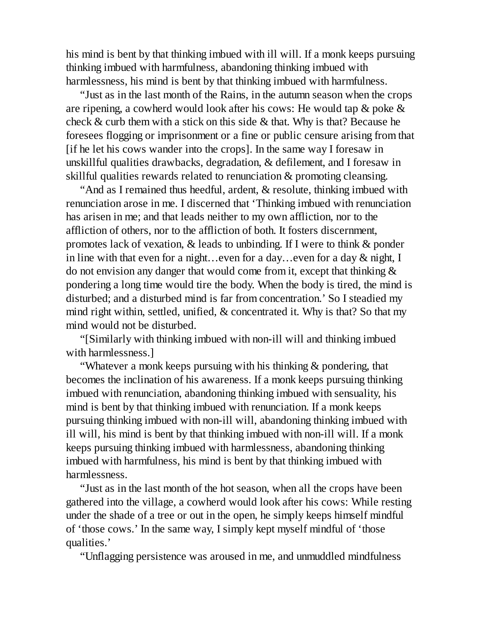his mind is bent by that thinking imbued with ill will. If a monk keeps pursuing thinking imbued with harmfulness, abandoning thinking imbued with harmlessness, his mind is bent by that thinking imbued with harmfulness.

"Just as in the last month of the Rains, in the autumn season when the crops are ripening, a cowherd would look after his cows: He would tap & poke & check & curb them with a stick on this side & that. Why is that? Because he foresees flogging or imprisonment or a fine or public censure arising from that [if he let his cows wander into the crops]. In the same way I foresaw in unskillful qualities drawbacks, degradation, & defilement, and I foresaw in skillful qualities rewards related to renunciation & promoting cleansing.

"And as I remained thus heedful, ardent, & resolute, thinking imbued with renunciation arose in me. I discerned that 'Thinking imbued with renunciation has arisen in me; and that leads neither to my own affliction, nor to the affliction of others, nor to the affliction of both. It fosters discernment, promotes lack of vexation, & leads to unbinding. If I were to think & ponder in line with that even for a night…even for a day…even for a day & night, I do not envision any danger that would come from it, except that thinking & pondering a long time would tire the body. When the body is tired, the mind is disturbed; and a disturbed mind is far from concentration.' So I steadied my mind right within, settled, unified, & concentrated it. Why is that? So that my mind would not be disturbed.

"[Similarly with thinking imbued with non-ill will and thinking imbued with harmlessness.]

"Whatever a monk keeps pursuing with his thinking & pondering, that becomes the inclination of his awareness. If a monk keeps pursuing thinking imbued with renunciation, abandoning thinking imbued with sensuality, his mind is bent by that thinking imbued with renunciation. If a monk keeps pursuing thinking imbued with non-ill will, abandoning thinking imbued with ill will, his mind is bent by that thinking imbued with non-ill will. If a monk keeps pursuing thinking imbued with harmlessness, abandoning thinking imbued with harmfulness, his mind is bent by that thinking imbued with harmlessness.

"Just as in the last month of the hot season, when all the crops have been gathered into the village, a cowherd would look after his cows: While resting under the shade of a tree or out in the open, he simply keeps himself mindful of 'those cows.' In the same way, I simply kept myself mindful of 'those qualities.'

"Unflagging persistence was aroused in me, and unmuddled mindfulness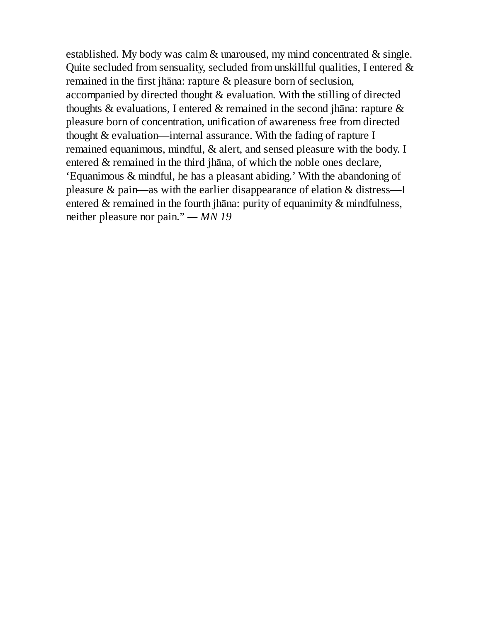established. My body was calm & unaroused, my mind concentrated & single. Quite secluded from sensuality, secluded from unskillful qualities, I entered & remained in the first jhāna: rapture & pleasure born of seclusion, accompanied by directed thought & evaluation. With the stilling of directed thoughts & evaluations, I entered & remained in the second jhāna: rapture & pleasure born of concentration, unification of awareness free from directed thought & evaluation—internal assurance. With the fading of rapture I remained equanimous, mindful, & alert, and sensed pleasure with the body. I entered & remained in the third jhāna, of which the noble ones declare, 'Equanimous & mindful, he has a pleasant abiding.' With the abandoning of pleasure & pain—as with the earlier disappearance of elation & distress—I entered & remained in the fourth jhāna: purity of equanimity & mindfulness, neither pleasure nor pain." *— MN 19*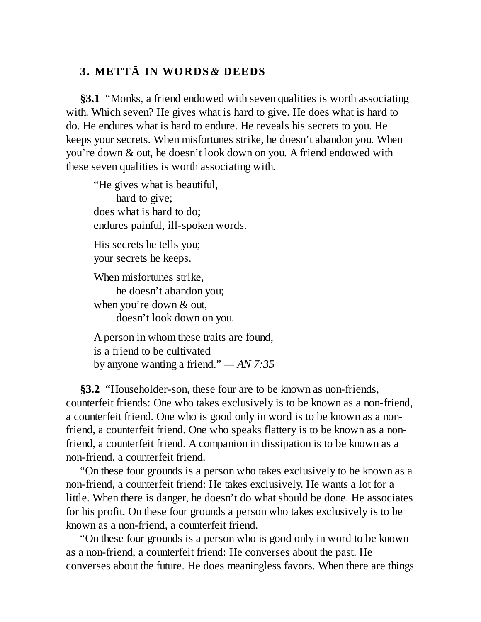### **3. METTĀ IN WORDS** *&* **DEEDS**

**§3.1** "Monks, a friend endowed with seven qualities is worth associating with. Which seven? He gives what is hard to give. He does what is hard to do. He endures what is hard to endure. He reveals his secrets to you. He keeps your secrets. When misfortunes strike, he doesn't abandon you. When you're down & out, he doesn't look down on you. A friend endowed with these seven qualities is worth associating with.

"He gives what is beautiful, hard to give; does what is hard to do; endures painful, ill-spoken words.

His secrets he tells you; your secrets he keeps.

When misfortunes strike, he doesn't abandon you; when you're down & out, doesn't look down on you.

A person in whom these traits are found, is a friend to be cultivated by anyone wanting a friend." *— AN 7:35*

**§3.2** "Householder-son, these four are to be known as non-friends, counterfeit friends: One who takes exclusively is to be known as a non-friend, a counterfeit friend. One who is good only in word is to be known as a nonfriend, a counterfeit friend. One who speaks flattery is to be known as a nonfriend, a counterfeit friend. A companion in dissipation is to be known as a non-friend, a counterfeit friend.

"On these four grounds is a person who takes exclusively to be known as a non-friend, a counterfeit friend: He takes exclusively. He wants a lot for a little. When there is danger, he doesn't do what should be done. He associates for his profit. On these four grounds a person who takes exclusively is to be known as a non-friend, a counterfeit friend.

"On these four grounds is a person who is good only in word to be known as a non-friend, a counterfeit friend: He converses about the past. He converses about the future. He does meaningless favors. When there are things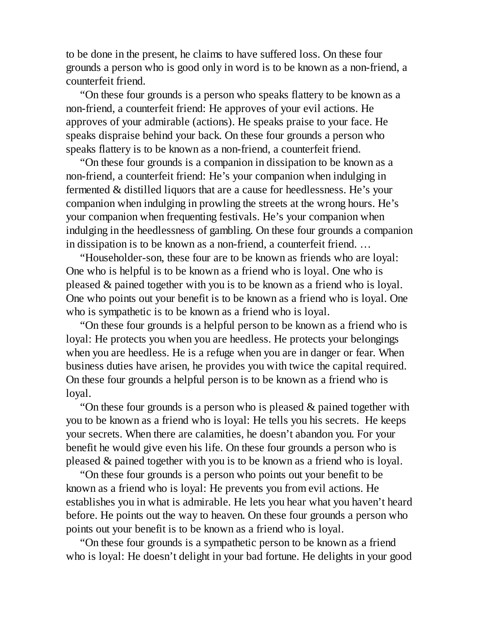to be done in the present, he claims to have suffered loss. On these four grounds a person who is good only in word is to be known as a non-friend, a counterfeit friend.

"On these four grounds is a person who speaks flattery to be known as a non-friend, a counterfeit friend: He approves of your evil actions. He approves of your admirable (actions). He speaks praise to your face. He speaks dispraise behind your back. On these four grounds a person who speaks flattery is to be known as a non-friend, a counterfeit friend.

"On these four grounds is a companion in dissipation to be known as a non-friend, a counterfeit friend: He's your companion when indulging in fermented & distilled liquors that are a cause for heedlessness. He's your companion when indulging in prowling the streets at the wrong hours. He's your companion when frequenting festivals. He's your companion when indulging in the heedlessness of gambling. On these four grounds a companion in dissipation is to be known as a non-friend, a counterfeit friend. …

"Householder-son, these four are to be known as friends who are loyal: One who is helpful is to be known as a friend who is loyal. One who is pleased & pained together with you is to be known as a friend who is loyal. One who points out your benefit is to be known as a friend who is loyal. One who is sympathetic is to be known as a friend who is loyal.

"On these four grounds is a helpful person to be known as a friend who is loyal: He protects you when you are heedless. He protects your belongings when you are heedless. He is a refuge when you are in danger or fear. When business duties have arisen, he provides you with twice the capital required. On these four grounds a helpful person is to be known as a friend who is loyal.

"On these four grounds is a person who is pleased & pained together with you to be known as a friend who is loyal: He tells you his secrets. He keeps your secrets. When there are calamities, he doesn't abandon you. For your benefit he would give even his life. On these four grounds a person who is pleased & pained together with you is to be known as a friend who is loyal.

"On these four grounds is a person who points out your benefit to be known as a friend who is loyal: He prevents you from evil actions. He establishes you in what is admirable. He lets you hear what you haven't heard before. He points out the way to heaven. On these four grounds a person who points out your benefit is to be known as a friend who is loyal.

"On these four grounds is a sympathetic person to be known as a friend who is loyal: He doesn't delight in your bad fortune. He delights in your good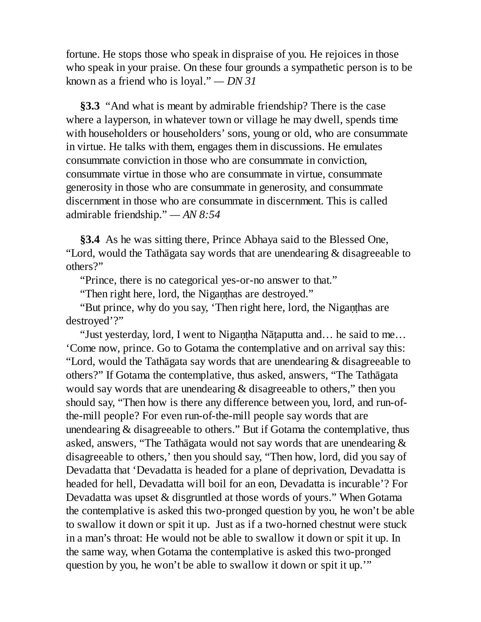fortune. He stops those who speak in dispraise of you. He rejoices in those who speak in your praise. On these four grounds a sympathetic person is to be known as a friend who is loyal." *— DN 31*

**§3.3** "And what is meant by admirable friendship? There is the case where a layperson, in whatever town or village he may dwell, spends time with householders or householders' sons, young or old, who are consummate in virtue. He talks with them, engages them in discussions. He emulates consummate conviction in those who are consummate in conviction, consummate virtue in those who are consummate in virtue, consummate generosity in those who are consummate in generosity, and consummate discernment in those who are consummate in discernment. This is called admirable friendship." *— AN 8:54*

**§3.4** As he was sitting there, Prince Abhaya said to the Blessed One, "Lord, would the Tathāgata say words that are unendearing & disagreeable to others?"

"Prince, there is no categorical yes-or-no answer to that."

"Then right here, lord, the Niganthas are destroyed."

"But prince, why do you say, 'Then right here, lord, the Nigaṇṭhas are destroyed'?"

"Just yesterday, lord, I went to Nigaṇṭha Nāṭaputta and… he said to me… 'Come now, prince. Go to Gotama the contemplative and on arrival say this: "Lord, would the Tathāgata say words that are unendearing & disagreeable to others?" If Gotama the contemplative, thus asked, answers, "The Tathāgata would say words that are unendearing & disagreeable to others," then you should say, "Then how is there any difference between you, lord, and run-ofthe-mill people? For even run-of-the-mill people say words that are unendearing & disagreeable to others." But if Gotama the contemplative, thus asked, answers, "The Tathāgata would not say words that are unendearing & disagreeable to others,' then you should say, "Then how, lord, did you say of Devadatta that 'Devadatta is headed for a plane of deprivation, Devadatta is headed for hell, Devadatta will boil for an eon, Devadatta is incurable'? For Devadatta was upset & disgruntled at those words of yours." When Gotama the contemplative is asked this two-pronged question by you, he won't be able to swallow it down or spit it up. Just as if a two-horned chestnut were stuck in a man's throat: He would not be able to swallow it down or spit it up. In the same way, when Gotama the contemplative is asked this two-pronged question by you, he won't be able to swallow it down or spit it up.'"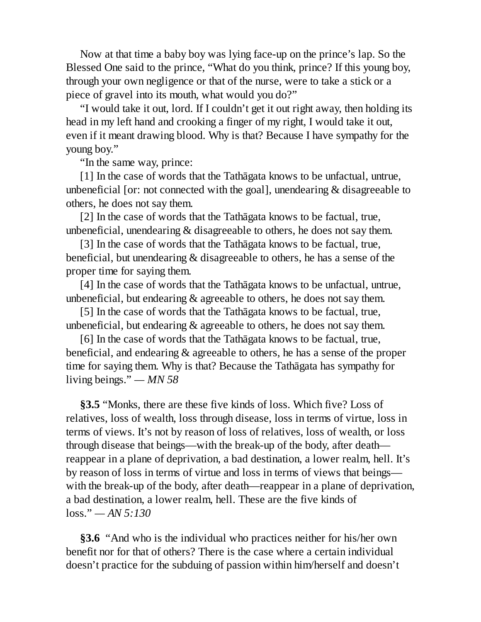Now at that time a baby boy was lying face-up on the prince's lap. So the Blessed One said to the prince, "What do you think, prince? If this young boy, through your own negligence or that of the nurse, were to take a stick or a piece of gravel into its mouth, what would you do?"

"I would take it out, lord. If I couldn't get it out right away, then holding its head in my left hand and crooking a finger of my right, I would take it out, even if it meant drawing blood. Why is that? Because I have sympathy for the young boy."

"In the same way, prince:

[1] In the case of words that the Tathagata knows to be unfactual, untrue, unbeneficial [or: not connected with the goal], unendearing & disagreeable to others, he does not say them.

[2] In the case of words that the Tathāgata knows to be factual, true, unbeneficial, unendearing & disagreeable to others, he does not say them.

[3] In the case of words that the Tathāgata knows to be factual, true, beneficial, but unendearing & disagreeable to others, he has a sense of the proper time for saying them.

[4] In the case of words that the Tathāgata knows to be unfactual, untrue, unbeneficial, but endearing & agreeable to others, he does not say them.

[5] In the case of words that the Tathāgata knows to be factual, true, unbeneficial, but endearing & agreeable to others, he does not say them.

[6] In the case of words that the Tathāgata knows to be factual, true, beneficial, and endearing & agreeable to others, he has a sense of the proper time for saying them. Why is that? Because the Tathāgata has sympathy for living beings." *— MN 58*

**§3.5** "Monks, there are these five kinds of loss. Which five? Loss of relatives, loss of wealth, loss through disease, loss in terms of virtue, loss in terms of views. It's not by reason of loss of relatives, loss of wealth, or loss through disease that beings—with the break-up of the body, after death reappear in a plane of deprivation, a bad destination, a lower realm, hell. It's by reason of loss in terms of virtue and loss in terms of views that beings with the break-up of the body, after death—reappear in a plane of deprivation, a bad destination, a lower realm, hell. These are the five kinds of loss." *— AN 5:130*

**§3.6** "And who is the individual who practices neither for his/her own benefit nor for that of others? There is the case where a certain individual doesn't practice for the subduing of passion within him/herself and doesn't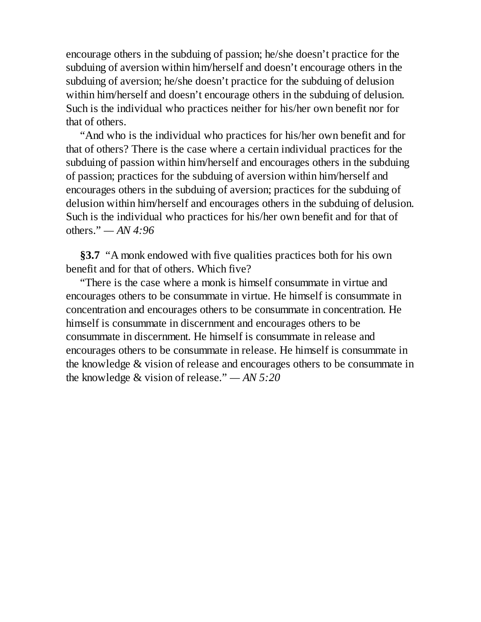encourage others in the subduing of passion; he/she doesn't practice for the subduing of aversion within him/herself and doesn't encourage others in the subduing of aversion; he/she doesn't practice for the subduing of delusion within him/herself and doesn't encourage others in the subduing of delusion. Such is the individual who practices neither for his/her own benefit nor for that of others.

"And who is the individual who practices for his/her own benefit and for that of others? There is the case where a certain individual practices for the subduing of passion within him/herself and encourages others in the subduing of passion; practices for the subduing of aversion within him/herself and encourages others in the subduing of aversion; practices for the subduing of delusion within him/herself and encourages others in the subduing of delusion. Such is the individual who practices for his/her own benefit and for that of others." *— AN 4:96*

**§3.7** "A monk endowed with five qualities practices both for his own benefit and for that of others. Which five?

"There is the case where a monk is himself consummate in virtue and encourages others to be consummate in virtue. He himself is consummate in concentration and encourages others to be consummate in concentration. He himself is consummate in discernment and encourages others to be consummate in discernment. He himself is consummate in release and encourages others to be consummate in release. He himself is consummate in the knowledge & vision of release and encourages others to be consummate in the knowledge & vision of release." *— AN 5:20*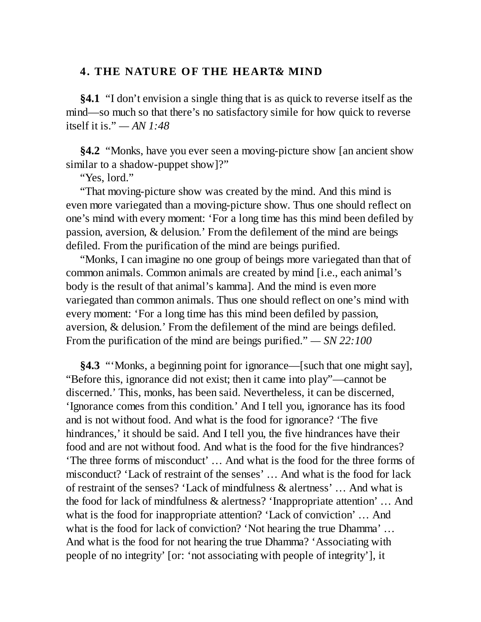#### **4. THE NATURE OF THE HEART***&* **MIND**

**§4.1** "I don't envision a single thing that is as quick to reverse itself as the mind—so much so that there's no satisfactory simile for how quick to reverse itself it is." *— AN 1:48*

**§4.2** "Monks, have you ever seen a moving-picture show [an ancient show similar to a shadow-puppet show]?"

"Yes, lord."

"That moving-picture show was created by the mind. And this mind is even more variegated than a moving-picture show. Thus one should reflect on one's mind with every moment: 'For a long time has this mind been defiled by passion, aversion, & delusion.' From the defilement of the mind are beings defiled. From the purification of the mind are beings purified.

"Monks, I can imagine no one group of beings more variegated than that of common animals. Common animals are created by mind [i.e., each animal's body is the result of that animal's kamma]. And the mind is even more variegated than common animals. Thus one should reflect on one's mind with every moment: 'For a long time has this mind been defiled by passion, aversion, & delusion.' From the defilement of the mind are beings defiled. From the purification of the mind are beings purified." *— SN 22:100*

**§4.3** "'Monks, a beginning point for ignorance—[such that one might say], "Before this, ignorance did not exist; then it came into play"—cannot be discerned.' This, monks, has been said. Nevertheless, it can be discerned, 'Ignorance comes from this condition.' And I tell you, ignorance has its food and is not without food. And what is the food for ignorance? 'The five hindrances,' it should be said. And I tell you, the five hindrances have their food and are not without food. And what is the food for the five hindrances? 'The three forms of misconduct' … And what is the food for the three forms of misconduct? 'Lack of restraint of the senses' … And what is the food for lack of restraint of the senses? 'Lack of mindfulness & alertness' … And what is the food for lack of mindfulness & alertness? 'Inappropriate attention' … And what is the food for inappropriate attention? 'Lack of conviction' … And what is the food for lack of conviction? 'Not hearing the true Dhamma' ... And what is the food for not hearing the true Dhamma? 'Associating with people of no integrity' [or: 'not associating with people of integrity'], it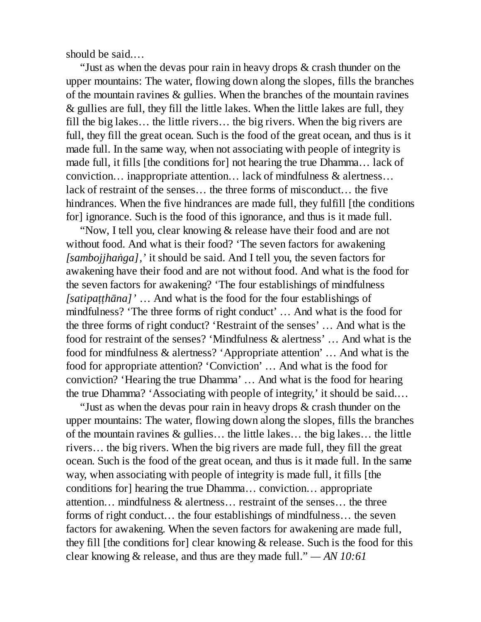should be said.…

"Just as when the devas pour rain in heavy drops & crash thunder on the upper mountains: The water, flowing down along the slopes, fills the branches of the mountain ravines & gullies. When the branches of the mountain ravines & gullies are full, they fill the little lakes. When the little lakes are full, they fill the big lakes… the little rivers… the big rivers. When the big rivers are full, they fill the great ocean. Such is the food of the great ocean, and thus is it made full. In the same way, when not associating with people of integrity is made full, it fills [the conditions for] not hearing the true Dhamma… lack of conviction… inappropriate attention… lack of mindfulness & alertness… lack of restraint of the senses… the three forms of misconduct… the five hindrances. When the five hindrances are made full, they fulfill [the conditions] for] ignorance. Such is the food of this ignorance, and thus is it made full.

"Now, I tell you, clear knowing & release have their food and are not without food. And what is their food? 'The seven factors for awakening *[sambojjhaṅga],'* it should be said. And I tell you, the seven factors for awakening have their food and are not without food. And what is the food for the seven factors for awakening? 'The four establishings of mindfulness *[satipaṭṭhāna]'* … And what is the food for the four establishings of mindfulness? 'The three forms of right conduct' … And what is the food for the three forms of right conduct? 'Restraint of the senses' … And what is the food for restraint of the senses? 'Mindfulness & alertness' … And what is the food for mindfulness & alertness? 'Appropriate attention' … And what is the food for appropriate attention? 'Conviction' … And what is the food for conviction? 'Hearing the true Dhamma' … And what is the food for hearing the true Dhamma? 'Associating with people of integrity,' it should be said.…

"Just as when the devas pour rain in heavy drops & crash thunder on the upper mountains: The water, flowing down along the slopes, fills the branches of the mountain ravines & gullies… the little lakes… the big lakes… the little rivers… the big rivers. When the big rivers are made full, they fill the great ocean. Such is the food of the great ocean, and thus is it made full. In the same way, when associating with people of integrity is made full, it fills [the conditions for] hearing the true Dhamma… conviction… appropriate attention… mindfulness & alertness… restraint of the senses… the three forms of right conduct… the four establishings of mindfulness… the seven factors for awakening. When the seven factors for awakening are made full, they fill [the conditions for] clear knowing & release. Such is the food for this clear knowing & release, and thus are they made full." *— AN 10:61*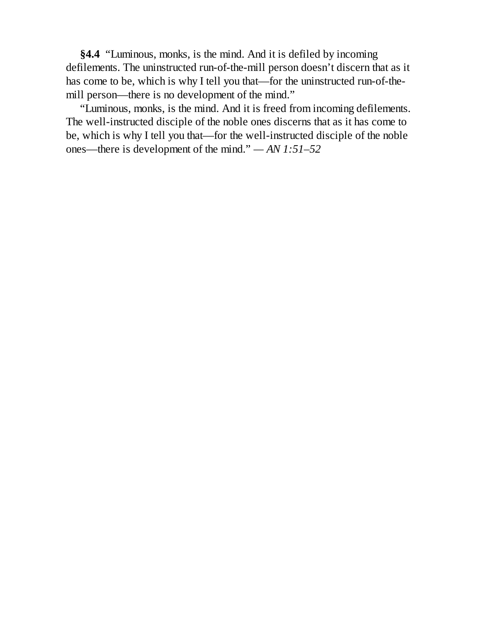**§4.4** "Luminous, monks, is the mind. And it is defiled by incoming defilements. The uninstructed run-of-the-mill person doesn't discern that as it has come to be, which is why I tell you that—for the uninstructed run-of-themill person—there is no development of the mind."

"Luminous, monks, is the mind. And it is freed from incoming defilements. The well-instructed disciple of the noble ones discerns that as it has come to be, which is why I tell you that—for the well-instructed disciple of the noble ones—there is development of the mind." *— AN 1:51–52*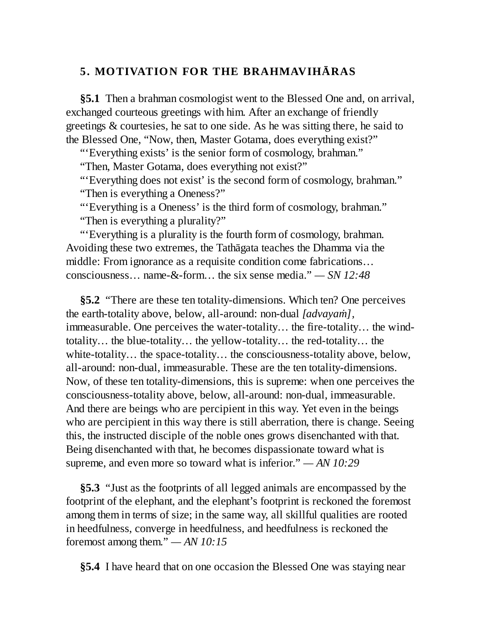# **5. MOTIVATION FOR THE BRAHMAVIHĀRAS**

**§5.1** Then a brahman cosmologist went to the Blessed One and, on arrival, exchanged courteous greetings with him. After an exchange of friendly greetings & courtesies, he sat to one side. As he was sitting there, he said to the Blessed One, "Now, then, Master Gotama, does everything exist?"

"'Everything exists' is the senior form of cosmology, brahman."

"Then, Master Gotama, does everything not exist?"

"'Everything does not exist' is the second form of cosmology, brahman." "Then is everything a Oneness?"

"'Everything is a Oneness' is the third form of cosmology, brahman." "Then is everything a plurality?"

"'Everything is a plurality is the fourth form of cosmology, brahman. Avoiding these two extremes, the Tathāgata teaches the Dhamma via the middle: From ignorance as a requisite condition come fabrications… consciousness… name-&-form… the six sense media." *— SN 12:48*

**§5.2** "There are these ten totality-dimensions. Which ten? One perceives the earth-totality above, below, all-around: non-dual *[advayaṁ],* immeasurable. One perceives the water-totality… the fire-totality… the windtotality… the blue-totality… the yellow-totality… the red-totality… the white-totality… the space-totality… the consciousness-totality above, below, all-around: non-dual, immeasurable. These are the ten totality-dimensions. Now, of these ten totality-dimensions, this is supreme: when one perceives the consciousness-totality above, below, all-around: non-dual, immeasurable. And there are beings who are percipient in this way. Yet even in the beings who are percipient in this way there is still aberration, there is change. Seeing this, the instructed disciple of the noble ones grows disenchanted with that. Being disenchanted with that, he becomes dispassionate toward what is supreme, and even more so toward what is inferior." *— AN 10:29*

**§5.3** "Just as the footprints of all legged animals are encompassed by the footprint of the elephant, and the elephant's footprint is reckoned the foremost among them in terms of size; in the same way, all skillful qualities are rooted in heedfulness, converge in heedfulness, and heedfulness is reckoned the foremost among them." *— AN 10:15*

**§5.4** I have heard that on one occasion the Blessed One was staying near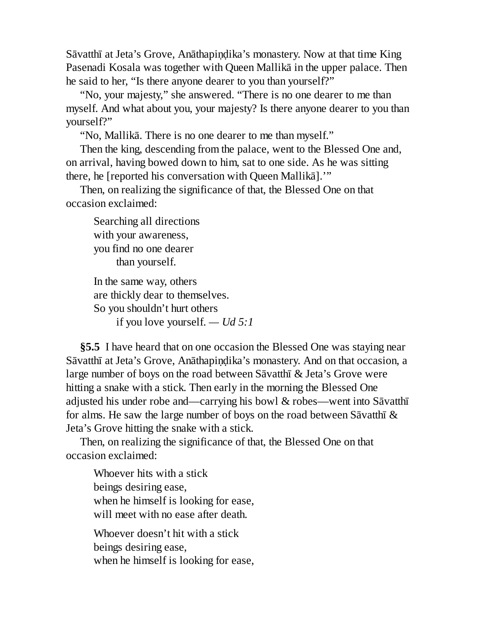Sāvatthī at Jeta's Grove, Anāthapiṇḍika's monastery. Now at that time King Pasenadi Kosala was together with Queen Mallikā in the upper palace. Then he said to her, "Is there anyone dearer to you than yourself?"

"No, your majesty," she answered. "There is no one dearer to me than myself. And what about you, your majesty? Is there anyone dearer to you than yourself?"

"No, Mallikā. There is no one dearer to me than myself."

Then the king, descending from the palace, went to the Blessed One and, on arrival, having bowed down to him, sat to one side. As he was sitting there, he [reported his conversation with Queen Mallikā].'"

Then, on realizing the significance of that, the Blessed One on that occasion exclaimed:

Searching all directions with your awareness, you find no one dearer than yourself.

In the same way, others are thickly dear to themselves. So you shouldn't hurt others if you love yourself. *— Ud 5:1*

**§5.5** I have heard that on one occasion the Blessed One was staying near Sāvatthī at Jeta's Grove, Anāthapiṇḍika's monastery. And on that occasion, a large number of boys on the road between Sāvatthī & Jeta's Grove were hitting a snake with a stick. Then early in the morning the Blessed One adjusted his under robe and—carrying his bowl & robes—went into Sāvatthī for alms. He saw the large number of boys on the road between Sāvatthī & Jeta's Grove hitting the snake with a stick.

Then, on realizing the significance of that, the Blessed One on that occasion exclaimed:

Whoever hits with a stick beings desiring ease, when he himself is looking for ease, will meet with no ease after death. Whoever doesn't hit with a stick beings desiring ease,

when he himself is looking for ease,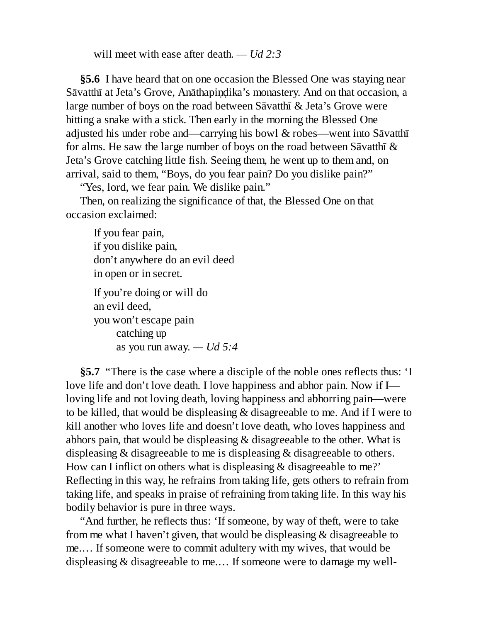will meet with ease after death. *— Ud 2:3*

**§5.6** I have heard that on one occasion the Blessed One was staying near Sāvatthī at Jeta's Grove, Anāthapiṇḍika's monastery. And on that occasion, a large number of boys on the road between Sāvatthī & Jeta's Grove were hitting a snake with a stick. Then early in the morning the Blessed One adjusted his under robe and—carrying his bowl & robes—went into Sāvatthī for alms. He saw the large number of boys on the road between Sāvatthī & Jeta's Grove catching little fish. Seeing them, he went up to them and, on arrival, said to them, "Boys, do you fear pain? Do you dislike pain?"

"Yes, lord, we fear pain. We dislike pain."

Then, on realizing the significance of that, the Blessed One on that occasion exclaimed:

If you fear pain, if you dislike pain, don't anywhere do an evil deed in open or in secret.

If you're doing or will do an evil deed, you won't escape pain catching up as you run away. *— Ud 5:4*

**§5.7** "There is the case where a disciple of the noble ones reflects thus: 'I love life and don't love death. I love happiness and abhor pain. Now if I loving life and not loving death, loving happiness and abhorring pain—were to be killed, that would be displeasing & disagreeable to me. And if I were to kill another who loves life and doesn't love death, who loves happiness and abhors pain, that would be displeasing & disagreeable to the other. What is displeasing & disagreeable to me is displeasing & disagreeable to others. How can I inflict on others what is displeasing & disagreeable to me?' Reflecting in this way, he refrains from taking life, gets others to refrain from taking life, and speaks in praise of refraining from taking life. In this way his bodily behavior is pure in three ways.

"And further, he reflects thus: 'If someone, by way of theft, were to take from me what I haven't given, that would be displeasing & disagreeable to me.… If someone were to commit adultery with my wives, that would be displeasing & disagreeable to me.… If someone were to damage my well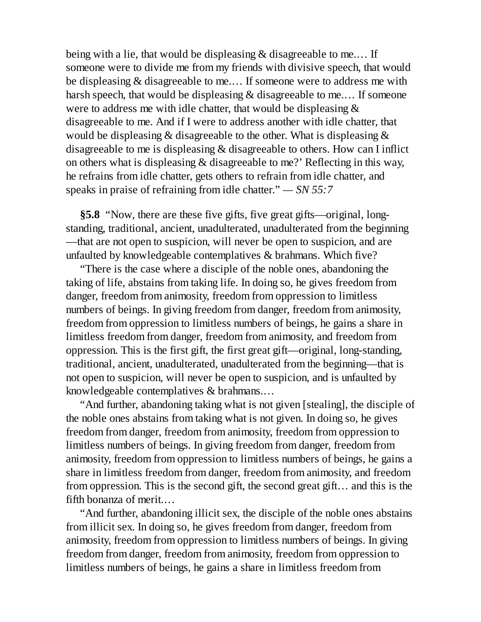being with a lie, that would be displeasing & disagreeable to me.… If someone were to divide me from my friends with divisive speech, that would be displeasing & disagreeable to me.… If someone were to address me with harsh speech, that would be displeasing & disagreeable to me.… If someone were to address me with idle chatter, that would be displeasing & disagreeable to me. And if I were to address another with idle chatter, that would be displeasing & disagreeable to the other. What is displeasing & disagreeable to me is displeasing & disagreeable to others. How can I inflict on others what is displeasing & disagreeable to me?' Reflecting in this way, he refrains from idle chatter, gets others to refrain from idle chatter, and speaks in praise of refraining from idle chatter." *— SN 55:7*

**§5.8** "Now, there are these five gifts, five great gifts—original, longstanding, traditional, ancient, unadulterated, unadulterated from the beginning —that are not open to suspicion, will never be open to suspicion, and are unfaulted by knowledgeable contemplatives & brahmans. Which five?

"There is the case where a disciple of the noble ones, abandoning the taking of life, abstains from taking life. In doing so, he gives freedom from danger, freedom from animosity, freedom from oppression to limitless numbers of beings. In giving freedom from danger, freedom from animosity, freedom from oppression to limitless numbers of beings, he gains a share in limitless freedom from danger, freedom from animosity, and freedom from oppression. This is the first gift, the first great gift—original, long-standing, traditional, ancient, unadulterated, unadulterated from the beginning—that is not open to suspicion, will never be open to suspicion, and is unfaulted by knowledgeable contemplatives & brahmans.…

"And further, abandoning taking what is not given [stealing], the disciple of the noble ones abstains from taking what is not given. In doing so, he gives freedom from danger, freedom from animosity, freedom from oppression to limitless numbers of beings. In giving freedom from danger, freedom from animosity, freedom from oppression to limitless numbers of beings, he gains a share in limitless freedom from danger, freedom from animosity, and freedom from oppression. This is the second gift, the second great gift… and this is the fifth bonanza of merit.…

"And further, abandoning illicit sex, the disciple of the noble ones abstains from illicit sex. In doing so, he gives freedom from danger, freedom from animosity, freedom from oppression to limitless numbers of beings. In giving freedom from danger, freedom from animosity, freedom from oppression to limitless numbers of beings, he gains a share in limitless freedom from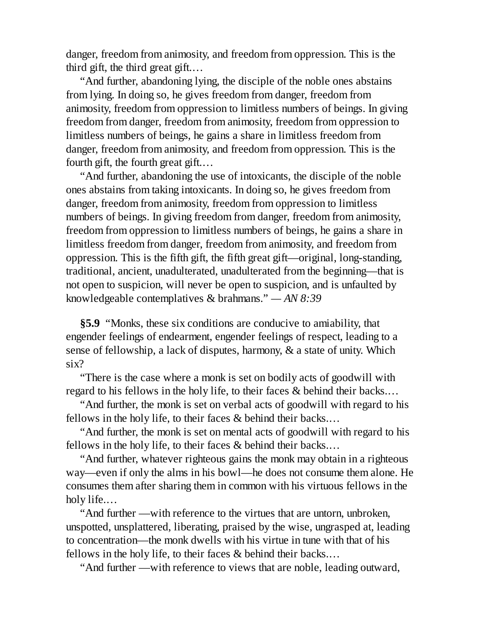danger, freedom from animosity, and freedom from oppression. This is the third gift, the third great gift.…

"And further, abandoning lying, the disciple of the noble ones abstains from lying. In doing so, he gives freedom from danger, freedom from animosity, freedom from oppression to limitless numbers of beings. In giving freedom from danger, freedom from animosity, freedom from oppression to limitless numbers of beings, he gains a share in limitless freedom from danger, freedom from animosity, and freedom from oppression. This is the fourth gift, the fourth great gift.…

"And further, abandoning the use of intoxicants, the disciple of the noble ones abstains from taking intoxicants. In doing so, he gives freedom from danger, freedom from animosity, freedom from oppression to limitless numbers of beings. In giving freedom from danger, freedom from animosity, freedom from oppression to limitless numbers of beings, he gains a share in limitless freedom from danger, freedom from animosity, and freedom from oppression. This is the fifth gift, the fifth great gift—original, long-standing, traditional, ancient, unadulterated, unadulterated from the beginning—that is not open to suspicion, will never be open to suspicion, and is unfaulted by knowledgeable contemplatives & brahmans." *— AN 8:39*

**§5.9** "Monks, these six conditions are conducive to amiability, that engender feelings of endearment, engender feelings of respect, leading to a sense of fellowship, a lack of disputes, harmony, & a state of unity. Which six?

"There is the case where a monk is set on bodily acts of goodwill with regard to his fellows in the holy life, to their faces & behind their backs.…

"And further, the monk is set on verbal acts of goodwill with regard to his fellows in the holy life, to their faces & behind their backs.…

"And further, the monk is set on mental acts of goodwill with regard to his fellows in the holy life, to their faces & behind their backs.…

"And further, whatever righteous gains the monk may obtain in a righteous way—even if only the alms in his bowl—he does not consume them alone. He consumes them after sharing them in common with his virtuous fellows in the holy life.…

"And further —with reference to the virtues that are untorn, unbroken, unspotted, unsplattered, liberating, praised by the wise, ungrasped at, leading to concentration—the monk dwells with his virtue in tune with that of his fellows in the holy life, to their faces & behind their backs.…

"And further —with reference to views that are noble, leading outward,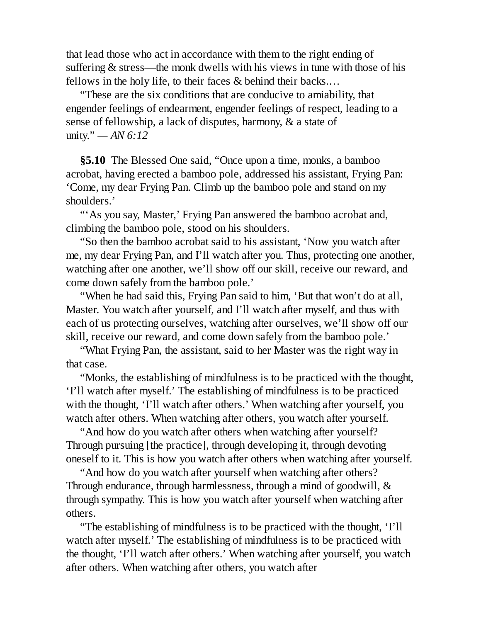that lead those who act in accordance with them to the right ending of suffering & stress—the monk dwells with his views in tune with those of his fellows in the holy life, to their faces & behind their backs.…

"These are the six conditions that are conducive to amiability, that engender feelings of endearment, engender feelings of respect, leading to a sense of fellowship, a lack of disputes, harmony, & a state of unity." *— AN 6:12*

**§5.10** The Blessed One said, "Once upon a time, monks, a bamboo acrobat, having erected a bamboo pole, addressed his assistant, Frying Pan: 'Come, my dear Frying Pan. Climb up the bamboo pole and stand on my shoulders.'

"'As you say, Master,' Frying Pan answered the bamboo acrobat and, climbing the bamboo pole, stood on his shoulders.

"So then the bamboo acrobat said to his assistant, 'Now you watch after me, my dear Frying Pan, and I'll watch after you. Thus, protecting one another, watching after one another, we'll show off our skill, receive our reward, and come down safely from the bamboo pole.'

"When he had said this, Frying Pan said to him, 'But that won't do at all, Master. You watch after yourself, and I'll watch after myself, and thus with each of us protecting ourselves, watching after ourselves, we'll show off our skill, receive our reward, and come down safely from the bamboo pole.'

"What Frying Pan, the assistant, said to her Master was the right way in that case.

"Monks, the establishing of mindfulness is to be practiced with the thought, 'I'll watch after myself.' The establishing of mindfulness is to be practiced with the thought, 'I'll watch after others.' When watching after yourself, you watch after others. When watching after others, you watch after yourself.

"And how do you watch after others when watching after yourself? Through pursuing [the practice], through developing it, through devoting oneself to it. This is how you watch after others when watching after yourself.

"And how do you watch after yourself when watching after others? Through endurance, through harmlessness, through a mind of goodwill, & through sympathy. This is how you watch after yourself when watching after others.

"The establishing of mindfulness is to be practiced with the thought, 'I'll watch after myself.' The establishing of mindfulness is to be practiced with the thought, 'I'll watch after others.' When watching after yourself, you watch after others. When watching after others, you watch after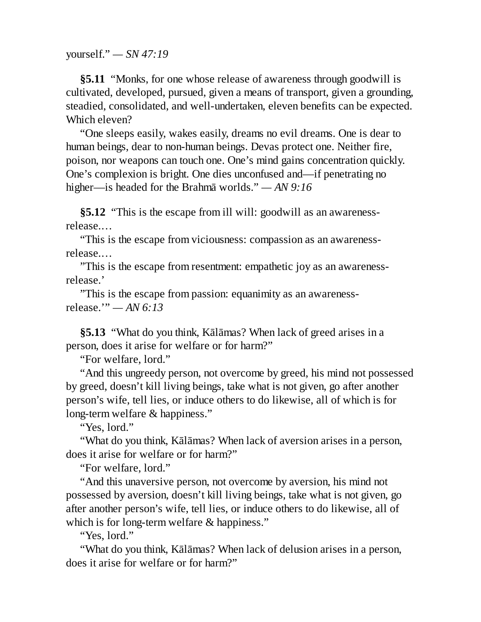yourself." *— SN 47:19*

**§5.11** "Monks, for one whose release of awareness through goodwill is cultivated, developed, pursued, given a means of transport, given a grounding, steadied, consolidated, and well-undertaken, eleven benefits can be expected. Which eleven?

"One sleeps easily, wakes easily, dreams no evil dreams. One is dear to human beings, dear to non-human beings. Devas protect one. Neither fire, poison, nor weapons can touch one. One's mind gains concentration quickly. One's complexion is bright. One dies unconfused and—if penetrating no higher—is headed for the Brahmā worlds." *— AN 9:16*

**§5.12** "This is the escape from ill will: goodwill as an awarenessrelease.…

"This is the escape from viciousness: compassion as an awarenessrelease.…

"This is the escape from resentment: empathetic joy as an awarenessrelease.'

"This is the escape from passion: equanimity as an awarenessrelease.'" *— AN 6:13*

**§5.13** "What do you think, Kālāmas? When lack of greed arises in a person, does it arise for welfare or for harm?"

"For welfare, lord."

"And this ungreedy person, not overcome by greed, his mind not possessed by greed, doesn't kill living beings, take what is not given, go after another person's wife, tell lies, or induce others to do likewise, all of which is for long-term welfare & happiness."

"Yes, lord."

"What do you think, Kālāmas? When lack of aversion arises in a person, does it arise for welfare or for harm?"

"For welfare, lord."

"And this unaversive person, not overcome by aversion, his mind not possessed by aversion, doesn't kill living beings, take what is not given, go after another person's wife, tell lies, or induce others to do likewise, all of which is for long-term welfare & happiness."

"Yes, lord."

"What do you think, Kālāmas? When lack of delusion arises in a person, does it arise for welfare or for harm?"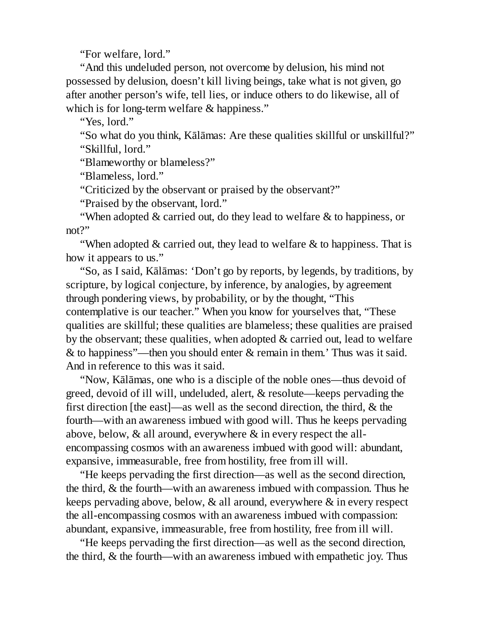"For welfare, lord."

"And this undeluded person, not overcome by delusion, his mind not possessed by delusion, doesn't kill living beings, take what is not given, go after another person's wife, tell lies, or induce others to do likewise, all of which is for long-term welfare & happiness."

"Yes, lord."

"So what do you think, Kālāmas: Are these qualities skillful or unskillful?" "Skillful, lord."

"Blameworthy or blameless?"

"Blameless, lord."

"Criticized by the observant or praised by the observant?"

"Praised by the observant, lord."

"When adopted & carried out, do they lead to welfare & to happiness, or not?"

"When adopted & carried out, they lead to welfare & to happiness. That is how it appears to us."

"So, as I said, Kālāmas: 'Don't go by reports, by legends, by traditions, by scripture, by logical conjecture, by inference, by analogies, by agreement through pondering views, by probability, or by the thought, "This contemplative is our teacher." When you know for yourselves that, "These qualities are skillful; these qualities are blameless; these qualities are praised by the observant; these qualities, when adopted & carried out, lead to welfare & to happiness"—then you should enter & remain in them.' Thus was it said. And in reference to this was it said.

"Now, Kālāmas, one who is a disciple of the noble ones—thus devoid of greed, devoid of ill will, undeluded, alert, & resolute—keeps pervading the first direction [the east]—as well as the second direction, the third, & the fourth—with an awareness imbued with good will. Thus he keeps pervading above, below, & all around, everywhere & in every respect the allencompassing cosmos with an awareness imbued with good will: abundant, expansive, immeasurable, free from hostility, free from ill will.

"He keeps pervading the first direction—as well as the second direction, the third, & the fourth—with an awareness imbued with compassion. Thus he keeps pervading above, below, & all around, everywhere & in every respect the all-encompassing cosmos with an awareness imbued with compassion: abundant, expansive, immeasurable, free from hostility, free from ill will.

"He keeps pervading the first direction—as well as the second direction, the third, & the fourth—with an awareness imbued with empathetic joy. Thus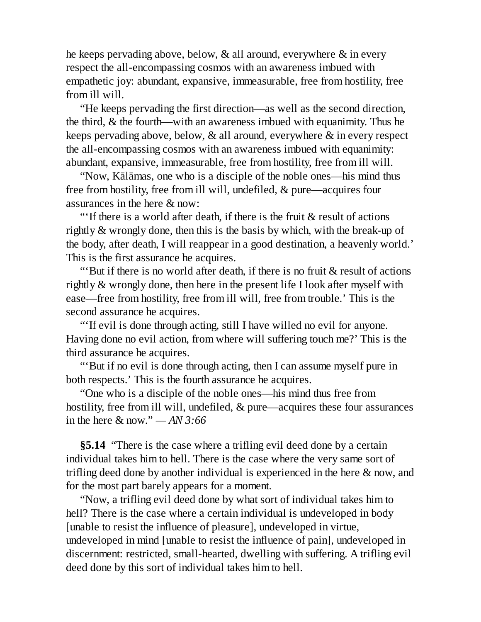he keeps pervading above, below, & all around, everywhere & in every respect the all-encompassing cosmos with an awareness imbued with empathetic joy: abundant, expansive, immeasurable, free from hostility, free from ill will.

"He keeps pervading the first direction—as well as the second direction, the third, & the fourth—with an awareness imbued with equanimity. Thus he keeps pervading above, below, & all around, everywhere & in every respect the all-encompassing cosmos with an awareness imbued with equanimity: abundant, expansive, immeasurable, free from hostility, free from ill will.

"Now, Kālāmas, one who is a disciple of the noble ones—his mind thus free from hostility, free from ill will, undefiled, & pure—acquires four assurances in the here & now:

"'If there is a world after death, if there is the fruit & result of actions rightly & wrongly done, then this is the basis by which, with the break-up of the body, after death, I will reappear in a good destination, a heavenly world.' This is the first assurance he acquires.

"'But if there is no world after death, if there is no fruit & result of actions rightly & wrongly done, then here in the present life I look after myself with ease—free from hostility, free from ill will, free from trouble.' This is the second assurance he acquires.

"'If evil is done through acting, still I have willed no evil for anyone. Having done no evil action, from where will suffering touch me?' This is the third assurance he acquires.

"'But if no evil is done through acting, then I can assume myself pure in both respects.' This is the fourth assurance he acquires.

"One who is a disciple of the noble ones—his mind thus free from hostility, free from ill will, undefiled, & pure—acquires these four assurances in the here & now." *— AN 3:66*

**§5.14** "There is the case where a trifling evil deed done by a certain individual takes him to hell. There is the case where the very same sort of trifling deed done by another individual is experienced in the here & now, and for the most part barely appears for a moment.

"Now, a trifling evil deed done by what sort of individual takes him to hell? There is the case where a certain individual is undeveloped in body [unable to resist the influence of pleasure], undeveloped in virtue, undeveloped in mind [unable to resist the influence of pain], undeveloped in discernment: restricted, small-hearted, dwelling with suffering. A trifling evil deed done by this sort of individual takes him to hell.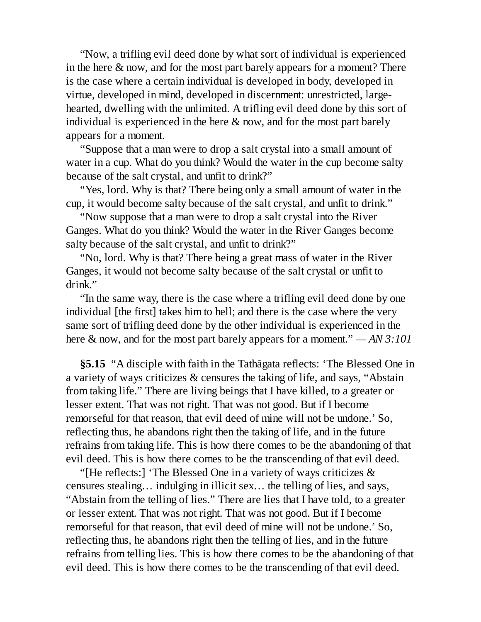"Now, a trifling evil deed done by what sort of individual is experienced in the here & now, and for the most part barely appears for a moment? There is the case where a certain individual is developed in body, developed in virtue, developed in mind, developed in discernment: unrestricted, largehearted, dwelling with the unlimited. A trifling evil deed done by this sort of individual is experienced in the here & now, and for the most part barely appears for a moment.

"Suppose that a man were to drop a salt crystal into a small amount of water in a cup. What do you think? Would the water in the cup become salty because of the salt crystal, and unfit to drink?"

"Yes, lord. Why is that? There being only a small amount of water in the cup, it would become salty because of the salt crystal, and unfit to drink."

"Now suppose that a man were to drop a salt crystal into the River Ganges. What do you think? Would the water in the River Ganges become salty because of the salt crystal, and unfit to drink?"

"No, lord. Why is that? There being a great mass of water in the River Ganges, it would not become salty because of the salt crystal or unfit to drink."

"In the same way, there is the case where a trifling evil deed done by one individual [the first] takes him to hell; and there is the case where the very same sort of trifling deed done by the other individual is experienced in the here & now, and for the most part barely appears for a moment." *— AN 3:101*

**§5.15** "A disciple with faith in the Tathāgata reflects: 'The Blessed One in a variety of ways criticizes & censures the taking of life, and says, "Abstain from taking life." There are living beings that I have killed, to a greater or lesser extent. That was not right. That was not good. But if I become remorseful for that reason, that evil deed of mine will not be undone.' So, reflecting thus, he abandons right then the taking of life, and in the future refrains from taking life. This is how there comes to be the abandoning of that evil deed. This is how there comes to be the transcending of that evil deed.

"[He reflects:] 'The Blessed One in a variety of ways criticizes & censures stealing… indulging in illicit sex… the telling of lies, and says, "Abstain from the telling of lies." There are lies that I have told, to a greater or lesser extent. That was not right. That was not good. But if I become remorseful for that reason, that evil deed of mine will not be undone.' So, reflecting thus, he abandons right then the telling of lies, and in the future refrains from telling lies. This is how there comes to be the abandoning of that evil deed. This is how there comes to be the transcending of that evil deed.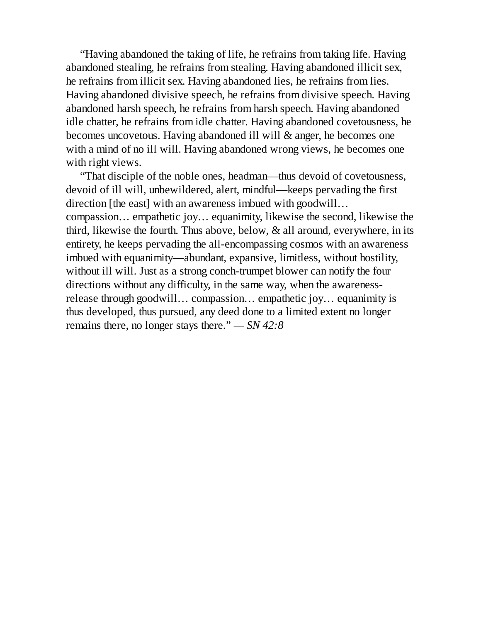"Having abandoned the taking of life, he refrains from taking life. Having abandoned stealing, he refrains from stealing. Having abandoned illicit sex, he refrains from illicit sex. Having abandoned lies, he refrains from lies. Having abandoned divisive speech, he refrains from divisive speech. Having abandoned harsh speech, he refrains from harsh speech. Having abandoned idle chatter, he refrains from idle chatter. Having abandoned covetousness, he becomes uncovetous. Having abandoned ill will & anger, he becomes one with a mind of no ill will. Having abandoned wrong views, he becomes one with right views.

"That disciple of the noble ones, headman—thus devoid of covetousness, devoid of ill will, unbewildered, alert, mindful—keeps pervading the first direction [the east] with an awareness imbued with goodwill... compassion… empathetic joy… equanimity, likewise the second, likewise the third, likewise the fourth. Thus above, below, & all around, everywhere, in its entirety, he keeps pervading the all-encompassing cosmos with an awareness imbued with equanimity—abundant, expansive, limitless, without hostility, without ill will. Just as a strong conch-trumpet blower can notify the four directions without any difficulty, in the same way, when the awarenessrelease through goodwill… compassion… empathetic joy… equanimity is thus developed, thus pursued, any deed done to a limited extent no longer remains there, no longer stays there." *— SN 42:8*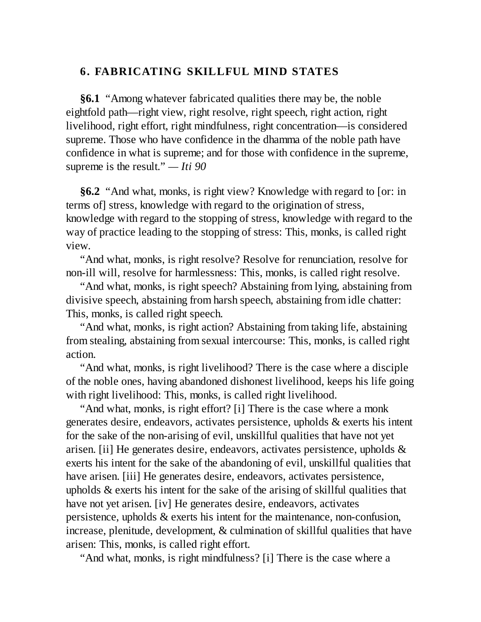# **6. FABRICATING SKILLFUL MIND STATES**

**§6.1** "Among whatever fabricated qualities there may be, the noble eightfold path—right view, right resolve, right speech, right action, right livelihood, right effort, right mindfulness, right concentration—is considered supreme. Those who have confidence in the dhamma of the noble path have confidence in what is supreme; and for those with confidence in the supreme, supreme is the result." *— Iti 90*

**§6.2** "And what, monks, is right view? Knowledge with regard to [or: in terms of] stress, knowledge with regard to the origination of stress, knowledge with regard to the stopping of stress, knowledge with regard to the way of practice leading to the stopping of stress: This, monks, is called right view.

"And what, monks, is right resolve? Resolve for renunciation, resolve for non-ill will, resolve for harmlessness: This, monks, is called right resolve.

"And what, monks, is right speech? Abstaining from lying, abstaining from divisive speech, abstaining from harsh speech, abstaining from idle chatter: This, monks, is called right speech.

"And what, monks, is right action? Abstaining from taking life, abstaining from stealing, abstaining from sexual intercourse: This, monks, is called right action.

"And what, monks, is right livelihood? There is the case where a disciple of the noble ones, having abandoned dishonest livelihood, keeps his life going with right livelihood: This, monks, is called right livelihood.

"And what, monks, is right effort? [i] There is the case where a monk generates desire, endeavors, activates persistence, upholds & exerts his intent for the sake of the non-arising of evil, unskillful qualities that have not yet arisen. [ii] He generates desire, endeavors, activates persistence, upholds & exerts his intent for the sake of the abandoning of evil, unskillful qualities that have arisen. [iii] He generates desire, endeavors, activates persistence, upholds & exerts his intent for the sake of the arising of skillful qualities that have not yet arisen. [iv] He generates desire, endeavors, activates persistence, upholds & exerts his intent for the maintenance, non-confusion, increase, plenitude, development, & culmination of skillful qualities that have arisen: This, monks, is called right effort.

"And what, monks, is right mindfulness? [i] There is the case where a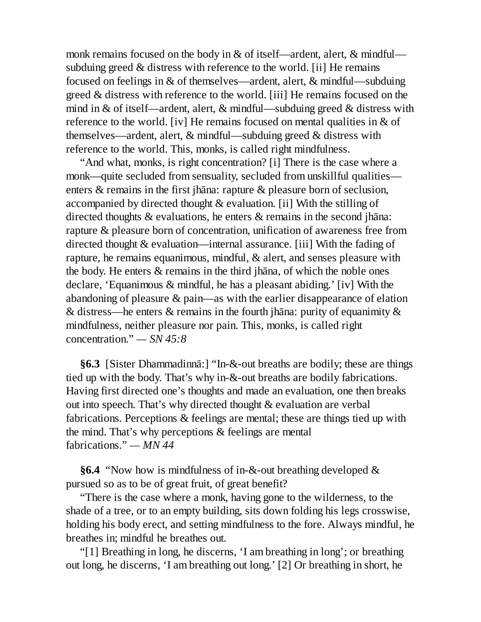monk remains focused on the body in & of itself—ardent, alert, & mindful subduing greed & distress with reference to the world. [ii] He remains focused on feelings in & of themselves—ardent, alert, & mindful—subduing greed & distress with reference to the world. [iii] He remains focused on the mind in & of itself—ardent, alert, & mindful—subduing greed & distress with reference to the world. [iv] He remains focused on mental qualities in & of themselves—ardent, alert, & mindful—subduing greed & distress with reference to the world. This, monks, is called right mindfulness.

"And what, monks, is right concentration? [i] There is the case where a monk—quite secluded from sensuality, secluded from unskillful qualities enters & remains in the first jhāna: rapture & pleasure born of seclusion, accompanied by directed thought & evaluation. [ii] With the stilling of directed thoughts & evaluations, he enters & remains in the second jhāna: rapture & pleasure born of concentration, unification of awareness free from directed thought & evaluation—internal assurance. [iii] With the fading of rapture, he remains equanimous, mindful, & alert, and senses pleasure with the body. He enters & remains in the third jhāna, of which the noble ones declare, 'Equanimous & mindful, he has a pleasant abiding.' [iv] With the abandoning of pleasure & pain—as with the earlier disappearance of elation & distress—he enters & remains in the fourth jhāna: purity of equanimity & mindfulness, neither pleasure nor pain. This, monks, is called right concentration." *— SN 45:8*

**§6.3** [Sister Dhammadinnā:] "In-&-out breaths are bodily; these are things tied up with the body. That's why in-&-out breaths are bodily fabrications. Having first directed one's thoughts and made an evaluation, one then breaks out into speech. That's why directed thought & evaluation are verbal fabrications. Perceptions & feelings are mental; these are things tied up with the mind. That's why perceptions & feelings are mental fabrications." *— MN 44*

**§6.4** "Now how is mindfulness of in-&-out breathing developed & pursued so as to be of great fruit, of great benefit?

"There is the case where a monk, having gone to the wilderness, to the shade of a tree, or to an empty building, sits down folding his legs crosswise, holding his body erect, and setting mindfulness to the fore. Always mindful, he breathes in; mindful he breathes out.

"[1] Breathing in long, he discerns, 'I am breathing in long'; or breathing out long, he discerns, 'I am breathing out long.' [2] Or breathing in short, he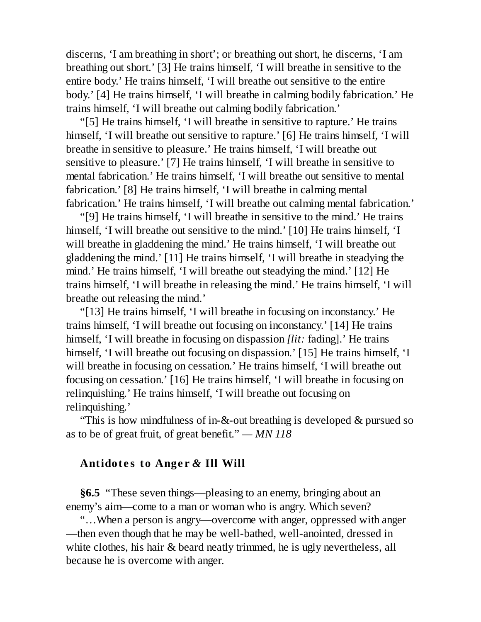discerns, 'I am breathing in short'; or breathing out short, he discerns, 'I am breathing out short.' [3] He trains himself, 'I will breathe in sensitive to the entire body.' He trains himself, 'I will breathe out sensitive to the entire body.' [4] He trains himself, 'I will breathe in calming bodily fabrication.' He trains himself, 'I will breathe out calming bodily fabrication.'

"[5] He trains himself, 'I will breathe in sensitive to rapture.' He trains himself, 'I will breathe out sensitive to rapture.' [6] He trains himself, 'I will breathe in sensitive to pleasure.' He trains himself, 'I will breathe out sensitive to pleasure.' [7] He trains himself, 'I will breathe in sensitive to mental fabrication.' He trains himself, 'I will breathe out sensitive to mental fabrication.' [8] He trains himself, 'I will breathe in calming mental fabrication.' He trains himself, 'I will breathe out calming mental fabrication.'

"[9] He trains himself, 'I will breathe in sensitive to the mind.' He trains himself, 'I will breathe out sensitive to the mind.' [10] He trains himself, 'I will breathe in gladdening the mind.' He trains himself, 'I will breathe out gladdening the mind.' [11] He trains himself, 'I will breathe in steadying the mind.' He trains himself, 'I will breathe out steadying the mind.' [12] He trains himself, 'I will breathe in releasing the mind.' He trains himself, 'I will breathe out releasing the mind.'

"[13] He trains himself, 'I will breathe in focusing on inconstancy.' He trains himself, 'I will breathe out focusing on inconstancy.' [14] He trains himself, 'I will breathe in focusing on dispassion *[lit:* fading].' He trains himself, 'I will breathe out focusing on dispassion.' [15] He trains himself, 'I will breathe in focusing on cessation.' He trains himself, 'I will breathe out focusing on cessation.' [16] He trains himself, 'I will breathe in focusing on relinquishing.' He trains himself, 'I will breathe out focusing on relinquishing.'

"This is how mindfulness of in-&-out breathing is developed & pursued so as to be of great fruit, of great benefit." *— MN 118*

# **Antidot e s to Ange r** *&* **Ill Will**

**§6.5** "These seven things—pleasing to an enemy, bringing about an enemy's aim—come to a man or woman who is angry. Which seven?

"…When a person is angry—overcome with anger, oppressed with anger —then even though that he may be well-bathed, well-anointed, dressed in white clothes, his hair & beard neatly trimmed, he is ugly nevertheless, all because he is overcome with anger.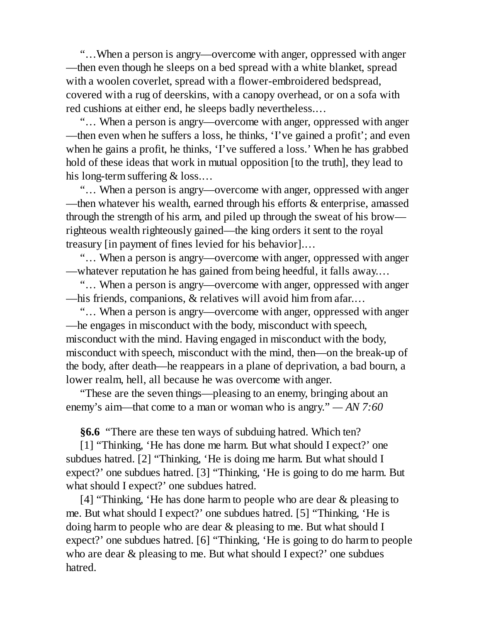"…When a person is angry—overcome with anger, oppressed with anger —then even though he sleeps on a bed spread with a white blanket, spread with a woolen coverlet, spread with a flower-embroidered bedspread, covered with a rug of deerskins, with a canopy overhead, or on a sofa with red cushions at either end, he sleeps badly nevertheless.…

"… When a person is angry—overcome with anger, oppressed with anger —then even when he suffers a loss, he thinks, 'I've gained a profit'; and even when he gains a profit, he thinks, 'I've suffered a loss.' When he has grabbed hold of these ideas that work in mutual opposition [to the truth], they lead to his long-term suffering & loss.…

"… When a person is angry—overcome with anger, oppressed with anger —then whatever his wealth, earned through his efforts & enterprise, amassed through the strength of his arm, and piled up through the sweat of his brow righteous wealth righteously gained—the king orders it sent to the royal treasury [in payment of fines levied for his behavior].…

"… When a person is angry—overcome with anger, oppressed with anger —whatever reputation he has gained from being heedful, it falls away.…

"… When a person is angry—overcome with anger, oppressed with anger —his friends, companions, & relatives will avoid him from afar.…

"… When a person is angry—overcome with anger, oppressed with anger —he engages in misconduct with the body, misconduct with speech, misconduct with the mind. Having engaged in misconduct with the body, misconduct with speech, misconduct with the mind, then—on the break-up of the body, after death—he reappears in a plane of deprivation, a bad bourn, a lower realm, hell, all because he was overcome with anger.

"These are the seven things—pleasing to an enemy, bringing about an enemy's aim—that come to a man or woman who is angry." *— AN 7:60*

**§6.6** "There are these ten ways of subduing hatred. Which ten?

[1] "Thinking, 'He has done me harm. But what should I expect?' one subdues hatred. [2] "Thinking, 'He is doing me harm. But what should I expect?' one subdues hatred. [3] "Thinking, 'He is going to do me harm. But what should I expect?' one subdues hatred.

[4] "Thinking, 'He has done harm to people who are dear & pleasing to me. But what should I expect?' one subdues hatred. [5] "Thinking, 'He is doing harm to people who are dear & pleasing to me. But what should I expect?' one subdues hatred. [6] "Thinking, 'He is going to do harm to people who are dear & pleasing to me. But what should I expect?' one subdues hatred.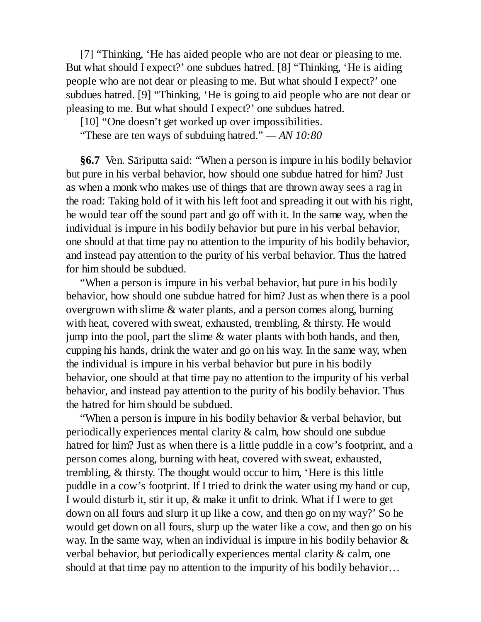[7] "Thinking, 'He has aided people who are not dear or pleasing to me. But what should I expect?' one subdues hatred. [8] "Thinking, 'He is aiding people who are not dear or pleasing to me. But what should I expect?' one subdues hatred. [9] "Thinking, 'He is going to aid people who are not dear or pleasing to me. But what should I expect?' one subdues hatred.

[10] "One doesn't get worked up over impossibilities.

"These are ten ways of subduing hatred." *— AN 10:80*

**§6.7** Ven. Sāriputta said: "When a person is impure in his bodily behavior but pure in his verbal behavior, how should one subdue hatred for him? Just as when a monk who makes use of things that are thrown away sees a rag in the road: Taking hold of it with his left foot and spreading it out with his right, he would tear off the sound part and go off with it. In the same way, when the individual is impure in his bodily behavior but pure in his verbal behavior, one should at that time pay no attention to the impurity of his bodily behavior, and instead pay attention to the purity of his verbal behavior. Thus the hatred for him should be subdued.

"When a person is impure in his verbal behavior, but pure in his bodily behavior, how should one subdue hatred for him? Just as when there is a pool overgrown with slime & water plants, and a person comes along, burning with heat, covered with sweat, exhausted, trembling, & thirsty. He would jump into the pool, part the slime & water plants with both hands, and then, cupping his hands, drink the water and go on his way. In the same way, when the individual is impure in his verbal behavior but pure in his bodily behavior, one should at that time pay no attention to the impurity of his verbal behavior, and instead pay attention to the purity of his bodily behavior. Thus the hatred for him should be subdued.

"When a person is impure in his bodily behavior & verbal behavior, but periodically experiences mental clarity & calm, how should one subdue hatred for him? Just as when there is a little puddle in a cow's footprint, and a person comes along, burning with heat, covered with sweat, exhausted, trembling, & thirsty. The thought would occur to him, 'Here is this little puddle in a cow's footprint. If I tried to drink the water using my hand or cup, I would disturb it, stir it up, & make it unfit to drink. What if I were to get down on all fours and slurp it up like a cow, and then go on my way?' So he would get down on all fours, slurp up the water like a cow, and then go on his way. In the same way, when an individual is impure in his bodily behavior & verbal behavior, but periodically experiences mental clarity & calm, one should at that time pay no attention to the impurity of his bodily behavior...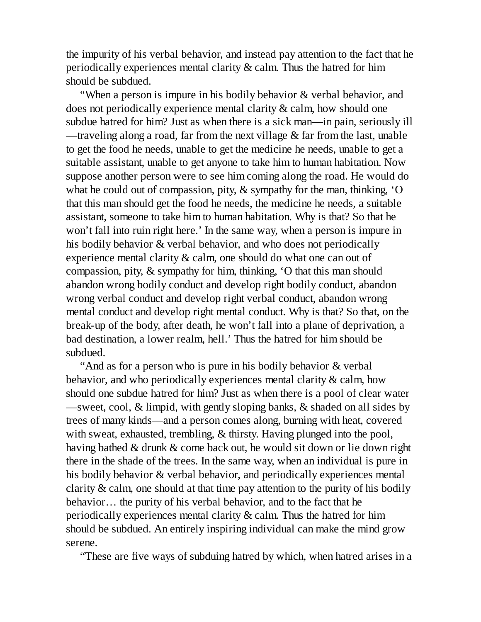the impurity of his verbal behavior, and instead pay attention to the fact that he periodically experiences mental clarity & calm. Thus the hatred for him should be subdued.

"When a person is impure in his bodily behavior & verbal behavior, and does not periodically experience mental clarity & calm, how should one subdue hatred for him? Just as when there is a sick man—in pain, seriously ill —traveling along a road, far from the next village & far from the last, unable to get the food he needs, unable to get the medicine he needs, unable to get a suitable assistant, unable to get anyone to take him to human habitation. Now suppose another person were to see him coming along the road. He would do what he could out of compassion, pity, & sympathy for the man, thinking, 'O that this man should get the food he needs, the medicine he needs, a suitable assistant, someone to take him to human habitation. Why is that? So that he won't fall into ruin right here.' In the same way, when a person is impure in his bodily behavior & verbal behavior, and who does not periodically experience mental clarity & calm, one should do what one can out of compassion, pity, & sympathy for him, thinking, 'O that this man should abandon wrong bodily conduct and develop right bodily conduct, abandon wrong verbal conduct and develop right verbal conduct, abandon wrong mental conduct and develop right mental conduct. Why is that? So that, on the break-up of the body, after death, he won't fall into a plane of deprivation, a bad destination, a lower realm, hell.' Thus the hatred for him should be subdued.

"And as for a person who is pure in his bodily behavior & verbal behavior, and who periodically experiences mental clarity & calm, how should one subdue hatred for him? Just as when there is a pool of clear water —sweet, cool, & limpid, with gently sloping banks, & shaded on all sides by trees of many kinds—and a person comes along, burning with heat, covered with sweat, exhausted, trembling, & thirsty. Having plunged into the pool, having bathed & drunk & come back out, he would sit down or lie down right there in the shade of the trees. In the same way, when an individual is pure in his bodily behavior & verbal behavior, and periodically experiences mental clarity & calm, one should at that time pay attention to the purity of his bodily behavior… the purity of his verbal behavior, and to the fact that he periodically experiences mental clarity & calm. Thus the hatred for him should be subdued. An entirely inspiring individual can make the mind grow serene.

"These are five ways of subduing hatred by which, when hatred arises in a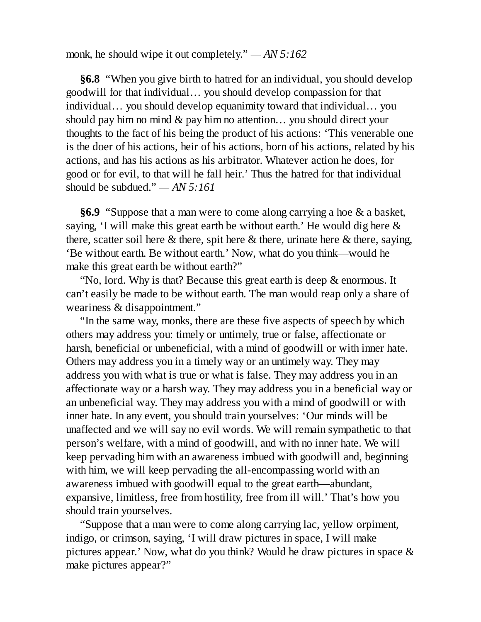monk, he should wipe it out completely." *— AN 5:162*

**§6.8** "When you give birth to hatred for an individual, you should develop goodwill for that individual… you should develop compassion for that individual… you should develop equanimity toward that individual… you should pay him no mind & pay him no attention… you should direct your thoughts to the fact of his being the product of his actions: 'This venerable one is the doer of his actions, heir of his actions, born of his actions, related by his actions, and has his actions as his arbitrator. Whatever action he does, for good or for evil, to that will he fall heir.' Thus the hatred for that individual should be subdued." *— AN 5:161*

**§6.9** "Suppose that a man were to come along carrying a hoe & a basket, saying, 'I will make this great earth be without earth.' He would dig here & there, scatter soil here & there, spit here & there, urinate here & there, saying, 'Be without earth. Be without earth.' Now, what do you think—would he make this great earth be without earth?"

"No, lord. Why is that? Because this great earth is deep & enormous. It can't easily be made to be without earth. The man would reap only a share of weariness & disappointment."

"In the same way, monks, there are these five aspects of speech by which others may address you: timely or untimely, true or false, affectionate or harsh, beneficial or unbeneficial, with a mind of goodwill or with inner hate. Others may address you in a timely way or an untimely way. They may address you with what is true or what is false. They may address you in an affectionate way or a harsh way. They may address you in a beneficial way or an unbeneficial way. They may address you with a mind of goodwill or with inner hate. In any event, you should train yourselves: 'Our minds will be unaffected and we will say no evil words. We will remain sympathetic to that person's welfare, with a mind of goodwill, and with no inner hate. We will keep pervading him with an awareness imbued with goodwill and, beginning with him, we will keep pervading the all-encompassing world with an awareness imbued with goodwill equal to the great earth—abundant, expansive, limitless, free from hostility, free from ill will.' That's how you should train yourselves.

"Suppose that a man were to come along carrying lac, yellow orpiment, indigo, or crimson, saying, 'I will draw pictures in space, I will make pictures appear.' Now, what do you think? Would he draw pictures in space & make pictures appear?"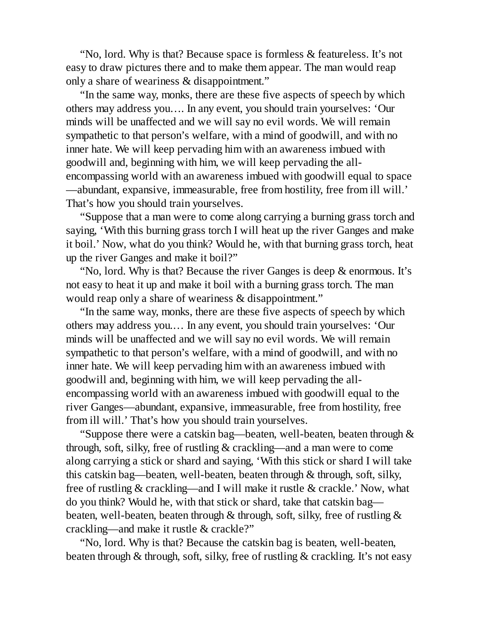"No, lord. Why is that? Because space is formless & featureless. It's not easy to draw pictures there and to make them appear. The man would reap only a share of weariness & disappointment."

"In the same way, monks, there are these five aspects of speech by which others may address you…. In any event, you should train yourselves: 'Our minds will be unaffected and we will say no evil words. We will remain sympathetic to that person's welfare, with a mind of goodwill, and with no inner hate. We will keep pervading him with an awareness imbued with goodwill and, beginning with him, we will keep pervading the allencompassing world with an awareness imbued with goodwill equal to space —abundant, expansive, immeasurable, free from hostility, free from ill will.' That's how you should train yourselves.

"Suppose that a man were to come along carrying a burning grass torch and saying, 'With this burning grass torch I will heat up the river Ganges and make it boil.' Now, what do you think? Would he, with that burning grass torch, heat up the river Ganges and make it boil?"

"No, lord. Why is that? Because the river Ganges is deep & enormous. It's not easy to heat it up and make it boil with a burning grass torch. The man would reap only a share of weariness & disappointment."

"In the same way, monks, there are these five aspects of speech by which others may address you.… In any event, you should train yourselves: 'Our minds will be unaffected and we will say no evil words. We will remain sympathetic to that person's welfare, with a mind of goodwill, and with no inner hate. We will keep pervading him with an awareness imbued with goodwill and, beginning with him, we will keep pervading the allencompassing world with an awareness imbued with goodwill equal to the river Ganges—abundant, expansive, immeasurable, free from hostility, free from ill will.' That's how you should train yourselves.

"Suppose there were a catskin bag—beaten, well-beaten, beaten through & through, soft, silky, free of rustling & crackling—and a man were to come along carrying a stick or shard and saying, 'With this stick or shard I will take this catskin bag—beaten, well-beaten, beaten through & through, soft, silky, free of rustling & crackling—and I will make it rustle & crackle.' Now, what do you think? Would he, with that stick or shard, take that catskin bag beaten, well-beaten, beaten through & through, soft, silky, free of rustling & crackling—and make it rustle & crackle?"

"No, lord. Why is that? Because the catskin bag is beaten, well-beaten, beaten through & through, soft, silky, free of rustling & crackling. It's not easy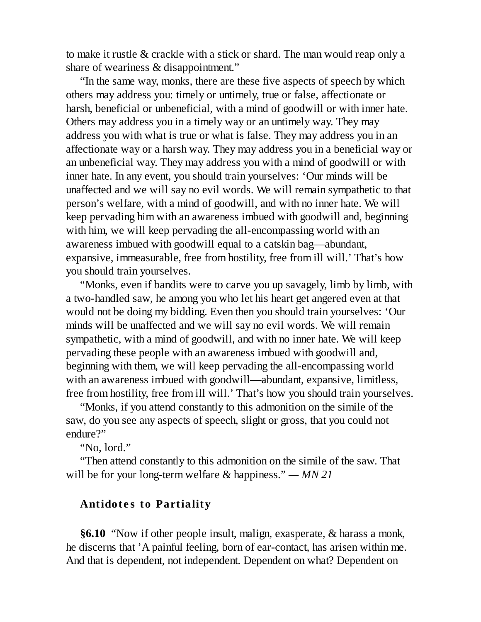to make it rustle & crackle with a stick or shard. The man would reap only a share of weariness & disappointment."

"In the same way, monks, there are these five aspects of speech by which others may address you: timely or untimely, true or false, affectionate or harsh, beneficial or unbeneficial, with a mind of goodwill or with inner hate. Others may address you in a timely way or an untimely way. They may address you with what is true or what is false. They may address you in an affectionate way or a harsh way. They may address you in a beneficial way or an unbeneficial way. They may address you with a mind of goodwill or with inner hate. In any event, you should train yourselves: 'Our minds will be unaffected and we will say no evil words. We will remain sympathetic to that person's welfare, with a mind of goodwill, and with no inner hate. We will keep pervading him with an awareness imbued with goodwill and, beginning with him, we will keep pervading the all-encompassing world with an awareness imbued with goodwill equal to a catskin bag—abundant, expansive, immeasurable, free from hostility, free from ill will.' That's how you should train yourselves.

"Monks, even if bandits were to carve you up savagely, limb by limb, with a two-handled saw, he among you who let his heart get angered even at that would not be doing my bidding. Even then you should train yourselves: 'Our minds will be unaffected and we will say no evil words. We will remain sympathetic, with a mind of goodwill, and with no inner hate. We will keep pervading these people with an awareness imbued with goodwill and, beginning with them, we will keep pervading the all-encompassing world with an awareness imbued with goodwill—abundant, expansive, limitless, free from hostility, free from ill will.' That's how you should train yourselves.

"Monks, if you attend constantly to this admonition on the simile of the saw, do you see any aspects of speech, slight or gross, that you could not endure?"

"No, lord."

"Then attend constantly to this admonition on the simile of the saw. That will be for your long-term welfare & happiness." *— MN 21*

## **Antidotes to Partiality**

**§6.10** "Now if other people insult, malign, exasperate, & harass a monk, he discerns that 'A painful feeling, born of ear-contact, has arisen within me. And that is dependent, not independent. Dependent on what? Dependent on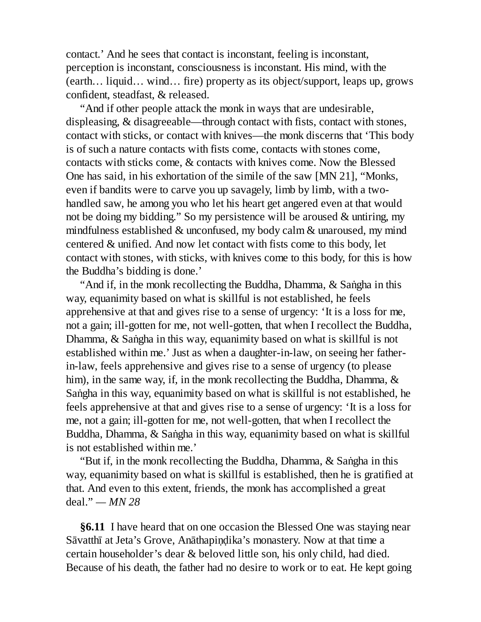contact.' And he sees that contact is inconstant, feeling is inconstant, perception is inconstant, consciousness is inconstant. His mind, with the (earth… liquid… wind… fire) property as its object/support, leaps up, grows confident, steadfast, & released.

"And if other people attack the monk in ways that are undesirable, displeasing, & disagreeable—through contact with fists, contact with stones, contact with sticks, or contact with knives—the monk discerns that 'This body is of such a nature contacts with fists come, contacts with stones come, contacts with sticks come, & contacts with knives come. Now the Blessed One has said, in his exhortation of the simile of the saw [MN 21], "Monks, even if bandits were to carve you up savagely, limb by limb, with a twohandled saw, he among you who let his heart get angered even at that would not be doing my bidding." So my persistence will be aroused & untiring, my mindfulness established & unconfused, my body calm & unaroused, my mind centered & unified. And now let contact with fists come to this body, let contact with stones, with sticks, with knives come to this body, for this is how the Buddha's bidding is done.'

"And if, in the monk recollecting the Buddha, Dhamma, & Saṅgha in this way, equanimity based on what is skillful is not established, he feels apprehensive at that and gives rise to a sense of urgency: 'It is a loss for me, not a gain; ill-gotten for me, not well-gotten, that when I recollect the Buddha, Dhamma, & Saṅgha in this way, equanimity based on what is skillful is not established within me.' Just as when a daughter-in-law, on seeing her fatherin-law, feels apprehensive and gives rise to a sense of urgency (to please him), in the same way, if, in the monk recollecting the Buddha, Dhamma, & Saṅgha in this way, equanimity based on what is skillful is not established, he feels apprehensive at that and gives rise to a sense of urgency: 'It is a loss for me, not a gain; ill-gotten for me, not well-gotten, that when I recollect the Buddha, Dhamma, & Saṅgha in this way, equanimity based on what is skillful is not established within me.'

"But if, in the monk recollecting the Buddha, Dhamma, & Saṅgha in this way, equanimity based on what is skillful is established, then he is gratified at that. And even to this extent, friends, the monk has accomplished a great deal." *— MN 28*

**§6.11** I have heard that on one occasion the Blessed One was staying near Sāvatthī at Jeta's Grove, Anāthapiṇḍika's monastery. Now at that time a certain householder's dear & beloved little son, his only child, had died. Because of his death, the father had no desire to work or to eat. He kept going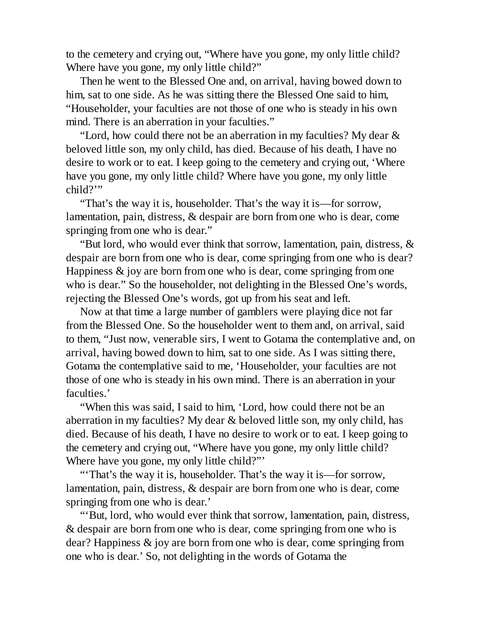to the cemetery and crying out, "Where have you gone, my only little child? Where have you gone, my only little child?"

Then he went to the Blessed One and, on arrival, having bowed down to him, sat to one side. As he was sitting there the Blessed One said to him, "Householder, your faculties are not those of one who is steady in his own mind. There is an aberration in your faculties."

"Lord, how could there not be an aberration in my faculties? My dear & beloved little son, my only child, has died. Because of his death, I have no desire to work or to eat. I keep going to the cemetery and crying out, 'Where have you gone, my only little child? Where have you gone, my only little child?'"

"That's the way it is, householder. That's the way it is—for sorrow, lamentation, pain, distress, & despair are born from one who is dear, come springing from one who is dear."

"But lord, who would ever think that sorrow, lamentation, pain, distress, & despair are born from one who is dear, come springing from one who is dear? Happiness & joy are born from one who is dear, come springing from one who is dear." So the householder, not delighting in the Blessed One's words, rejecting the Blessed One's words, got up from his seat and left.

Now at that time a large number of gamblers were playing dice not far from the Blessed One. So the householder went to them and, on arrival, said to them, "Just now, venerable sirs, I went to Gotama the contemplative and, on arrival, having bowed down to him, sat to one side. As I was sitting there, Gotama the contemplative said to me, 'Householder, your faculties are not those of one who is steady in his own mind. There is an aberration in your faculties.'

"When this was said, I said to him, 'Lord, how could there not be an aberration in my faculties? My dear & beloved little son, my only child, has died. Because of his death, I have no desire to work or to eat. I keep going to the cemetery and crying out, "Where have you gone, my only little child? Where have you gone, my only little child?"'

"'That's the way it is, householder. That's the way it is—for sorrow, lamentation, pain, distress, & despair are born from one who is dear, come springing from one who is dear.'

"'But, lord, who would ever think that sorrow, lamentation, pain, distress, & despair are born from one who is dear, come springing from one who is dear? Happiness & joy are born from one who is dear, come springing from one who is dear.' So, not delighting in the words of Gotama the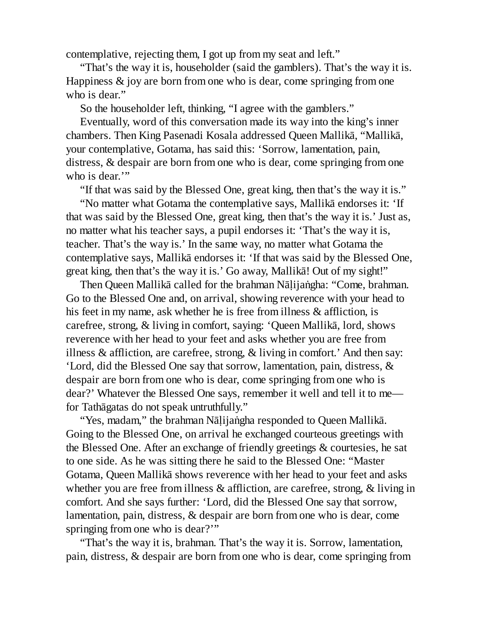contemplative, rejecting them, I got up from my seat and left."

"That's the way it is, householder (said the gamblers). That's the way it is. Happiness & joy are born from one who is dear, come springing from one who is dear."

So the householder left, thinking, "I agree with the gamblers."

Eventually, word of this conversation made its way into the king's inner chambers. Then King Pasenadi Kosala addressed Queen Mallikā, "Mallikā, your contemplative, Gotama, has said this: 'Sorrow, lamentation, pain, distress, & despair are born from one who is dear, come springing from one who is dear."

"If that was said by the Blessed One, great king, then that's the way it is."

"No matter what Gotama the contemplative says, Mallikā endorses it: 'If that was said by the Blessed One, great king, then that's the way it is.' Just as, no matter what his teacher says, a pupil endorses it: 'That's the way it is, teacher. That's the way is.' In the same way, no matter what Gotama the contemplative says, Mallikā endorses it: 'If that was said by the Blessed One, great king, then that's the way it is.' Go away, Mallikā! Out of my sight!"

Then Queen Mallikā called for the brahman Nāḷijaṅgha: "Come, brahman. Go to the Blessed One and, on arrival, showing reverence with your head to his feet in my name, ask whether he is free from illness & affliction, is carefree, strong, & living in comfort, saying: 'Queen Mallikā, lord, shows reverence with her head to your feet and asks whether you are free from illness & affliction, are carefree, strong, & living in comfort.' And then say: 'Lord, did the Blessed One say that sorrow, lamentation, pain, distress, & despair are born from one who is dear, come springing from one who is dear?' Whatever the Blessed One says, remember it well and tell it to me for Tathāgatas do not speak untruthfully."

"Yes, madam," the brahman Nāḷijaṅgha responded to Queen Mallikā. Going to the Blessed One, on arrival he exchanged courteous greetings with the Blessed One. After an exchange of friendly greetings & courtesies, he sat to one side. As he was sitting there he said to the Blessed One: "Master Gotama, Queen Mallikā shows reverence with her head to your feet and asks whether you are free from illness & affliction, are carefree, strong, & living in comfort. And she says further: 'Lord, did the Blessed One say that sorrow, lamentation, pain, distress, & despair are born from one who is dear, come springing from one who is dear?"

"That's the way it is, brahman. That's the way it is. Sorrow, lamentation, pain, distress, & despair are born from one who is dear, come springing from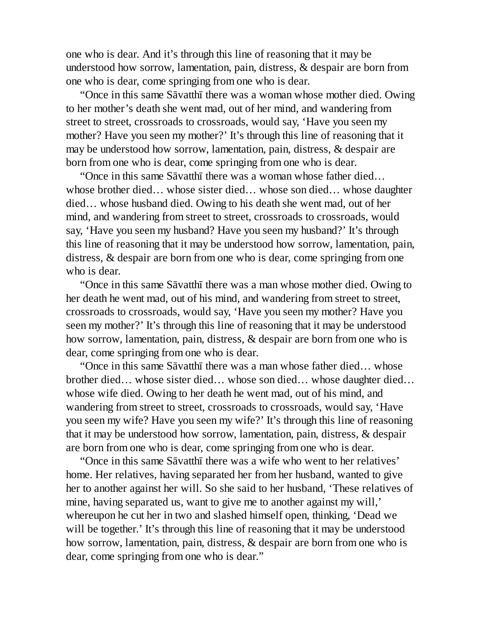one who is dear. And it's through this line of reasoning that it may be understood how sorrow, lamentation, pain, distress, & despair are born from one who is dear, come springing from one who is dear.

"Once in this same Sāvatthī there was a woman whose mother died. Owing to her mother's death she went mad, out of her mind, and wandering from street to street, crossroads to crossroads, would say, 'Have you seen my mother? Have you seen my mother?' It's through this line of reasoning that it may be understood how sorrow, lamentation, pain, distress, & despair are born from one who is dear, come springing from one who is dear.

"Once in this same Sāvatthī there was a woman whose father died… whose brother died… whose sister died… whose son died… whose daughter died… whose husband died. Owing to his death she went mad, out of her mind, and wandering from street to street, crossroads to crossroads, would say, 'Have you seen my husband? Have you seen my husband?' It's through this line of reasoning that it may be understood how sorrow, lamentation, pain, distress, & despair are born from one who is dear, come springing from one who is dear.

"Once in this same Sāvatthī there was a man whose mother died. Owing to her death he went mad, out of his mind, and wandering from street to street, crossroads to crossroads, would say, 'Have you seen my mother? Have you seen my mother?' It's through this line of reasoning that it may be understood how sorrow, lamentation, pain, distress, & despair are born from one who is dear, come springing from one who is dear.

"Once in this same Sāvatthī there was a man whose father died… whose brother died… whose sister died… whose son died… whose daughter died… whose wife died. Owing to her death he went mad, out of his mind, and wandering from street to street, crossroads to crossroads, would say, 'Have you seen my wife? Have you seen my wife?' It's through this line of reasoning that it may be understood how sorrow, lamentation, pain, distress, & despair are born from one who is dear, come springing from one who is dear.

"Once in this same Sāvatthī there was a wife who went to her relatives' home. Her relatives, having separated her from her husband, wanted to give her to another against her will. So she said to her husband, 'These relatives of mine, having separated us, want to give me to another against my will,' whereupon he cut her in two and slashed himself open, thinking, 'Dead we will be together.' It's through this line of reasoning that it may be understood how sorrow, lamentation, pain, distress, & despair are born from one who is dear, come springing from one who is dear."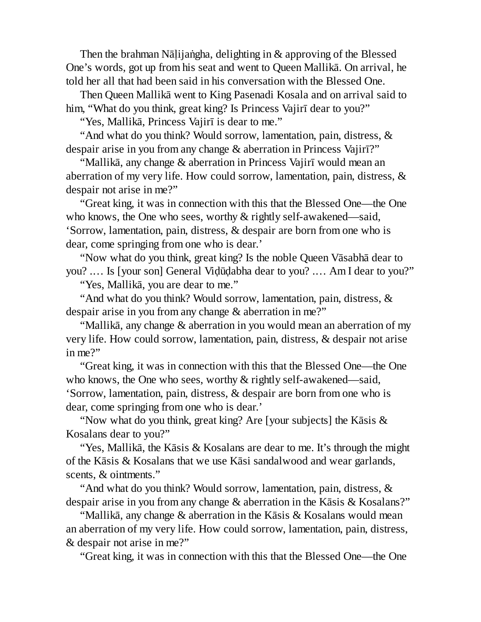Then the brahman Nāḷijaṅgha, delighting in & approving of the Blessed One's words, got up from his seat and went to Queen Mallikā. On arrival, he told her all that had been said in his conversation with the Blessed One.

Then Queen Mallikā went to King Pasenadi Kosala and on arrival said to him, "What do you think, great king? Is Princess Vajirī dear to you?"

"Yes, Mallikā, Princess Vajirī is dear to me."

"And what do you think? Would sorrow, lamentation, pain, distress, & despair arise in you from any change & aberration in Princess Vajirī?"

"Mallikā, any change & aberration in Princess Vajirī would mean an aberration of my very life. How could sorrow, lamentation, pain, distress, & despair not arise in me?"

"Great king, it was in connection with this that the Blessed One—the One who knows, the One who sees, worthy & rightly self-awakened—said, 'Sorrow, lamentation, pain, distress, & despair are born from one who is dear, come springing from one who is dear.'

"Now what do you think, great king? Is the noble Queen Vāsabhā dear to you? .… Is [your son] General Viḍūḍabha dear to you? .… Am I dear to you?"

"Yes, Mallikā, you are dear to me."

"And what do you think? Would sorrow, lamentation, pain, distress, & despair arise in you from any change & aberration in me?"

"Mallikā, any change & aberration in you would mean an aberration of my very life. How could sorrow, lamentation, pain, distress, & despair not arise in me?"

"Great king, it was in connection with this that the Blessed One—the One who knows, the One who sees, worthy & rightly self-awakened—said, 'Sorrow, lamentation, pain, distress, & despair are born from one who is dear, come springing from one who is dear.'

"Now what do you think, great king? Are [your subjects] the Kāsis & Kosalans dear to you?"

"Yes, Mallikā, the Kāsis & Kosalans are dear to me. It's through the might of the Kāsis & Kosalans that we use Kāsi sandalwood and wear garlands, scents, & ointments."

"And what do you think? Would sorrow, lamentation, pain, distress, & despair arise in you from any change & aberration in the Kāsis & Kosalans?"

"Mallikā, any change & aberration in the Kāsis & Kosalans would mean an aberration of my very life. How could sorrow, lamentation, pain, distress, & despair not arise in me?"

"Great king, it was in connection with this that the Blessed One—the One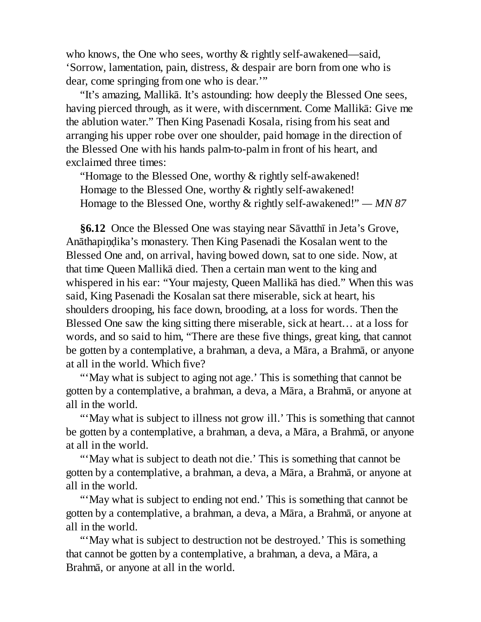who knows, the One who sees, worthy & rightly self-awakened—said, 'Sorrow, lamentation, pain, distress, & despair are born from one who is dear, come springing from one who is dear.'"

"It's amazing, Mallikā. It's astounding: how deeply the Blessed One sees, having pierced through, as it were, with discernment. Come Mallikā: Give me the ablution water." Then King Pasenadi Kosala, rising from his seat and arranging his upper robe over one shoulder, paid homage in the direction of the Blessed One with his hands palm-to-palm in front of his heart, and exclaimed three times:

"Homage to the Blessed One, worthy & rightly self-awakened! Homage to the Blessed One, worthy & rightly self-awakened! Homage to the Blessed One, worthy & rightly self-awakened!" *— MN 87*

**§6.12** Once the Blessed One was staying near Sāvatthī in Jeta's Grove, Anāthapiṇḍika's monastery. Then King Pasenadi the Kosalan went to the Blessed One and, on arrival, having bowed down, sat to one side. Now, at that time Queen Mallikā died. Then a certain man went to the king and whispered in his ear: "Your majesty, Queen Mallikā has died." When this was said, King Pasenadi the Kosalan sat there miserable, sick at heart, his shoulders drooping, his face down, brooding, at a loss for words. Then the Blessed One saw the king sitting there miserable, sick at heart… at a loss for words, and so said to him, "There are these five things, great king, that cannot be gotten by a contemplative, a brahman, a deva, a Māra, a Brahmā, or anyone at all in the world. Which five?

"'May what is subject to aging not age.' This is something that cannot be gotten by a contemplative, a brahman, a deva, a Māra, a Brahmā, or anyone at all in the world.

"'May what is subject to illness not grow ill.' This is something that cannot be gotten by a contemplative, a brahman, a deva, a Māra, a Brahmā, or anyone at all in the world.

"'May what is subject to death not die.' This is something that cannot be gotten by a contemplative, a brahman, a deva, a Māra, a Brahmā, or anyone at all in the world.

"'May what is subject to ending not end.' This is something that cannot be gotten by a contemplative, a brahman, a deva, a Māra, a Brahmā, or anyone at all in the world.

"'May what is subject to destruction not be destroyed.' This is something that cannot be gotten by a contemplative, a brahman, a deva, a Māra, a Brahmā, or anyone at all in the world.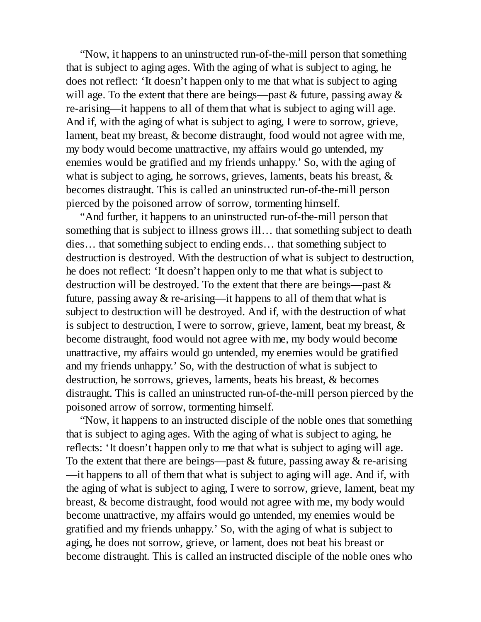"Now, it happens to an uninstructed run-of-the-mill person that something that is subject to aging ages. With the aging of what is subject to aging, he does not reflect: 'It doesn't happen only to me that what is subject to aging will age. To the extent that there are beings—past & future, passing away & re-arising—it happens to all of them that what is subject to aging will age. And if, with the aging of what is subject to aging, I were to sorrow, grieve, lament, beat my breast, & become distraught, food would not agree with me, my body would become unattractive, my affairs would go untended, my enemies would be gratified and my friends unhappy.' So, with the aging of what is subject to aging, he sorrows, grieves, laments, beats his breast, & becomes distraught. This is called an uninstructed run-of-the-mill person pierced by the poisoned arrow of sorrow, tormenting himself.

"And further, it happens to an uninstructed run-of-the-mill person that something that is subject to illness grows ill… that something subject to death dies… that something subject to ending ends… that something subject to destruction is destroyed. With the destruction of what is subject to destruction, he does not reflect: 'It doesn't happen only to me that what is subject to destruction will be destroyed. To the extent that there are beings—past & future, passing away & re-arising—it happens to all of them that what is subject to destruction will be destroyed. And if, with the destruction of what is subject to destruction, I were to sorrow, grieve, lament, beat my breast, & become distraught, food would not agree with me, my body would become unattractive, my affairs would go untended, my enemies would be gratified and my friends unhappy.' So, with the destruction of what is subject to destruction, he sorrows, grieves, laments, beats his breast, & becomes distraught. This is called an uninstructed run-of-the-mill person pierced by the poisoned arrow of sorrow, tormenting himself.

"Now, it happens to an instructed disciple of the noble ones that something that is subject to aging ages. With the aging of what is subject to aging, he reflects: 'It doesn't happen only to me that what is subject to aging will age. To the extent that there are beings—past & future, passing away & re-arising —it happens to all of them that what is subject to aging will age. And if, with the aging of what is subject to aging, I were to sorrow, grieve, lament, beat my breast, & become distraught, food would not agree with me, my body would become unattractive, my affairs would go untended, my enemies would be gratified and my friends unhappy.' So, with the aging of what is subject to aging, he does not sorrow, grieve, or lament, does not beat his breast or become distraught. This is called an instructed disciple of the noble ones who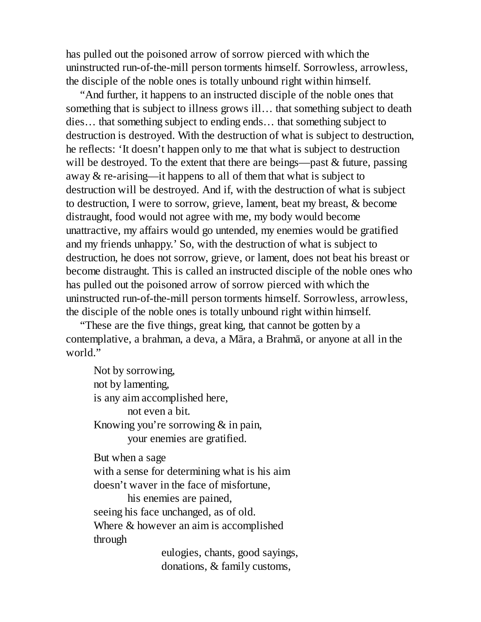has pulled out the poisoned arrow of sorrow pierced with which the uninstructed run-of-the-mill person torments himself. Sorrowless, arrowless, the disciple of the noble ones is totally unbound right within himself.

"And further, it happens to an instructed disciple of the noble ones that something that is subject to illness grows ill… that something subject to death dies… that something subject to ending ends… that something subject to destruction is destroyed. With the destruction of what is subject to destruction, he reflects: 'It doesn't happen only to me that what is subject to destruction will be destroyed. To the extent that there are beings—past & future, passing away & re-arising—it happens to all of them that what is subject to destruction will be destroyed. And if, with the destruction of what is subject to destruction, I were to sorrow, grieve, lament, beat my breast, & become distraught, food would not agree with me, my body would become unattractive, my affairs would go untended, my enemies would be gratified and my friends unhappy.' So, with the destruction of what is subject to destruction, he does not sorrow, grieve, or lament, does not beat his breast or become distraught. This is called an instructed disciple of the noble ones who has pulled out the poisoned arrow of sorrow pierced with which the uninstructed run-of-the-mill person torments himself. Sorrowless, arrowless, the disciple of the noble ones is totally unbound right within himself.

"These are the five things, great king, that cannot be gotten by a contemplative, a brahman, a deva, a Māra, a Brahmā, or anyone at all in the world."

Not by sorrowing, not by lamenting, is any aim accomplished here, not even a bit. Knowing you're sorrowing & in pain, your enemies are gratified. But when a sage

with a sense for determining what is his aim doesn't waver in the face of misfortune,

his enemies are pained, seeing his face unchanged, as of old. Where & however an aim is accomplished through

> eulogies, chants, good sayings, donations, & family customs,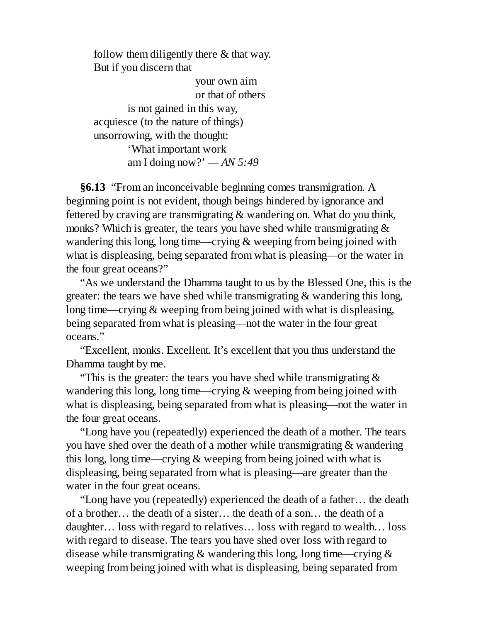follow them diligently there & that way. But if you discern that your own aim or that of others is not gained in this way, acquiesce (to the nature of things) unsorrowing, with the thought: 'What important work am I doing now?' *— AN 5:49*

**§6.13** "From an inconceivable beginning comes transmigration. A beginning point is not evident, though beings hindered by ignorance and fettered by craving are transmigrating & wandering on. What do you think, monks? Which is greater, the tears you have shed while transmigrating & wandering this long, long time—crying & weeping from being joined with what is displeasing, being separated from what is pleasing—or the water in the four great oceans?"

"As we understand the Dhamma taught to us by the Blessed One, this is the greater: the tears we have shed while transmigrating & wandering this long, long time—crying & weeping from being joined with what is displeasing, being separated from what is pleasing—not the water in the four great oceans."

"Excellent, monks. Excellent. It's excellent that you thus understand the Dhamma taught by me.

"This is the greater: the tears you have shed while transmigrating & wandering this long, long time—crying & weeping from being joined with what is displeasing, being separated from what is pleasing—not the water in the four great oceans.

"Long have you (repeatedly) experienced the death of a mother. The tears you have shed over the death of a mother while transmigrating & wandering this long, long time—crying & weeping from being joined with what is displeasing, being separated from what is pleasing—are greater than the water in the four great oceans.

"Long have you (repeatedly) experienced the death of a father… the death of a brother… the death of a sister… the death of a son… the death of a daughter… loss with regard to relatives… loss with regard to wealth… loss with regard to disease. The tears you have shed over loss with regard to disease while transmigrating & wandering this long, long time—crying & weeping from being joined with what is displeasing, being separated from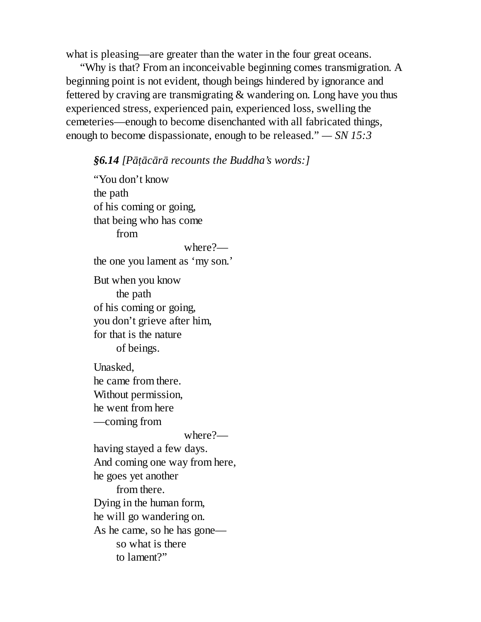what is pleasing—are greater than the water in the four great oceans.

"Why is that? From an inconceivable beginning comes transmigration. A beginning point is not evident, though beings hindered by ignorance and fettered by craving are transmigrating & wandering on. Long have you thus experienced stress, experienced pain, experienced loss, swelling the cemeteries—enough to become disenchanted with all fabricated things, enough to become dispassionate, enough to be released." *— SN 15:3*

*§6.14 [Pāṭācārā recounts the Buddha's words:]*

"You don't know the path of his coming or going, that being who has come from where? the one you lament as 'my son.' But when you know the path of his coming or going, you don't grieve after him, for that is the nature of beings. Unasked, he came from there. Without permission, he went from here —coming from where? having stayed a few days. And coming one way from here, he goes yet another from there. Dying in the human form, he will go wandering on. As he came, so he has gone so what is there to lament?"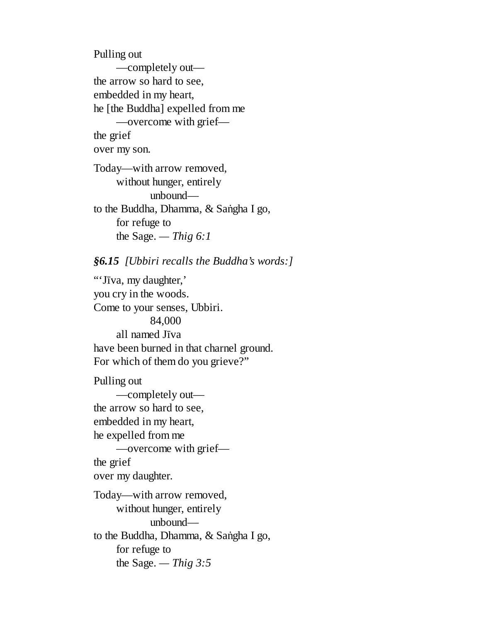Pulling out —completely out the arrow so hard to see, embedded in my heart, he [the Buddha] expelled from me —overcome with grief the grief over my son. Today—with arrow removed, without hunger, entirely unbound to the Buddha, Dhamma, & Saṅgha I go, for refuge to the Sage. *— Thig 6:1*

*§6.15 [Ubbiri recalls the Buddha's words:]*

"'Jīva, my daughter,' you cry in the woods. Come to your senses, Ubbiri. 84,000 all named Jīva have been burned in that charnel ground. For which of them do you grieve?"

Pulling out —completely out the arrow so hard to see, embedded in my heart, he expelled from me —overcome with grief the grief over my daughter. Today—with arrow removed, without hunger, entirely unbound to the Buddha, Dhamma, & Saṅgha I go, for refuge to the Sage. *— Thig 3:5*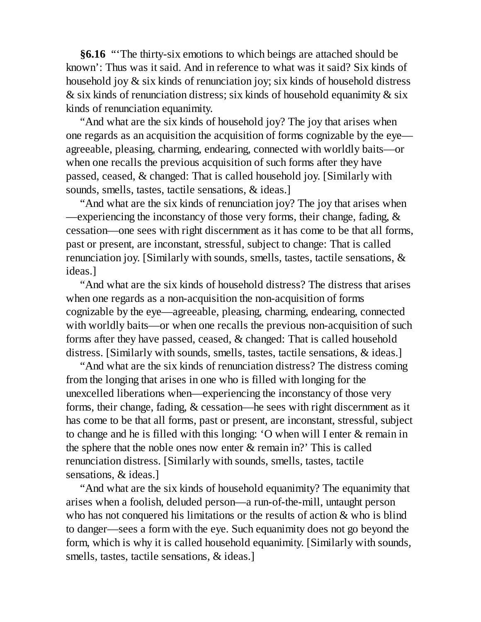**§6.16** "'The thirty-six emotions to which beings are attached should be known': Thus was it said. And in reference to what was it said? Six kinds of household joy & six kinds of renunciation joy; six kinds of household distress & six kinds of renunciation distress; six kinds of household equanimity & six kinds of renunciation equanimity.

"And what are the six kinds of household joy? The joy that arises when one regards as an acquisition the acquisition of forms cognizable by the eye agreeable, pleasing, charming, endearing, connected with worldly baits—or when one recalls the previous acquisition of such forms after they have passed, ceased, & changed: That is called household joy. [Similarly with sounds, smells, tastes, tactile sensations, & ideas.]

"And what are the six kinds of renunciation joy? The joy that arises when —experiencing the inconstancy of those very forms, their change, fading, & cessation—one sees with right discernment as it has come to be that all forms, past or present, are inconstant, stressful, subject to change: That is called renunciation joy. [Similarly with sounds, smells, tastes, tactile sensations, & ideas.]

"And what are the six kinds of household distress? The distress that arises when one regards as a non-acquisition the non-acquisition of forms cognizable by the eye—agreeable, pleasing, charming, endearing, connected with worldly baits—or when one recalls the previous non-acquisition of such forms after they have passed, ceased, & changed: That is called household distress. [Similarly with sounds, smells, tastes, tactile sensations, & ideas.]

"And what are the six kinds of renunciation distress? The distress coming from the longing that arises in one who is filled with longing for the unexcelled liberations when—experiencing the inconstancy of those very forms, their change, fading, & cessation—he sees with right discernment as it has come to be that all forms, past or present, are inconstant, stressful, subject to change and he is filled with this longing: 'O when will I enter & remain in the sphere that the noble ones now enter & remain in?' This is called renunciation distress. [Similarly with sounds, smells, tastes, tactile sensations, & ideas.]

"And what are the six kinds of household equanimity? The equanimity that arises when a foolish, deluded person—a run-of-the-mill, untaught person who has not conquered his limitations or the results of action & who is blind to danger—sees a form with the eye. Such equanimity does not go beyond the form, which is why it is called household equanimity. [Similarly with sounds, smells, tastes, tactile sensations, & ideas.]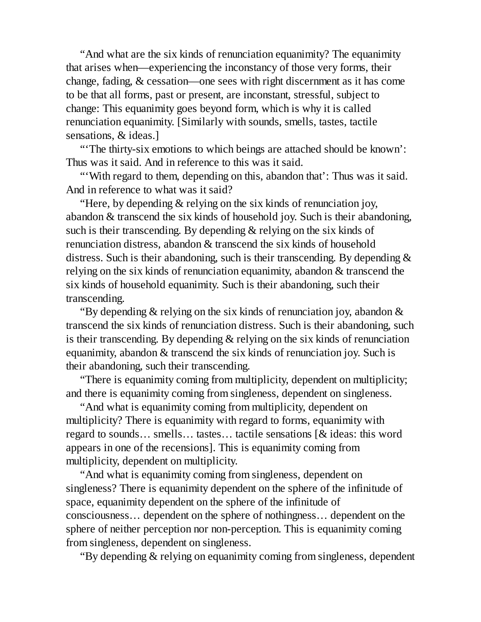"And what are the six kinds of renunciation equanimity? The equanimity that arises when—experiencing the inconstancy of those very forms, their change, fading, & cessation—one sees with right discernment as it has come to be that all forms, past or present, are inconstant, stressful, subject to change: This equanimity goes beyond form, which is why it is called renunciation equanimity. [Similarly with sounds, smells, tastes, tactile sensations, & ideas.]

"'The thirty-six emotions to which beings are attached should be known': Thus was it said. And in reference to this was it said.

"'With regard to them, depending on this, abandon that': Thus was it said. And in reference to what was it said?

"Here, by depending & relying on the six kinds of renunciation joy, abandon & transcend the six kinds of household joy. Such is their abandoning, such is their transcending. By depending & relying on the six kinds of renunciation distress, abandon & transcend the six kinds of household distress. Such is their abandoning, such is their transcending. By depending & relying on the six kinds of renunciation equanimity, abandon & transcend the six kinds of household equanimity. Such is their abandoning, such their transcending.

"By depending & relying on the six kinds of renunciation joy, abandon & transcend the six kinds of renunciation distress. Such is their abandoning, such is their transcending. By depending & relying on the six kinds of renunciation equanimity, abandon & transcend the six kinds of renunciation joy. Such is their abandoning, such their transcending.

"There is equanimity coming from multiplicity, dependent on multiplicity; and there is equanimity coming from singleness, dependent on singleness.

"And what is equanimity coming from multiplicity, dependent on multiplicity? There is equanimity with regard to forms, equanimity with regard to sounds… smells… tastes… tactile sensations [& ideas: this word appears in one of the recensions]. This is equanimity coming from multiplicity, dependent on multiplicity.

"And what is equanimity coming from singleness, dependent on singleness? There is equanimity dependent on the sphere of the infinitude of space, equanimity dependent on the sphere of the infinitude of consciousness… dependent on the sphere of nothingness… dependent on the sphere of neither perception nor non-perception. This is equanimity coming from singleness, dependent on singleness.

"By depending & relying on equanimity coming from singleness, dependent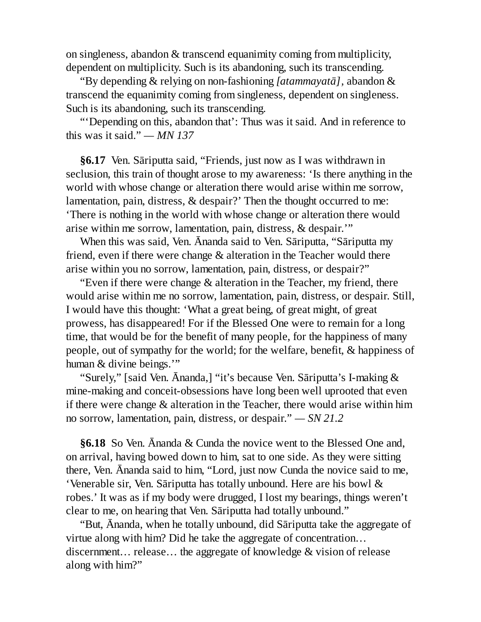on singleness, abandon & transcend equanimity coming from multiplicity, dependent on multiplicity. Such is its abandoning, such its transcending.

"By depending & relying on non-fashioning *[atammayatā],* abandon & transcend the equanimity coming from singleness, dependent on singleness. Such is its abandoning, such its transcending.

"'Depending on this, abandon that': Thus was it said. And in reference to this was it said." *— MN 137*

**§6.17** Ven. Sāriputta said, "Friends, just now as I was withdrawn in seclusion, this train of thought arose to my awareness: 'Is there anything in the world with whose change or alteration there would arise within me sorrow, lamentation, pain, distress, & despair?' Then the thought occurred to me: 'There is nothing in the world with whose change or alteration there would arise within me sorrow, lamentation, pain, distress, & despair.'"

When this was said, Ven. Ānanda said to Ven. Sāriputta, "Sāriputta my friend, even if there were change & alteration in the Teacher would there arise within you no sorrow, lamentation, pain, distress, or despair?"

"Even if there were change & alteration in the Teacher, my friend, there would arise within me no sorrow, lamentation, pain, distress, or despair. Still, I would have this thought: 'What a great being, of great might, of great prowess, has disappeared! For if the Blessed One were to remain for a long time, that would be for the benefit of many people, for the happiness of many people, out of sympathy for the world; for the welfare, benefit, & happiness of human & divine beings.'"

"Surely," [said Ven. Ānanda,] "it's because Ven. Sāriputta's I-making & mine-making and conceit-obsessions have long been well uprooted that even if there were change & alteration in the Teacher, there would arise within him no sorrow, lamentation, pain, distress, or despair." *— SN 21.2*

**§6.18** So Ven. Ānanda & Cunda the novice went to the Blessed One and, on arrival, having bowed down to him, sat to one side. As they were sitting there, Ven. Ānanda said to him, "Lord, just now Cunda the novice said to me, 'Venerable sir, Ven. Sāriputta has totally unbound. Here are his bowl & robes.' It was as if my body were drugged, I lost my bearings, things weren't clear to me, on hearing that Ven. Sāriputta had totally unbound."

"But, Ānanda, when he totally unbound, did Sāriputta take the aggregate of virtue along with him? Did he take the aggregate of concentration… discernment… release… the aggregate of knowledge & vision of release along with him?"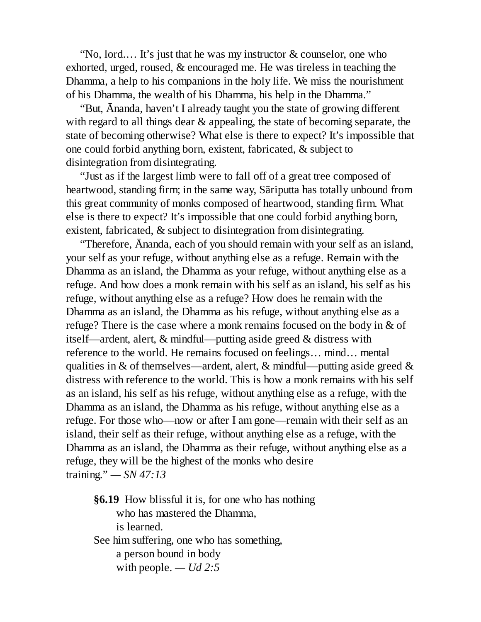"No, lord.… It's just that he was my instructor & counselor, one who exhorted, urged, roused, & encouraged me. He was tireless in teaching the Dhamma, a help to his companions in the holy life. We miss the nourishment of his Dhamma, the wealth of his Dhamma, his help in the Dhamma."

"But, Ānanda, haven't I already taught you the state of growing different with regard to all things dear & appealing, the state of becoming separate, the state of becoming otherwise? What else is there to expect? It's impossible that one could forbid anything born, existent, fabricated, & subject to disintegration from disintegrating.

"Just as if the largest limb were to fall off of a great tree composed of heartwood, standing firm; in the same way, Sāriputta has totally unbound from this great community of monks composed of heartwood, standing firm. What else is there to expect? It's impossible that one could forbid anything born, existent, fabricated, & subject to disintegration from disintegrating.

"Therefore, Ānanda, each of you should remain with your self as an island, your self as your refuge, without anything else as a refuge. Remain with the Dhamma as an island, the Dhamma as your refuge, without anything else as a refuge. And how does a monk remain with his self as an island, his self as his refuge, without anything else as a refuge? How does he remain with the Dhamma as an island, the Dhamma as his refuge, without anything else as a refuge? There is the case where a monk remains focused on the body in & of itself—ardent, alert, & mindful—putting aside greed & distress with reference to the world. He remains focused on feelings… mind… mental qualities in & of themselves—ardent, alert, & mindful—putting aside greed & distress with reference to the world. This is how a monk remains with his self as an island, his self as his refuge, without anything else as a refuge, with the Dhamma as an island, the Dhamma as his refuge, without anything else as a refuge. For those who—now or after I am gone—remain with their self as an island, their self as their refuge, without anything else as a refuge, with the Dhamma as an island, the Dhamma as their refuge, without anything else as a refuge, they will be the highest of the monks who desire training." *— SN 47:13*

**§6.19** How blissful it is, for one who has nothing who has mastered the Dhamma, is learned. See him suffering, one who has something, a person bound in body with people.  $-$  *Ud* 2:5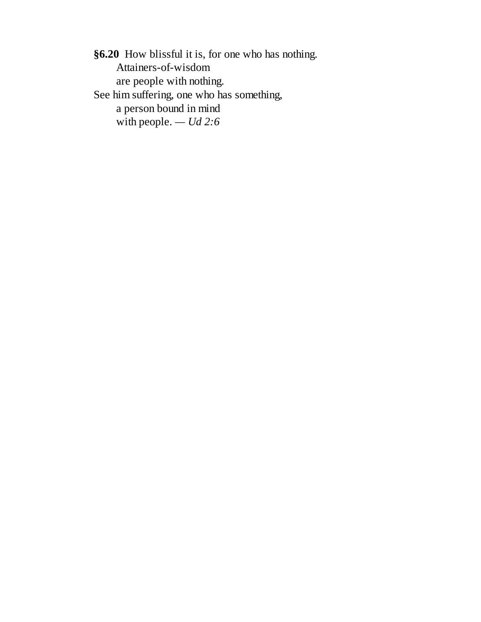**§6.20** How blissful it is, for one who has nothing. Attainers-of-wisdom are people with nothing. See him suffering, one who has something, a person bound in mind with people. *— Ud 2:6*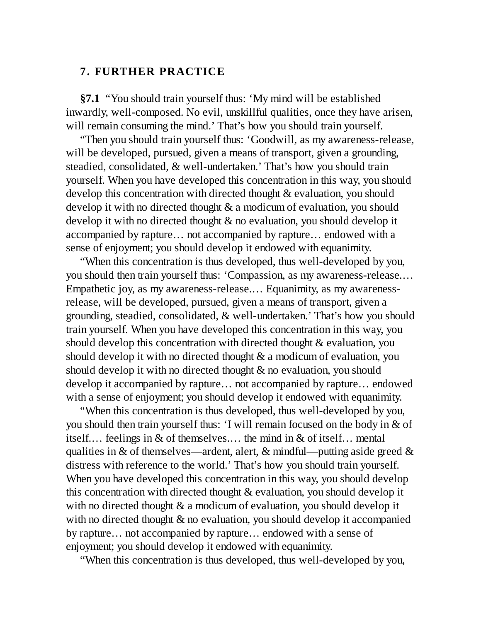## **7. FURTHER PRACTICE**

**§7.1** "You should train yourself thus: 'My mind will be established inwardly, well-composed. No evil, unskillful qualities, once they have arisen, will remain consuming the mind.' That's how you should train yourself.

"Then you should train yourself thus: 'Goodwill, as my awareness-release, will be developed, pursued, given a means of transport, given a grounding, steadied, consolidated, & well-undertaken.' That's how you should train yourself. When you have developed this concentration in this way, you should develop this concentration with directed thought & evaluation, you should develop it with no directed thought & a modicum of evaluation, you should develop it with no directed thought & no evaluation, you should develop it accompanied by rapture… not accompanied by rapture… endowed with a sense of enjoyment; you should develop it endowed with equanimity.

"When this concentration is thus developed, thus well-developed by you, you should then train yourself thus: 'Compassion, as my awareness-release.… Empathetic joy, as my awareness-release.… Equanimity, as my awarenessrelease, will be developed, pursued, given a means of transport, given a grounding, steadied, consolidated, & well-undertaken.' That's how you should train yourself. When you have developed this concentration in this way, you should develop this concentration with directed thought & evaluation, you should develop it with no directed thought & a modicum of evaluation, you should develop it with no directed thought & no evaluation, you should develop it accompanied by rapture… not accompanied by rapture… endowed with a sense of enjoyment; you should develop it endowed with equanimity.

"When this concentration is thus developed, thus well-developed by you, you should then train yourself thus: 'I will remain focused on the body in & of itself.… feelings in & of themselves.… the mind in & of itself… mental qualities in & of themselves—ardent, alert, & mindful—putting aside greed & distress with reference to the world.' That's how you should train yourself. When you have developed this concentration in this way, you should develop this concentration with directed thought & evaluation, you should develop it with no directed thought & a modicum of evaluation, you should develop it with no directed thought & no evaluation, you should develop it accompanied by rapture… not accompanied by rapture… endowed with a sense of enjoyment; you should develop it endowed with equanimity.

"When this concentration is thus developed, thus well-developed by you,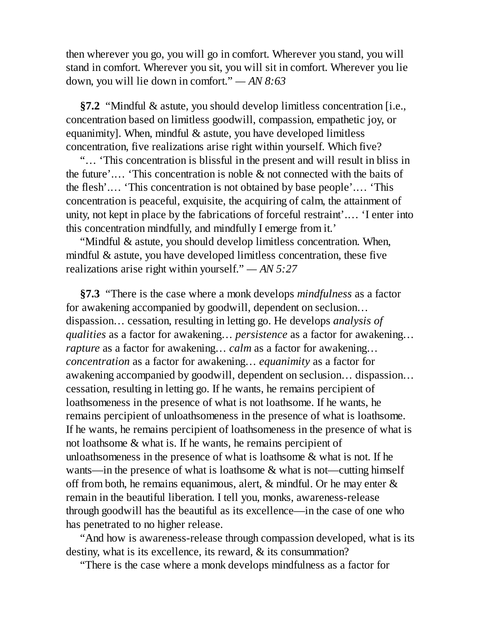then wherever you go, you will go in comfort. Wherever you stand, you will stand in comfort. Wherever you sit, you will sit in comfort. Wherever you lie down, you will lie down in comfort." *— AN 8:63*

**§7.2** "Mindful & astute, you should develop limitless concentration [i.e., concentration based on limitless goodwill, compassion, empathetic joy, or equanimity]. When, mindful & astute, you have developed limitless concentration, five realizations arise right within yourself. Which five?

"… 'This concentration is blissful in the present and will result in bliss in the future'.… 'This concentration is noble & not connected with the baits of the flesh'.… 'This concentration is not obtained by base people'.… 'This concentration is peaceful, exquisite, the acquiring of calm, the attainment of unity, not kept in place by the fabrications of forceful restraint'.… 'I enter into this concentration mindfully, and mindfully I emerge from it.'

"Mindful & astute, you should develop limitless concentration. When, mindful & astute, you have developed limitless concentration, these five realizations arise right within yourself." *— AN 5:27*

**§7.3** "There is the case where a monk develops *mindfulness* as a factor for awakening accompanied by goodwill, dependent on seclusion… dispassion… cessation, resulting in letting go. He develops *analysis of qualities* as a factor for awakening… *persistence* as a factor for awakening… *rapture* as a factor for awakening… *calm* as a factor for awakening… *concentration* as a factor for awakening… *equanimity* as a factor for awakening accompanied by goodwill, dependent on seclusion… dispassion… cessation, resulting in letting go. If he wants, he remains percipient of loathsomeness in the presence of what is not loathsome. If he wants, he remains percipient of unloathsomeness in the presence of what is loathsome. If he wants, he remains percipient of loathsomeness in the presence of what is not loathsome & what is. If he wants, he remains percipient of unloathsomeness in the presence of what is loathsome & what is not. If he wants—in the presence of what is loathsome & what is not—cutting himself off from both, he remains equanimous, alert, & mindful. Or he may enter & remain in the beautiful liberation. I tell you, monks, awareness-release through goodwill has the beautiful as its excellence—in the case of one who has penetrated to no higher release.

"And how is awareness-release through compassion developed, what is its destiny, what is its excellence, its reward, & its consummation?

"There is the case where a monk develops mindfulness as a factor for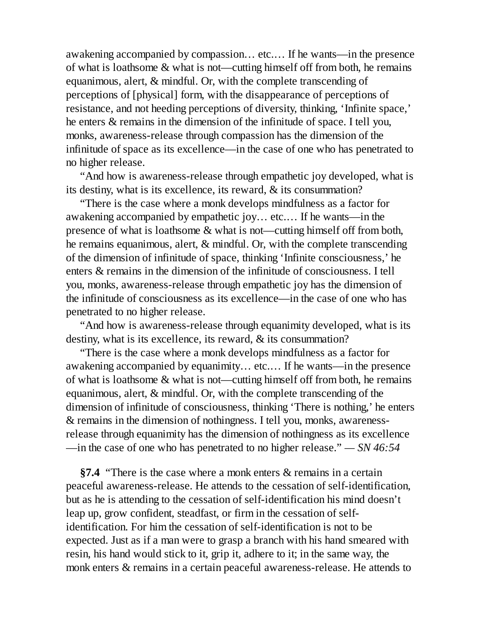awakening accompanied by compassion… etc.… If he wants—in the presence of what is loathsome & what is not—cutting himself off from both, he remains equanimous, alert, & mindful. Or, with the complete transcending of perceptions of [physical] form, with the disappearance of perceptions of resistance, and not heeding perceptions of diversity, thinking, 'Infinite space,' he enters & remains in the dimension of the infinitude of space. I tell you, monks, awareness-release through compassion has the dimension of the infinitude of space as its excellence—in the case of one who has penetrated to no higher release.

"And how is awareness-release through empathetic joy developed, what is its destiny, what is its excellence, its reward, & its consummation?

"There is the case where a monk develops mindfulness as a factor for awakening accompanied by empathetic joy… etc.… If he wants—in the presence of what is loathsome & what is not—cutting himself off from both, he remains equanimous, alert, & mindful. Or, with the complete transcending of the dimension of infinitude of space, thinking 'Infinite consciousness,' he enters & remains in the dimension of the infinitude of consciousness. I tell you, monks, awareness-release through empathetic joy has the dimension of the infinitude of consciousness as its excellence—in the case of one who has penetrated to no higher release.

"And how is awareness-release through equanimity developed, what is its destiny, what is its excellence, its reward, & its consummation?

"There is the case where a monk develops mindfulness as a factor for awakening accompanied by equanimity… etc.… If he wants—in the presence of what is loathsome & what is not—cutting himself off from both, he remains equanimous, alert, & mindful. Or, with the complete transcending of the dimension of infinitude of consciousness, thinking 'There is nothing,' he enters & remains in the dimension of nothingness. I tell you, monks, awarenessrelease through equanimity has the dimension of nothingness as its excellence —in the case of one who has penetrated to no higher release." *— SN 46:54*

**§7.4** "There is the case where a monk enters & remains in a certain peaceful awareness-release. He attends to the cessation of self-identification, but as he is attending to the cessation of self-identification his mind doesn't leap up, grow confident, steadfast, or firm in the cessation of selfidentification. For him the cessation of self-identification is not to be expected. Just as if a man were to grasp a branch with his hand smeared with resin, his hand would stick to it, grip it, adhere to it; in the same way, the monk enters & remains in a certain peaceful awareness-release. He attends to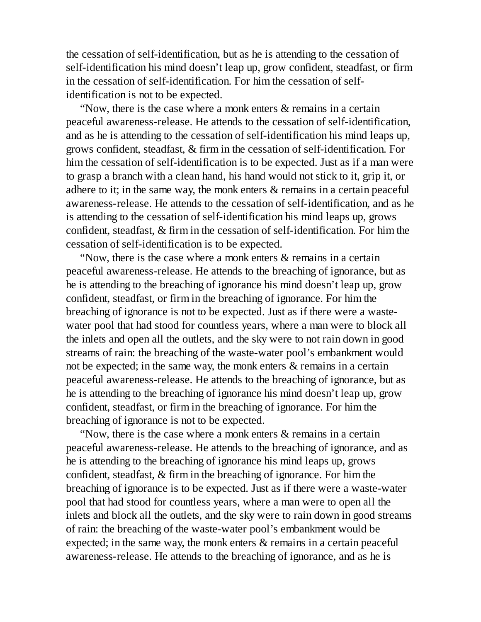the cessation of self-identification, but as he is attending to the cessation of self-identification his mind doesn't leap up, grow confident, steadfast, or firm in the cessation of self-identification. For him the cessation of selfidentification is not to be expected.

"Now, there is the case where a monk enters & remains in a certain peaceful awareness-release. He attends to the cessation of self-identification, and as he is attending to the cessation of self-identification his mind leaps up, grows confident, steadfast, & firm in the cessation of self-identification. For him the cessation of self-identification is to be expected. Just as if a man were to grasp a branch with a clean hand, his hand would not stick to it, grip it, or adhere to it; in the same way, the monk enters & remains in a certain peaceful awareness-release. He attends to the cessation of self-identification, and as he is attending to the cessation of self-identification his mind leaps up, grows confident, steadfast, & firm in the cessation of self-identification. For him the cessation of self-identification is to be expected.

"Now, there is the case where a monk enters & remains in a certain peaceful awareness-release. He attends to the breaching of ignorance, but as he is attending to the breaching of ignorance his mind doesn't leap up, grow confident, steadfast, or firm in the breaching of ignorance. For him the breaching of ignorance is not to be expected. Just as if there were a wastewater pool that had stood for countless years, where a man were to block all the inlets and open all the outlets, and the sky were to not rain down in good streams of rain: the breaching of the waste-water pool's embankment would not be expected; in the same way, the monk enters & remains in a certain peaceful awareness-release. He attends to the breaching of ignorance, but as he is attending to the breaching of ignorance his mind doesn't leap up, grow confident, steadfast, or firm in the breaching of ignorance. For him the breaching of ignorance is not to be expected.

"Now, there is the case where a monk enters & remains in a certain peaceful awareness-release. He attends to the breaching of ignorance, and as he is attending to the breaching of ignorance his mind leaps up, grows confident, steadfast, & firm in the breaching of ignorance. For him the breaching of ignorance is to be expected. Just as if there were a waste-water pool that had stood for countless years, where a man were to open all the inlets and block all the outlets, and the sky were to rain down in good streams of rain: the breaching of the waste-water pool's embankment would be expected; in the same way, the monk enters & remains in a certain peaceful awareness-release. He attends to the breaching of ignorance, and as he is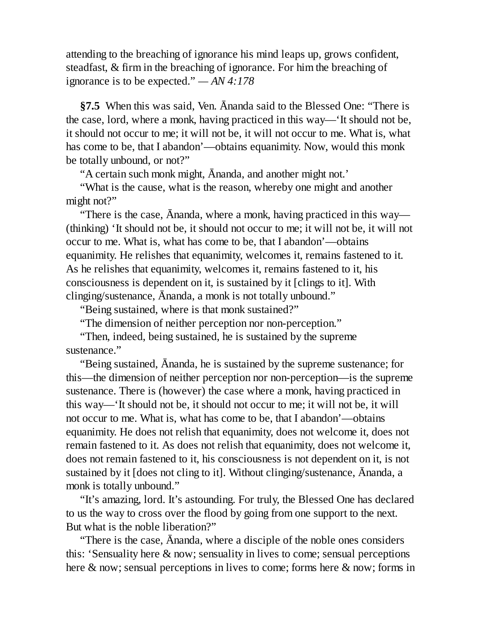attending to the breaching of ignorance his mind leaps up, grows confident, steadfast, & firm in the breaching of ignorance. For him the breaching of ignorance is to be expected." *— AN 4:178*

**§7.5** When this was said, Ven. Ānanda said to the Blessed One: "There is the case, lord, where a monk, having practiced in this way—'It should not be, it should not occur to me; it will not be, it will not occur to me. What is, what has come to be, that I abandon'—obtains equanimity. Now, would this monk be totally unbound, or not?"

"A certain such monk might, Ānanda, and another might not.'

"What is the cause, what is the reason, whereby one might and another might not?"

"There is the case, Ānanda, where a monk, having practiced in this way— (thinking) 'It should not be, it should not occur to me; it will not be, it will not occur to me. What is, what has come to be, that I abandon'—obtains equanimity. He relishes that equanimity, welcomes it, remains fastened to it. As he relishes that equanimity, welcomes it, remains fastened to it, his consciousness is dependent on it, is sustained by it [clings to it]. With clinging/sustenance, Ānanda, a monk is not totally unbound."

"Being sustained, where is that monk sustained?"

"The dimension of neither perception nor non-perception."

"Then, indeed, being sustained, he is sustained by the supreme sustenance."

"Being sustained, Ānanda, he is sustained by the supreme sustenance; for this—the dimension of neither perception nor non-perception—is the supreme sustenance. There is (however) the case where a monk, having practiced in this way—'It should not be, it should not occur to me; it will not be, it will not occur to me. What is, what has come to be, that I abandon'—obtains equanimity. He does not relish that equanimity, does not welcome it, does not remain fastened to it. As does not relish that equanimity, does not welcome it, does not remain fastened to it, his consciousness is not dependent on it, is not sustained by it [does not cling to it]. Without clinging/sustenance, Ānanda, a monk is totally unbound."

"It's amazing, lord. It's astounding. For truly, the Blessed One has declared to us the way to cross over the flood by going from one support to the next. But what is the noble liberation?"

"There is the case, Ānanda, where a disciple of the noble ones considers this: 'Sensuality here & now; sensuality in lives to come; sensual perceptions here & now; sensual perceptions in lives to come; forms here & now; forms in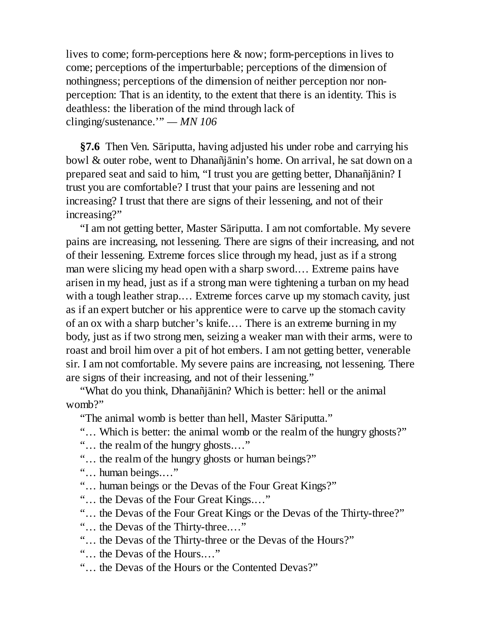lives to come; form-perceptions here & now; form-perceptions in lives to come; perceptions of the imperturbable; perceptions of the dimension of nothingness; perceptions of the dimension of neither perception nor nonperception: That is an identity, to the extent that there is an identity. This is deathless: the liberation of the mind through lack of clinging/sustenance.'" *— MN 106*

**§7.6** Then Ven. Sāriputta, having adjusted his under robe and carrying his bowl & outer robe, went to Dhanañjānin's home. On arrival, he sat down on a prepared seat and said to him, "I trust you are getting better, Dhanañjānin? I trust you are comfortable? I trust that your pains are lessening and not increasing? I trust that there are signs of their lessening, and not of their increasing?"

"I am not getting better, Master Sāriputta. I am not comfortable. My severe pains are increasing, not lessening. There are signs of their increasing, and not of their lessening. Extreme forces slice through my head, just as if a strong man were slicing my head open with a sharp sword.… Extreme pains have arisen in my head, just as if a strong man were tightening a turban on my head with a tough leather strap.… Extreme forces carve up my stomach cavity, just as if an expert butcher or his apprentice were to carve up the stomach cavity of an ox with a sharp butcher's knife.… There is an extreme burning in my body, just as if two strong men, seizing a weaker man with their arms, were to roast and broil him over a pit of hot embers. I am not getting better, venerable sir. I am not comfortable. My severe pains are increasing, not lessening. There are signs of their increasing, and not of their lessening."

"What do you think, Dhanañjānin? Which is better: hell or the animal womb?"

"The animal womb is better than hell, Master Sāriputta."

- "… Which is better: the animal womb or the realm of the hungry ghosts?"
- "… the realm of the hungry ghosts.…"
- "… the realm of the hungry ghosts or human beings?"
- "… human beings.…"
- "… human beings or the Devas of the Four Great Kings?"
- "… the Devas of the Four Great Kings.…"
- "… the Devas of the Four Great Kings or the Devas of the Thirty-three?"
- "… the Devas of the Thirty-three.…"
- "… the Devas of the Thirty-three or the Devas of the Hours?"
- "… the Devas of the Hours.…"
- "… the Devas of the Hours or the Contented Devas?"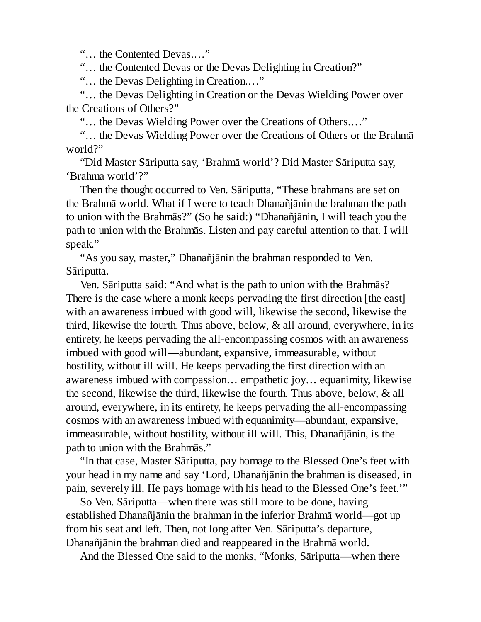"… the Contented Devas.…"

"… the Contented Devas or the Devas Delighting in Creation?"

"… the Devas Delighting in Creation.…"

"… the Devas Delighting in Creation or the Devas Wielding Power over the Creations of Others?"

"… the Devas Wielding Power over the Creations of Others.…"

"… the Devas Wielding Power over the Creations of Others or the Brahmā world?"

"Did Master Sāriputta say, 'Brahmā world'? Did Master Sāriputta say, 'Brahmā world'?"

Then the thought occurred to Ven. Sāriputta, "These brahmans are set on the Brahmā world. What if I were to teach Dhanañjānin the brahman the path to union with the Brahmās?" (So he said:) "Dhanañjānin, I will teach you the path to union with the Brahmās. Listen and pay careful attention to that. I will speak."

"As you say, master," Dhanañjānin the brahman responded to Ven. Sāriputta.

Ven. Sāriputta said: "And what is the path to union with the Brahmās? There is the case where a monk keeps pervading the first direction [the east] with an awareness imbued with good will, likewise the second, likewise the third, likewise the fourth. Thus above, below, & all around, everywhere, in its entirety, he keeps pervading the all-encompassing cosmos with an awareness imbued with good will—abundant, expansive, immeasurable, without hostility, without ill will. He keeps pervading the first direction with an awareness imbued with compassion… empathetic joy… equanimity, likewise the second, likewise the third, likewise the fourth. Thus above, below, & all around, everywhere, in its entirety, he keeps pervading the all-encompassing cosmos with an awareness imbued with equanimity—abundant, expansive, immeasurable, without hostility, without ill will. This, Dhanañjānin, is the path to union with the Brahmās."

"In that case, Master Sāriputta, pay homage to the Blessed One's feet with your head in my name and say 'Lord, Dhanañjānin the brahman is diseased, in pain, severely ill. He pays homage with his head to the Blessed One's feet.'"

So Ven. Sāriputta—when there was still more to be done, having established Dhanañjānin the brahman in the inferior Brahmā world—got up from his seat and left. Then, not long after Ven. Sāriputta's departure, Dhanañjānin the brahman died and reappeared in the Brahmā world.

And the Blessed One said to the monks, "Monks, Sāriputta—when there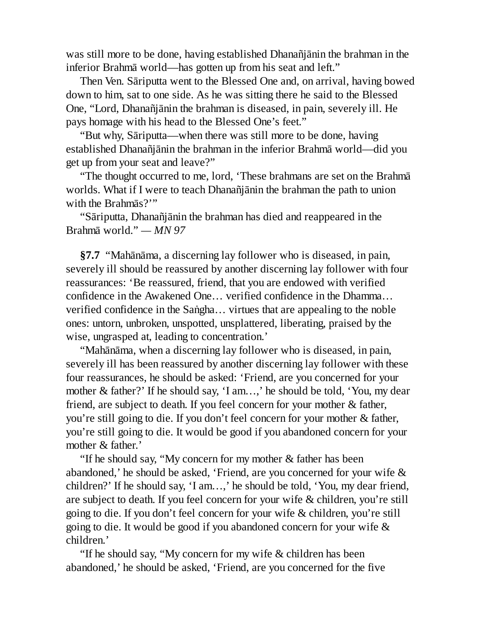was still more to be done, having established Dhanañjānin the brahman in the inferior Brahmā world—has gotten up from his seat and left."

Then Ven. Sāriputta went to the Blessed One and, on arrival, having bowed down to him, sat to one side. As he was sitting there he said to the Blessed One, "Lord, Dhanañjānin the brahman is diseased, in pain, severely ill. He pays homage with his head to the Blessed One's feet."

"But why, Sāriputta—when there was still more to be done, having established Dhanañjānin the brahman in the inferior Brahmā world—did you get up from your seat and leave?"

"The thought occurred to me, lord, 'These brahmans are set on the Brahmā worlds. What if I were to teach Dhanañjānin the brahman the path to union with the Brahmās?'"

"Sāriputta, Dhanañjānin the brahman has died and reappeared in the Brahmā world." *— MN 97*

**§7.7** "Mahānāma, a discerning lay follower who is diseased, in pain, severely ill should be reassured by another discerning lay follower with four reassurances: 'Be reassured, friend, that you are endowed with verified confidence in the Awakened One… verified confidence in the Dhamma… verified confidence in the Saṅgha… virtues that are appealing to the noble ones: untorn, unbroken, unspotted, unsplattered, liberating, praised by the wise, ungrasped at, leading to concentration.'

"Mahānāma, when a discerning lay follower who is diseased, in pain, severely ill has been reassured by another discerning lay follower with these four reassurances, he should be asked: 'Friend, are you concerned for your mother & father?' If he should say, 'I am…,' he should be told, 'You, my dear friend, are subject to death. If you feel concern for your mother & father, you're still going to die. If you don't feel concern for your mother & father, you're still going to die. It would be good if you abandoned concern for your mother & father.'

"If he should say, "My concern for my mother & father has been abandoned,' he should be asked, 'Friend, are you concerned for your wife & children?' If he should say, 'I am…,' he should be told, 'You, my dear friend, are subject to death. If you feel concern for your wife & children, you're still going to die. If you don't feel concern for your wife & children, you're still going to die. It would be good if you abandoned concern for your wife & children.'

"If he should say, "My concern for my wife & children has been abandoned,' he should be asked, 'Friend, are you concerned for the five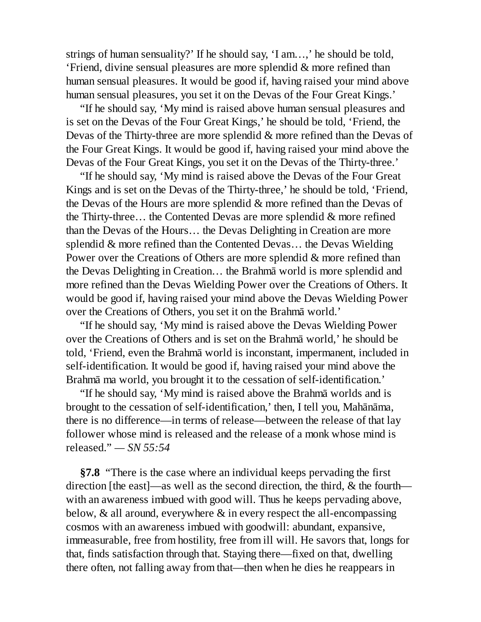strings of human sensuality?' If he should say, 'I am…,' he should be told, 'Friend, divine sensual pleasures are more splendid & more refined than human sensual pleasures. It would be good if, having raised your mind above human sensual pleasures, you set it on the Devas of the Four Great Kings.'

"If he should say, 'My mind is raised above human sensual pleasures and is set on the Devas of the Four Great Kings,' he should be told, 'Friend, the Devas of the Thirty-three are more splendid & more refined than the Devas of the Four Great Kings. It would be good if, having raised your mind above the Devas of the Four Great Kings, you set it on the Devas of the Thirty-three.'

"If he should say, 'My mind is raised above the Devas of the Four Great Kings and is set on the Devas of the Thirty-three,' he should be told, 'Friend, the Devas of the Hours are more splendid & more refined than the Devas of the Thirty-three… the Contented Devas are more splendid & more refined than the Devas of the Hours… the Devas Delighting in Creation are more splendid & more refined than the Contented Devas… the Devas Wielding Power over the Creations of Others are more splendid & more refined than the Devas Delighting in Creation… the Brahmā world is more splendid and more refined than the Devas Wielding Power over the Creations of Others. It would be good if, having raised your mind above the Devas Wielding Power over the Creations of Others, you set it on the Brahmā world.'

"If he should say, 'My mind is raised above the Devas Wielding Power over the Creations of Others and is set on the Brahmā world,' he should be told, 'Friend, even the Brahmā world is inconstant, impermanent, included in self-identification. It would be good if, having raised your mind above the Brahmā ma world, you brought it to the cessation of self-identification.'

"If he should say, 'My mind is raised above the Brahmā worlds and is brought to the cessation of self-identification,' then, I tell you, Mahānāma, there is no difference—in terms of release—between the release of that lay follower whose mind is released and the release of a monk whose mind is released." *— SN 55:54*

**§7.8** "There is the case where an individual keeps pervading the first direction [the east]—as well as the second direction, the third, & the fourth with an awareness imbued with good will. Thus he keeps pervading above, below, & all around, everywhere & in every respect the all-encompassing cosmos with an awareness imbued with goodwill: abundant, expansive, immeasurable, free from hostility, free from ill will. He savors that, longs for that, finds satisfaction through that. Staying there—fixed on that, dwelling there often, not falling away from that—then when he dies he reappears in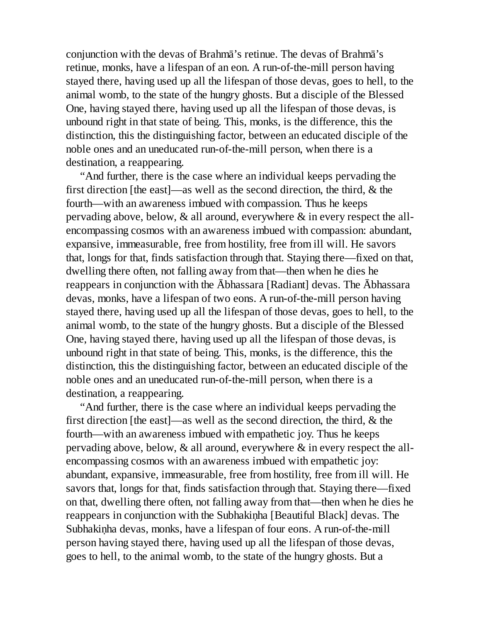conjunction with the devas of Brahmā's retinue. The devas of Brahmā's retinue, monks, have a lifespan of an eon. A run-of-the-mill person having stayed there, having used up all the lifespan of those devas, goes to hell, to the animal womb, to the state of the hungry ghosts. But a disciple of the Blessed One, having stayed there, having used up all the lifespan of those devas, is unbound right in that state of being. This, monks, is the difference, this the distinction, this the distinguishing factor, between an educated disciple of the noble ones and an uneducated run-of-the-mill person, when there is a destination, a reappearing.

"And further, there is the case where an individual keeps pervading the first direction [the east]—as well as the second direction, the third, & the fourth—with an awareness imbued with compassion. Thus he keeps pervading above, below, & all around, everywhere & in every respect the allencompassing cosmos with an awareness imbued with compassion: abundant, expansive, immeasurable, free from hostility, free from ill will. He savors that, longs for that, finds satisfaction through that. Staying there—fixed on that, dwelling there often, not falling away from that—then when he dies he reappears in conjunction with the Ābhassara [Radiant] devas. The Ābhassara devas, monks, have a lifespan of two eons. A run-of-the-mill person having stayed there, having used up all the lifespan of those devas, goes to hell, to the animal womb, to the state of the hungry ghosts. But a disciple of the Blessed One, having stayed there, having used up all the lifespan of those devas, is unbound right in that state of being. This, monks, is the difference, this the distinction, this the distinguishing factor, between an educated disciple of the noble ones and an uneducated run-of-the-mill person, when there is a destination, a reappearing.

"And further, there is the case where an individual keeps pervading the first direction [the east]—as well as the second direction, the third, & the fourth—with an awareness imbued with empathetic joy. Thus he keeps pervading above, below, & all around, everywhere & in every respect the allencompassing cosmos with an awareness imbued with empathetic joy: abundant, expansive, immeasurable, free from hostility, free from ill will. He savors that, longs for that, finds satisfaction through that. Staying there—fixed on that, dwelling there often, not falling away from that—then when he dies he reappears in conjunction with the Subhakinha [Beautiful Black] devas. The Subhakiṇha devas, monks, have a lifespan of four eons. A run-of-the-mill person having stayed there, having used up all the lifespan of those devas, goes to hell, to the animal womb, to the state of the hungry ghosts. But a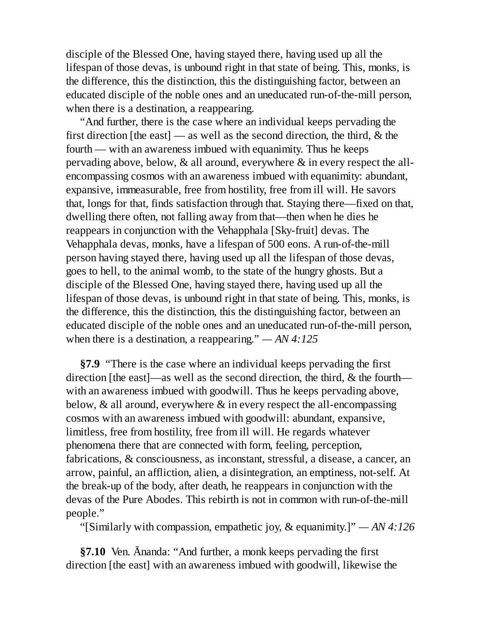disciple of the Blessed One, having stayed there, having used up all the lifespan of those devas, is unbound right in that state of being. This, monks, is the difference, this the distinction, this the distinguishing factor, between an educated disciple of the noble ones and an uneducated run-of-the-mill person, when there is a destination, a reappearing.

"And further, there is the case where an individual keeps pervading the first direction [the east] — as well as the second direction, the third, & the fourth — with an awareness imbued with equanimity. Thus he keeps pervading above, below, & all around, everywhere & in every respect the allencompassing cosmos with an awareness imbued with equanimity: abundant, expansive, immeasurable, free from hostility, free from ill will. He savors that, longs for that, finds satisfaction through that. Staying there—fixed on that, dwelling there often, not falling away from that—then when he dies he reappears in conjunction with the Vehapphala [Sky-fruit] devas. The Vehapphala devas, monks, have a lifespan of 500 eons. A run-of-the-mill person having stayed there, having used up all the lifespan of those devas, goes to hell, to the animal womb, to the state of the hungry ghosts. But a disciple of the Blessed One, having stayed there, having used up all the lifespan of those devas, is unbound right in that state of being. This, monks, is the difference, this the distinction, this the distinguishing factor, between an educated disciple of the noble ones and an uneducated run-of-the-mill person, when there is a destination, a reappearing." *— AN 4:125*

**§7.9** "There is the case where an individual keeps pervading the first direction [the east]—as well as the second direction, the third, & the fourth with an awareness imbued with goodwill. Thus he keeps pervading above, below, & all around, everywhere & in every respect the all-encompassing cosmos with an awareness imbued with goodwill: abundant, expansive, limitless, free from hostility, free from ill will. He regards whatever phenomena there that are connected with form, feeling, perception, fabrications, & consciousness, as inconstant, stressful, a disease, a cancer, an arrow, painful, an affliction, alien, a disintegration, an emptiness, not-self. At the break-up of the body, after death, he reappears in conjunction with the devas of the Pure Abodes. This rebirth is not in common with run-of-the-mill people."

"[Similarly with compassion, empathetic joy, & equanimity.]" *— AN 4:126*

**§7.10** Ven. Ānanda: "And further, a monk keeps pervading the first direction [the east] with an awareness imbued with goodwill, likewise the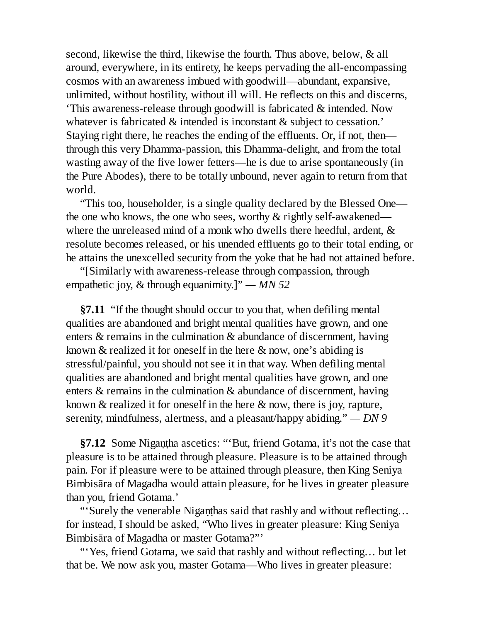second, likewise the third, likewise the fourth. Thus above, below, & all around, everywhere, in its entirety, he keeps pervading the all-encompassing cosmos with an awareness imbued with goodwill—abundant, expansive, unlimited, without hostility, without ill will. He reflects on this and discerns, 'This awareness-release through goodwill is fabricated & intended. Now whatever is fabricated & intended is inconstant & subject to cessation.' Staying right there, he reaches the ending of the effluents. Or, if not, then through this very Dhamma-passion, this Dhamma-delight, and from the total wasting away of the five lower fetters—he is due to arise spontaneously (in the Pure Abodes), there to be totally unbound, never again to return from that world.

"This too, householder, is a single quality declared by the Blessed One the one who knows, the one who sees, worthy & rightly self-awakened where the unreleased mind of a monk who dwells there heedful, ardent, & resolute becomes released, or his unended effluents go to their total ending, or he attains the unexcelled security from the yoke that he had not attained before.

"[Similarly with awareness-release through compassion, through empathetic joy, & through equanimity.]" *— MN 52*

**§7.11** "If the thought should occur to you that, when defiling mental qualities are abandoned and bright mental qualities have grown, and one enters & remains in the culmination & abundance of discernment, having known & realized it for oneself in the here & now, one's abiding is stressful/painful, you should not see it in that way. When defiling mental qualities are abandoned and bright mental qualities have grown, and one enters & remains in the culmination & abundance of discernment, having known & realized it for oneself in the here & now, there is joy, rapture, serenity, mindfulness, alertness, and a pleasant/happy abiding." *— DN 9*

**§7.12** Some Nigaṇṭha ascetics: "'But, friend Gotama, it's not the case that pleasure is to be attained through pleasure. Pleasure is to be attained through pain. For if pleasure were to be attained through pleasure, then King Seniya Bimbisāra of Magadha would attain pleasure, for he lives in greater pleasure than you, friend Gotama.'

"'Surely the venerable Nigaṇṭhas said that rashly and without reflecting… for instead, I should be asked, "Who lives in greater pleasure: King Seniya Bimbisāra of Magadha or master Gotama?"'

"'Yes, friend Gotama, we said that rashly and without reflecting… but let that be. We now ask you, master Gotama—Who lives in greater pleasure: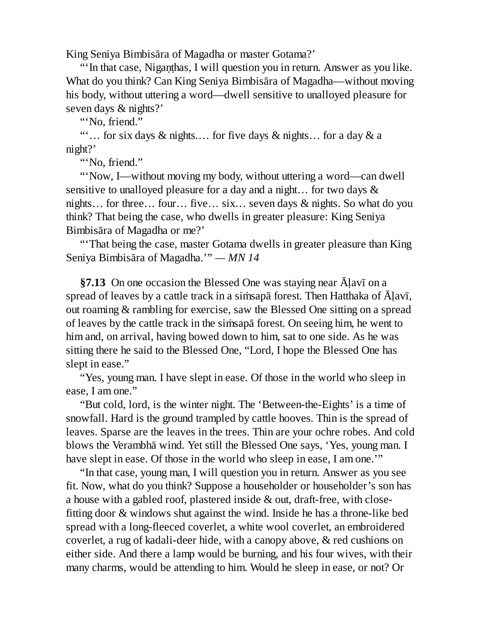King Seniya Bimbisāra of Magadha or master Gotama?'

"'In that case, Nigaṇṭhas, I will question you in return. Answer as you like. What do you think? Can King Seniya Bimbisāra of Magadha—without moving his body, without uttering a word—dwell sensitive to unalloyed pleasure for seven days & nights?'

"'No, friend."

"'… for six days & nights.… for five days & nights… for a day & a night?'

"'No, friend."

"'Now, I—without moving my body, without uttering a word—can dwell sensitive to unalloyed pleasure for a day and a night… for two days & nights… for three… four… five… six… seven days & nights. So what do you think? That being the case, who dwells in greater pleasure: King Seniya Bimbisāra of Magadha or me?'

"'That being the case, master Gotama dwells in greater pleasure than King Seniya Bimbisāra of Magadha.'" *— MN 14*

**§7.13** On one occasion the Blessed One was staying near Āḷavī on a spread of leaves by a cattle track in a siṁsapā forest. Then Hatthaka of Āḷavī, out roaming & rambling for exercise, saw the Blessed One sitting on a spread of leaves by the cattle track in the siṁsapā forest. On seeing him, he went to him and, on arrival, having bowed down to him, sat to one side. As he was sitting there he said to the Blessed One, "Lord, I hope the Blessed One has slept in ease."

"Yes, young man. I have slept in ease. Of those in the world who sleep in ease, I am one."

"But cold, lord, is the winter night. The 'Between-the-Eights' is a time of snowfall. Hard is the ground trampled by cattle hooves. Thin is the spread of leaves. Sparse are the leaves in the trees. Thin are your ochre robes. And cold blows the Verambhā wind. Yet still the Blessed One says, 'Yes, young man. I have slept in ease. Of those in the world who sleep in ease, I am one.'"

"In that case, young man, I will question you in return. Answer as you see fit. Now, what do you think? Suppose a householder or householder's son has a house with a gabled roof, plastered inside & out, draft-free, with closefitting door & windows shut against the wind. Inside he has a throne-like bed spread with a long-fleeced coverlet, a white wool coverlet, an embroidered coverlet, a rug of kadali-deer hide, with a canopy above, & red cushions on either side. And there a lamp would be burning, and his four wives, with their many charms, would be attending to him. Would he sleep in ease, or not? Or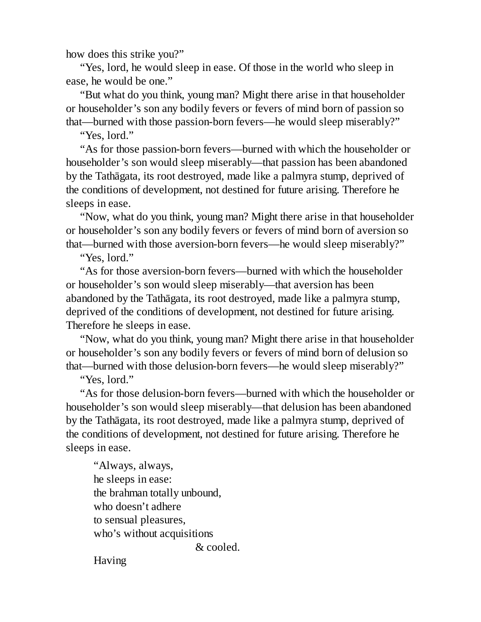how does this strike you?"

"Yes, lord, he would sleep in ease. Of those in the world who sleep in ease, he would be one."

"But what do you think, young man? Might there arise in that householder or householder's son any bodily fevers or fevers of mind born of passion so that—burned with those passion-born fevers—he would sleep miserably?"

"Yes, lord."

"As for those passion-born fevers—burned with which the householder or householder's son would sleep miserably—that passion has been abandoned by the Tathāgata, its root destroyed, made like a palmyra stump, deprived of the conditions of development, not destined for future arising. Therefore he sleeps in ease.

"Now, what do you think, young man? Might there arise in that householder or householder's son any bodily fevers or fevers of mind born of aversion so that—burned with those aversion-born fevers—he would sleep miserably?"

"Yes, lord."

"As for those aversion-born fevers—burned with which the householder or householder's son would sleep miserably—that aversion has been abandoned by the Tathāgata, its root destroyed, made like a palmyra stump, deprived of the conditions of development, not destined for future arising. Therefore he sleeps in ease.

"Now, what do you think, young man? Might there arise in that householder or householder's son any bodily fevers or fevers of mind born of delusion so that—burned with those delusion-born fevers—he would sleep miserably?"

"Yes, lord."

"As for those delusion-born fevers—burned with which the householder or householder's son would sleep miserably—that delusion has been abandoned by the Tathāgata, its root destroyed, made like a palmyra stump, deprived of the conditions of development, not destined for future arising. Therefore he sleeps in ease.

"Always, always, he sleeps in ease: the brahman totally unbound, who doesn't adhere to sensual pleasures, who's without acquisitions

& cooled.

Having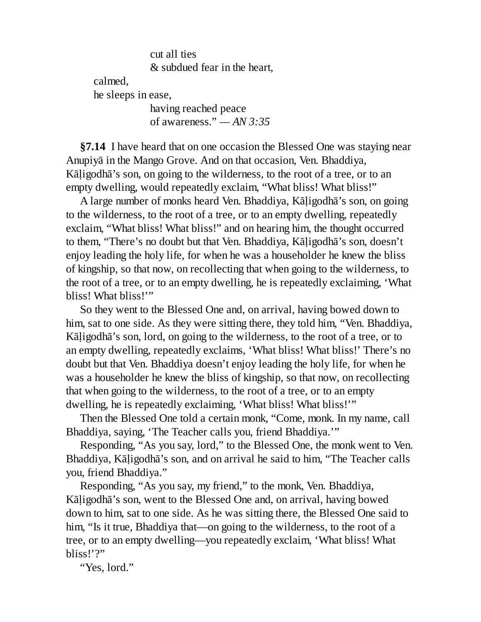cut all ties & subdued fear in the heart, calmed, he sleeps in ease, having reached peace of awareness." *— AN 3:35*

**§7.14** I have heard that on one occasion the Blessed One was staying near Anupiyā in the Mango Grove. And on that occasion, Ven. Bhaddiya, Kāḷigodhā's son, on going to the wilderness, to the root of a tree, or to an empty dwelling, would repeatedly exclaim, "What bliss! What bliss!"

A large number of monks heard Ven. Bhaddiya, Kāḷigodhā's son, on going to the wilderness, to the root of a tree, or to an empty dwelling, repeatedly exclaim, "What bliss! What bliss!" and on hearing him, the thought occurred to them, "There's no doubt but that Ven. Bhaddiya, Kāḷigodhā's son, doesn't enjoy leading the holy life, for when he was a householder he knew the bliss of kingship, so that now, on recollecting that when going to the wilderness, to the root of a tree, or to an empty dwelling, he is repeatedly exclaiming, 'What bliss! What bliss!'"

So they went to the Blessed One and, on arrival, having bowed down to him, sat to one side. As they were sitting there, they told him, "Ven. Bhaddiya, Kāḷigodhā's son, lord, on going to the wilderness, to the root of a tree, or to an empty dwelling, repeatedly exclaims, 'What bliss! What bliss!' There's no doubt but that Ven. Bhaddiya doesn't enjoy leading the holy life, for when he was a householder he knew the bliss of kingship, so that now, on recollecting that when going to the wilderness, to the root of a tree, or to an empty dwelling, he is repeatedly exclaiming, 'What bliss! What bliss!'"

Then the Blessed One told a certain monk, "Come, monk. In my name, call Bhaddiya, saying, 'The Teacher calls you, friend Bhaddiya.'"

Responding, "As you say, lord," to the Blessed One, the monk went to Ven. Bhaddiya, Kāḷigodhā's son, and on arrival he said to him, "The Teacher calls you, friend Bhaddiya."

Responding, "As you say, my friend," to the monk, Ven. Bhaddiya, Kāḷigodhā's son, went to the Blessed One and, on arrival, having bowed down to him, sat to one side. As he was sitting there, the Blessed One said to him, "Is it true, Bhaddiya that—on going to the wilderness, to the root of a tree, or to an empty dwelling—you repeatedly exclaim, 'What bliss! What bliss!'?"

"Yes, lord."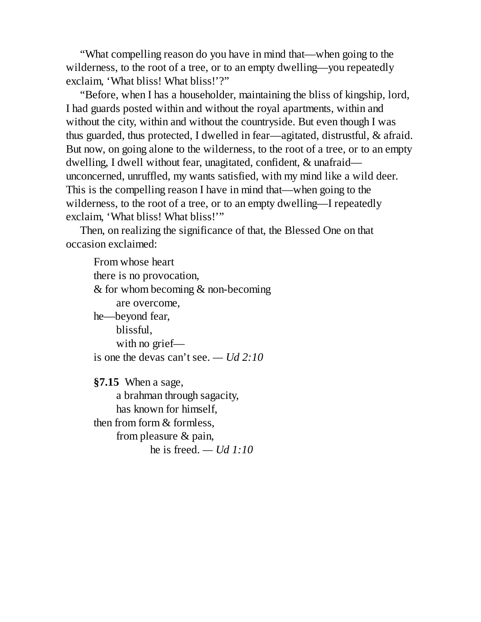"What compelling reason do you have in mind that—when going to the wilderness, to the root of a tree, or to an empty dwelling—you repeatedly exclaim, 'What bliss! What bliss!'?"

"Before, when I has a householder, maintaining the bliss of kingship, lord, I had guards posted within and without the royal apartments, within and without the city, within and without the countryside. But even though I was thus guarded, thus protected, I dwelled in fear—agitated, distrustful, & afraid. But now, on going alone to the wilderness, to the root of a tree, or to an empty dwelling, I dwell without fear, unagitated, confident, & unafraid unconcerned, unruffled, my wants satisfied, with my mind like a wild deer. This is the compelling reason I have in mind that—when going to the wilderness, to the root of a tree, or to an empty dwelling—I repeatedly exclaim, 'What bliss! What bliss!'"

Then, on realizing the significance of that, the Blessed One on that occasion exclaimed:

From whose heart there is no provocation, & for whom becoming & non-becoming are overcome, he—beyond fear, blissful, with no grief is one the devas can't see. *— Ud 2:10*

**§7.15** When a sage, a brahman through sagacity, has known for himself, then from form & formless, from pleasure & pain, he is freed. *— Ud 1:10*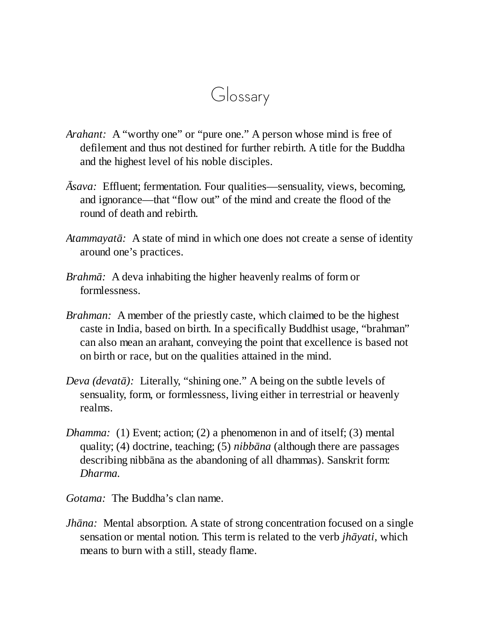## Glossary

- *Arahant:* A "worthy one" or "pure one." A person whose mind is free of defilement and thus not destined for further rebirth. A title for the Buddha and the highest level of his noble disciples.
- *Āsava:* Effluent; fermentation. Four qualities—sensuality, views, becoming, and ignorance—that "flow out" of the mind and create the flood of the round of death and rebirth.
- *Atammayatā:* A state of mind in which one does not create a sense of identity around one's practices.
- *Brahmā:* A deva inhabiting the higher heavenly realms of form or formlessness.
- *Brahman:* A member of the priestly caste, which claimed to be the highest caste in India, based on birth. In a specifically Buddhist usage, "brahman" can also mean an arahant, conveying the point that excellence is based not on birth or race, but on the qualities attained in the mind.
- *Deva (devatā):* Literally, "shining one." A being on the subtle levels of sensuality, form, or formlessness, living either in terrestrial or heavenly realms.
- *Dhamma:* (1) Event; action; (2) a phenomenon in and of itself; (3) mental quality; (4) doctrine, teaching; (5) *nibbāna* (although there are passages describing nibbāna as the abandoning of all dhammas). Sanskrit form: *Dharma.*
- *Gotama:* The Buddha's clan name.
- *Jhāna:* Mental absorption. A state of strong concentration focused on a single sensation or mental notion. This term is related to the verb *jhāyati,* which means to burn with a still, steady flame.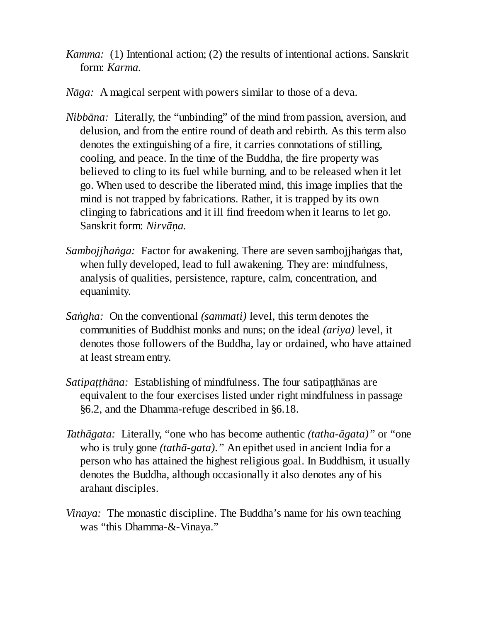- *Kamma:* (1) Intentional action; (2) the results of intentional actions. Sanskrit form: *Karma.*
- *Nāga:* A magical serpent with powers similar to those of a deva.
- *Nibbāna:* Literally, the "unbinding" of the mind from passion, aversion, and delusion, and from the entire round of death and rebirth. As this term also denotes the extinguishing of a fire, it carries connotations of stilling, cooling, and peace. In the time of the Buddha, the fire property was believed to cling to its fuel while burning, and to be released when it let go. When used to describe the liberated mind, this image implies that the mind is not trapped by fabrications. Rather, it is trapped by its own clinging to fabrications and it ill find freedom when it learns to let go. Sanskrit form: *Nirvāṇa.*
- *Sambojjhaṅga:* Factor for awakening. There are seven sambojjhaṅgas that, when fully developed, lead to full awakening. They are: mindfulness, analysis of qualities, persistence, rapture, calm, concentration, and equanimity.
- *Saṅgha:* On the conventional *(sammati)* level, this term denotes the communities of Buddhist monks and nuns; on the ideal *(ariya)* level, it denotes those followers of the Buddha, lay or ordained, who have attained at least stream entry.
- *Satipaṭṭhāna:* Establishing of mindfulness. The four satipaṭṭhānas are equivalent to the four exercises listed under right mindfulness in passage §6.2, and the Dhamma-refuge described in §6.18.
- *Tathāgata:* Literally, "one who has become authentic *(tatha-āgata)"* or "one who is truly gone *(tathā-gata)."* An epithet used in ancient India for a person who has attained the highest religious goal. In Buddhism, it usually denotes the Buddha, although occasionally it also denotes any of his arahant disciples.
- *Vinaya:* The monastic discipline. The Buddha's name for his own teaching was "this Dhamma-&-Vinaya."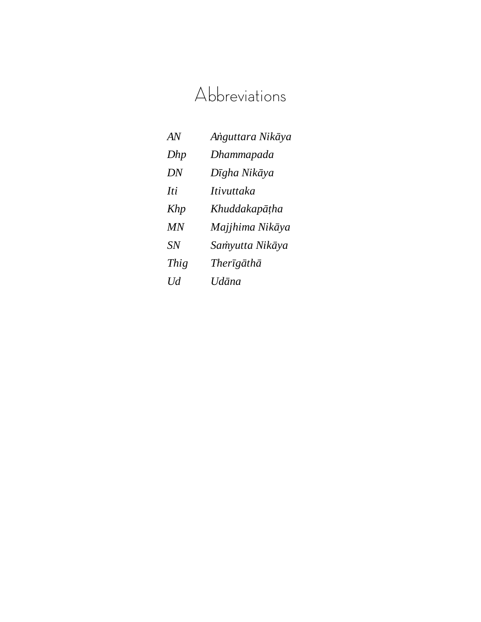## Abbreviations

| AN        | Anguttara Nikāya  |
|-----------|-------------------|
| Dhp       | Dhammapada        |
| DN        | Dīgha Nikāya      |
| Iti       | <i>Itivuttaka</i> |
| Khp       | Khuddakapāṭha     |
| MN        | Majjhima Nikāya   |
| <b>SN</b> | Samyutta Nikāya   |
| Thig      | Therīgāthā        |
| Ud        | Udāna             |
|           |                   |